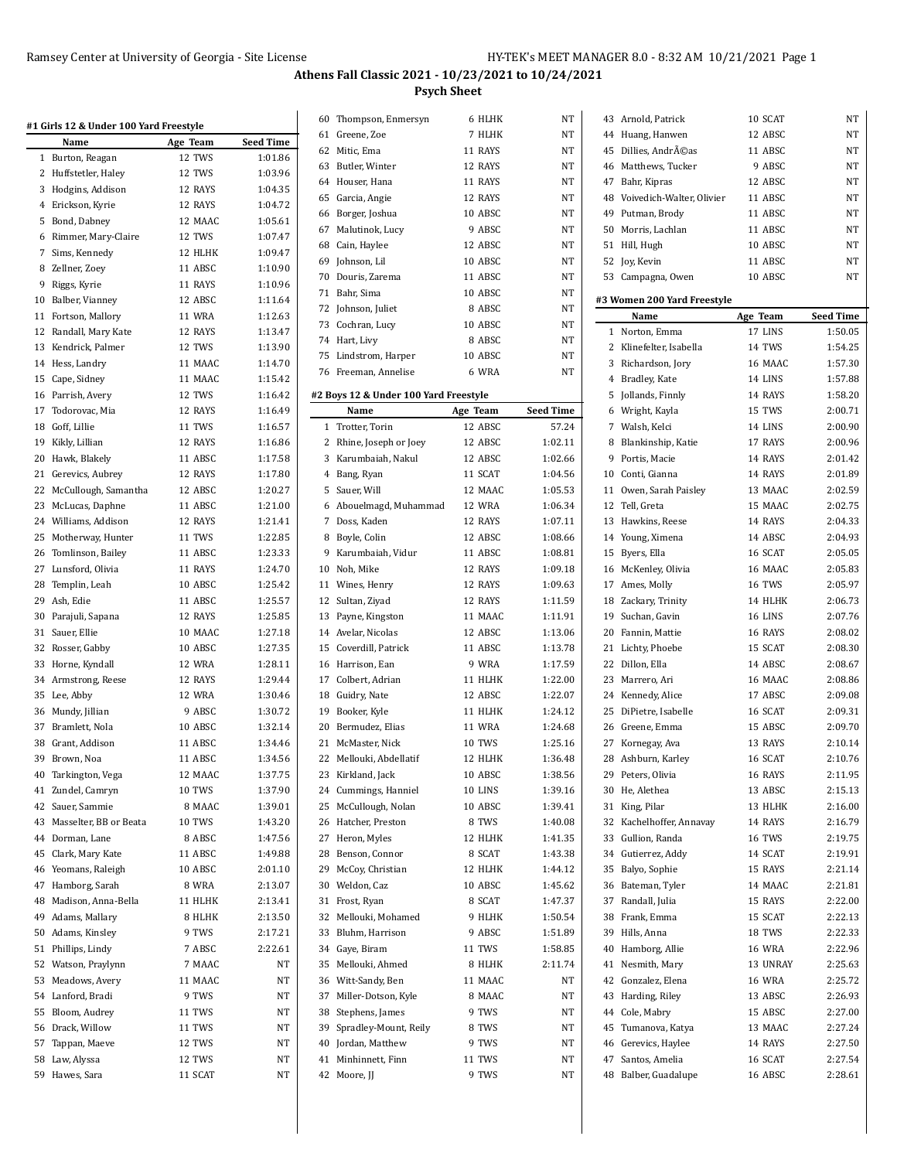$\mathbf{r}$ 

|    | #1 Girls 12 & Under 100 Yard Freestyle<br>Name | Age Team | <b>Seed Time</b> |
|----|------------------------------------------------|----------|------------------|
| 1  | Burton, Reagan                                 | 12 TWS   | 1:01.86          |
| 2  | Huffstetler, Haley                             | 12 TWS   | 1:03.96          |
| 3  | Hodgins, Addison                               | 12 RAYS  | 1:04.35          |
| 4  | Erickson, Kyrie                                | 12 RAYS  | 1:04.72          |
|    | 5 Bond, Dabney                                 | 12 MAAC  | 1:05.61          |
| 6  | Rimmer, Mary-Claire                            | 12 TWS   | 1:07.47          |
| 7  | Sims, Kennedy                                  | 12 HLHK  | 1:09.47          |
| 8  | Zellner, Zoey                                  | 11 ABSC  | 1:10.90          |
| 9  | Riggs, Kyrie                                   | 11 RAYS  | 1:10.96          |
| 10 | Balber, Vianney                                | 12 ABSC  | 1:11.64          |
|    | 11 Fortson, Mallory                            | 11 WRA   | 1:12.63          |
| 12 | Randall, Mary Kate                             | 12 RAYS  | 1:13.47          |
| 13 | Kendrick, Palmer                               | 12 TWS   | 1:13.90          |
|    | 14 Hess, Landry                                | 11 MAAC  | 1:14.70          |
|    | 15 Cape, Sidney                                | 11 MAAC  | 1:15.42          |
|    | 16 Parrish, Avery                              | 12 TWS   | 1:16.42          |
|    |                                                |          |                  |
| 17 | Todorovac, Mia                                 | 12 RAYS  | 1:16.49          |
|    | 18 Goff, Lillie                                | 11 TWS   | 1:16.57          |
|    | 19 Kikly, Lillian                              | 12 RAYS  | 1:16.86          |
| 20 | Hawk, Blakely                                  | 11 ABSC  | 1:17.58          |
| 21 | Gerevics, Aubrey                               | 12 RAYS  | 1:17.80          |
| 22 | McCullough, Samantha                           | 12 ABSC  | 1:20.27          |
| 23 | McLucas, Daphne                                | 11 ABSC  | 1:21.00          |
|    | 24 Williams, Addison                           | 12 RAYS  | 1:21.41          |
| 25 | Motherway, Hunter                              | 11 TWS   | 1:22.85          |
| 26 | Tomlinson, Bailey                              | 11 ABSC  | 1:23.33          |
|    | 27 Lunsford, Olivia                            | 11 RAYS  | 1:24.70          |
| 28 | Templin, Leah                                  | 10 ABSC  | 1:25.42          |
|    | 29 Ash, Edie                                   | 11 ABSC  | 1:25.57          |
|    | 30 Parajuli, Sapana                            | 12 RAYS  | 1:25.85          |
| 31 | Sauer, Ellie                                   | 10 MAAC  | 1:27.18          |
| 32 | Rosser, Gabby                                  | 10 ABSC  | 1:27.35          |
| 33 | Horne, Kyndall                                 | 12 WRA   | 1:28.11          |
|    | 34 Armstrong, Reese                            | 12 RAYS  | 1:29.44          |
|    | 35 Lee, Abby                                   | 12 WRA   | 1:30.46          |
|    | 36 Mundy, Jillian                              | 9 ABSC   | 1:30.72          |
|    | 37 Bramlett, Nola                              | 10 ABSC  | 1:32.14          |
|    | 38 Grant, Addison                              | 11 ABSC  | 1:34.46          |
| 39 | Brown, Noa                                     | 11 ABSC  | 1:34.56          |
| 40 | Tarkington, Vega                               | 12 MAAC  | 1:37.75          |
| 41 | Zundel, Camryn                                 | 10 TWS   | 1:37.90          |
| 42 | Sauer, Sammie                                  | 8 MAAC   | 1:39.01          |
| 43 | Masselter, BB or Beata                         | 10 TWS   | 1:43.20          |
| 44 | Dorman, Lane                                   | 8 ABSC   | 1:47.56          |
| 45 | Clark, Mary Kate                               | 11 ABSC  | 1:49.88          |
| 46 | Yeomans, Raleigh                               | 10 ABSC  | 2:01.10          |
| 47 | Hamborg, Sarah                                 | 8 WRA    | 2:13.07          |
| 48 | Madison, Anna-Bella                            | 11 HLHK  | 2:13.41          |
| 49 |                                                | 8 HLHK   | 2:13.50          |
| 50 | Adams, Mallary                                 | 9 TWS    | 2:17.21          |
|    | Adams, Kinsley                                 | 7 ABSC   |                  |
| 51 | Phillips, Lindy                                |          | 2:22.61          |
| 52 | Watson, Praylynn                               | 7 MAAC   | NT               |
| 53 | Meadows, Avery                                 | 11 MAAC  | NΤ               |
| 54 | Lanford, Bradi                                 | 9 TWS    | NΤ               |
| 55 | Bloom, Audrey                                  | 11 TWS   | NΤ               |
| 56 | Drack, Willow                                  | 11 TWS   | NΤ               |
| 57 | Tappan, Maeve                                  | 12 TWS   | NΤ               |
| 58 | Law, Alyssa                                    | 12 TWS   | NΤ               |
| 59 | Hawes, Sara                                    | 11 SCAT  | NΤ               |
|    |                                                |          |                  |

|    | 60 Thompson, Enmersyn                 | 6 HLHK        | NΤ               |
|----|---------------------------------------|---------------|------------------|
|    | 61 Greene, Zoe                        | 7 HLHK        | NΤ               |
|    | 62 Mitic, Ema                         | 11 RAYS       | NΤ               |
|    | 63 Butler, Winter                     | 12 RAYS       | NΤ               |
|    | 64 Houser, Hana                       | 11 RAYS       | NT               |
|    | 65 Garcia, Angie                      | 12 RAYS       | NT               |
|    | 66 Borger, Joshua                     | 10 ABSC       | NΤ               |
|    | 67 Malutinok, Lucy                    | 9 ABSC        | NΤ               |
|    | 68 Cain, Haylee                       | 12 ABSC       | NΤ               |
|    | 69 Johnson, Lil                       | 10 ABSC       | NΤ               |
|    | 70 Douris, Zarema                     | 11 ABSC       | NT               |
|    | 71 Bahr, Sima                         | 10 ABSC       | NΤ               |
|    | 72 Johnson, Juliet                    | 8 ABSC        | NΤ               |
|    | 73 Cochran, Lucy                      | 10 ABSC       | NT               |
|    | 74 Hart, Livy                         | 8 ABSC        | NΤ               |
|    |                                       | 10 ABSC       | NT               |
|    | 75 Lindstrom, Harper                  | 6 WRA         | NT               |
|    | 76 Freeman, Annelise                  |               |                  |
|    | #2 Boys 12 & Under 100 Yard Freestyle |               |                  |
|    | Name                                  | Age Team      | <b>Seed Time</b> |
| 1  | Trotter, Torin                        | 12 ABSC       | 57.24            |
|    | 2 Rhine, Joseph or Joey               | 12 ABSC       | 1:02.11          |
|    | 3 Karumbaiah, Nakul                   | 12 ABSC       | 1:02.66          |
|    | 4 Bang, Ryan                          | 11 SCAT       | 1:04.56          |
| 5  | Sauer, Will                           | 12 MAAC       | 1:05.53          |
| 6  | Abouelmagd, Muhammad                  | 12 WRA        | 1:06.34          |
|    | 7 Doss, Kaden                         | 12 RAYS       | 1:07.11          |
|    | 8 Boyle, Colin                        | 12 ABSC       | 1:08.66          |
| 9  | Karumbaiah, Vidur                     | 11 ABSC       | 1:08.81          |
|    | 10 Noh, Mike                          | 12 RAYS       | 1:09.18          |
|    | 11 Wines, Henry                       | 12 RAYS       | 1:09.63          |
|    | 12 Sultan, Ziyad                      | 12 RAYS       | 1:11.59          |
|    | 13 Payne, Kingston                    | 11 MAAC       | 1:11.91          |
|    | 14 Avelar, Nicolas                    | 12 ABSC       | 1:13.06          |
| 15 | Coverdill, Patrick                    | 11 ABSC       | 1:13.78          |
|    | 16 Harrison, Ean                      | 9 WRA         | 1:17.59          |
|    | 17 Colbert, Adrian                    | 11 HLHK       | 1:22.00          |
|    | 18 Guidry, Nate                       | 12 ABSC       | 1:22.07          |
|    | 19 Booker, Kyle                       | 11 HLHK       | 1:24.12          |
|    | 20 Bermudez, Elias                    | 11 WRA        | 1:24.68          |
|    | 21 McMaster, Nick                     | <b>10 TWS</b> | 1:25.16          |
|    | 22 Mellouki, Abdellatif               | 12 HLHK       | 1:36.48          |
| 23 | Kirkland, Jack                        | 10 ABSC       | 1:38.56          |
|    | 24 Cummings, Hanniel                  | 10 LINS       | 1:39.16          |
| 25 | McCullough, Nolan                     | 10 ABSC       | 1:39.41          |
|    | 26 Hatcher, Preston                   | 8 TWS         | 1:40.08          |
| 27 | Heron, Myles                          | 12 HLHK       | 1:41.35          |
|    |                                       | 8 SCAT        | 1:43.38          |
|    | 28 Benson, Connor                     | 12 HLHK       | 1:44.12          |
|    | 29 McCoy, Christian<br>30 Weldon, Caz | 10 ABSC       |                  |
|    |                                       |               | 1:45.62          |
| 31 | Frost, Ryan                           | 8 SCAT        | 1:47.37          |
| 32 | Mellouki, Mohamed                     | 9 HLHK        | 1:50.54          |
| 33 | Bluhm, Harrison                       | 9 ABSC        | 1:51.89          |
|    | 34 Gaye, Biram                        | 11 TWS        | 1:58.85          |
| 35 | Mellouki, Ahmed                       | 8 HLHK        | 2:11.74          |
|    | 36 Witt-Sandy, Ben                    | 11 MAAC       | NΤ               |
| 37 | Miller-Dotson, Kyle                   | 8 MAAC        | NΤ               |
|    | 38 Stephens, James                    | 9 TWS         | NΤ               |
| 39 | Spradley-Mount, Reily                 | 8 TWS         | NΤ               |
| 40 | Jordan, Matthew                       | 9 TWS         | NΤ               |
| 41 | Minhinnett, Finn                      | 11 TWS        | NΤ               |
| 42 | Moore, JJ                             | 9 TWS         | NΤ               |

| 43           | Arnold, Patrick              | 10 SCAT       | NT               |
|--------------|------------------------------|---------------|------------------|
| 44           | Huang, Hanwen                | 12 ABSC       | NΤ               |
| 45           | Dillies, Andréas             | 11 ABSC       | NΤ               |
|              | 46 Matthews, Tucker          | 9 ABSC        | NΤ               |
|              | 47 Bahr, Kipras              | 12 ABSC       | NT               |
|              | 48 Voivedich-Walter, Olivier | 11 ABSC       | NΤ               |
|              | 49 Putman, Brody             | 11 ABSC       | NΤ               |
|              | 50 Morris, Lachlan           | 11 ABSC       | NΤ               |
|              | 51 Hill, Hugh                | 10 ABSC       | NT               |
|              | 52 Joy, Kevin                | 11 ABSC       | NΤ               |
|              | 53 Campagna, Owen            | 10 ABSC       | NΤ               |
|              |                              |               |                  |
|              | #3 Women 200 Yard Freestyle  |               |                  |
|              | Name                         | Age Team      | <b>Seed Time</b> |
| $\mathbf{1}$ | Norton, Emma                 | 17 LINS       | 1:50.05          |
|              | 2 Klinefelter, Isabella      | 14 TWS        | 1:54.25          |
|              | 3 Richardson, Jory           | 16 MAAC       | 1:57.30          |
|              | 4 Bradley, Kate              | 14 LINS       | 1:57.88          |
|              | 5 Jollands, Finnly           | 14 RAYS       | 1:58.20          |
|              | 6 Wright, Kayla              | 15 TWS        | 2:00.71          |
|              | 7 Walsh, Kelci               | 14 LINS       | 2:00.90          |
|              | 8 Blankinship, Katie         | 17 RAYS       | 2:00.96          |
|              | 9 Portis, Macie              | 14 RAYS       | 2:01.42          |
|              | 10 Conti, Gianna             | 14 RAYS       | 2:01.89          |
|              | 11 Owen, Sarah Paisley       | 13 MAAC       | 2:02.59          |
|              | 12 Tell, Greta               | 15 MAAC       | 2:02.75          |
|              | 13 Hawkins, Reese            | 14 RAYS       | 2:04.33          |
|              | 14 Young, Ximena             | 14 ABSC       | 2:04.93          |
|              | 15 Byers, Ella               | 16 SCAT       | 2:05.05          |
|              | 16 McKenley, Olivia          | 16 MAAC       | 2:05.83          |
|              | 17 Ames, Molly               | 16 TWS        | 2:05.97          |
|              | 18 Zackary, Trinity          | 14 HLHK       | 2:06.73          |
|              | 19 Suchan, Gavin             | 16 LINS       | 2:07.76          |
|              | 20 Fannin, Mattie            | 16 RAYS       | 2:08.02          |
|              | 21 Lichty, Phoebe            | 15 SCAT       | 2:08.30          |
|              | 22 Dillon, Ella              | 14 ABSC       | 2:08.67          |
|              | 23 Marrero, Ari              | 16 MAAC       | 2:08.86          |
|              | 24 Kennedy, Alice            | 17 ABSC       | 2:09.08          |
|              | 25 DiPietre, Isabelle        | 16 SCAT       | 2:09.31          |
|              |                              | 15 ABSC       | 2:09.70          |
|              | 26 Greene, Emma              | 13 RAYS       |                  |
| 27           | Kornegay, Ava                |               | 2:10.14          |
|              | 28 Ashburn, Karley           | 16 SCAT       | 2:10.76          |
| 29           | Peters, Olivia               | 16 RAYS       | 2:11.95          |
|              | 30 He, Alethea               | 13 ABSC       | 2:15.13          |
| 31           | King, Pilar                  | 13 HLHK       | 2:16.00          |
| 32           | Kachelhoffer, Annavay        | 14 RAYS       | 2:16.79          |
|              | 33 Gullion, Randa            | <b>16 TWS</b> | 2:19.75          |
|              | 34 Gutierrez, Addy           | 14 SCAT       | 2:19.91          |
|              | 35 Balyo, Sophie             | 15 RAYS       | 2:21.14          |
|              | 36 Bateman, Tyler            | 14 MAAC       | 2:21.81          |
| 37           | Randall, Julia               | 15 RAYS       | 2:22.00          |
|              | 38 Frank, Emma               | 15 SCAT       | 2:22.13          |
|              | 39 Hills, Anna               | 18 TWS        | 2:22.33          |
|              | 40 Hamborg, Allie            | <b>16 WRA</b> | 2:22.96          |
|              | 41 Nesmith, Mary             | 13 UNRAY      | 2:25.63          |
|              | 42 Gonzalez, Elena           | <b>16 WRA</b> | 2:25.72          |
|              | 43 Harding, Riley            | 13 ABSC       | 2:26.93          |
|              | 44 Cole, Mabry               | 15 ABSC       | 2:27.00          |
|              | 45 Tumanova, Katya           | 13 MAAC       | 2:27.24          |
|              | 46 Gerevics, Haylee          | 14 RAYS       | 2:27.50          |
|              | 47 Santos, Amelia            | 16 SCAT       | 2:27.54          |
|              | 48 Balber, Guadalupe         | 16 ABSC       | 2:28.61          |
|              |                              |               |                  |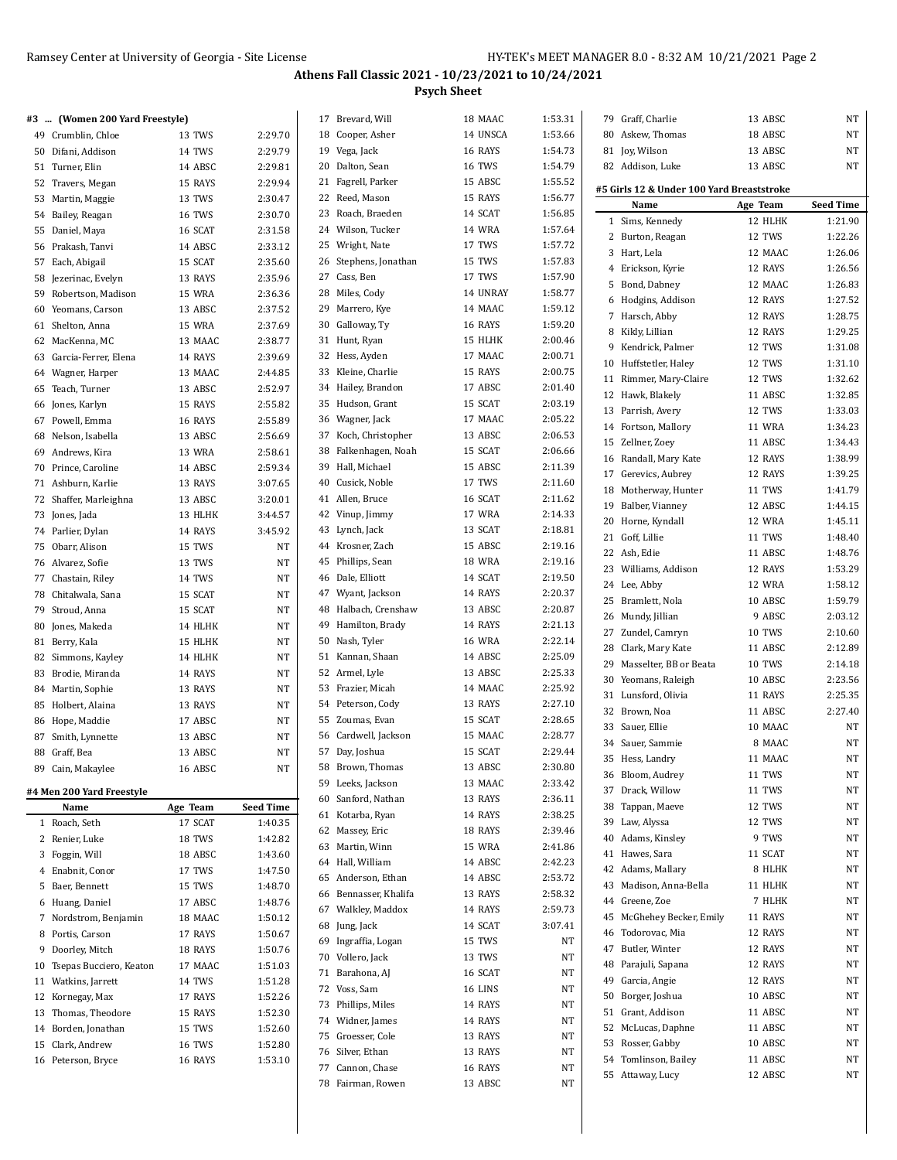| #3 | (Women 200 Yard Freestyle) |          |                  | 17 Brevard, Will      | 18 MAAC       | 1:53.31 | 79 Graff, Charlie                         | 13 ABSC       | $\rm{NT}$          |
|----|----------------------------|----------|------------------|-----------------------|---------------|---------|-------------------------------------------|---------------|--------------------|
|    | 49 Crumblin, Chloe         | 13 TWS   | 2:29.70          | 18 Cooper, Asher      | 14 UNSCA      | 1:53.66 | 80 Askew, Thomas                          | 18 ABSC       | NT                 |
|    | 50 Difani, Addison         | 14 TWS   | 2:29.79          | 19 Vega, Jack         | 16 RAYS       | 1:54.73 | 81 Joy, Wilson                            | 13 ABSC       | NT                 |
|    | 51 Turner, Elin            | 14 ABSC  | 2:29.81          | 20 Dalton, Sean       | <b>16 TWS</b> | 1:54.79 | 82 Addison, Luke                          | 13 ABSC       | NT                 |
|    | 52 Travers, Megan          | 15 RAYS  | 2:29.94          | 21 Fagrell, Parker    | 15 ABSC       | 1:55.52 |                                           |               |                    |
|    | 53 Martin, Maggie          | 13 TWS   | 2:30.47          | 22 Reed, Mason        | 15 RAYS       | 1:56.77 | #5 Girls 12 & Under 100 Yard Breaststroke |               | <b>Seed Time</b>   |
|    | 54 Bailey, Reagan          | 16 TWS   | 2:30.70          | 23 Roach, Braeden     | 14 SCAT       | 1:56.85 | Name                                      | Age Team      | 1:21.90            |
|    | 55 Daniel, Maya            | 16 SCAT  | 2:31.58          | 24 Wilson, Tucker     | <b>14 WRA</b> | 1:57.64 | 1 Sims, Kennedy                           | 12 HLHK       |                    |
|    | 56 Prakash, Tanvi          | 14 ABSC  | 2:33.12          | 25 Wright, Nate       | 17 TWS        | 1:57.72 | 2 Burton, Reagan                          | 12 TWS        | 1:22.26            |
|    | 57 Each, Abigail           | 15 SCAT  | 2:35.60          | 26 Stephens, Jonathan | 15 TWS        | 1:57.83 | 3 Hart, Lela                              | 12 MAAC       | 1:26.06            |
|    | 58 Jezerinac, Evelyn       | 13 RAYS  | 2:35.96          | 27 Cass, Ben          | 17 TWS        | 1:57.90 | 4 Erickson, Kyrie                         | 12 RAYS       | 1:26.56            |
|    | 59 Robertson, Madison      | 15 WRA   | 2:36.36          | 28 Miles, Cody        | 14 UNRAY      | 1:58.77 | 5 Bond, Dabney                            | 12 MAAC       | 1:26.83            |
|    | 60 Yeomans, Carson         | 13 ABSC  | 2:37.52          | 29 Marrero, Kye       | 14 MAAC       | 1:59.12 | 6 Hodgins, Addison                        | 12 RAYS       | 1:27.52            |
|    | 61 Shelton, Anna           | 15 WRA   | 2:37.69          | 30 Galloway, Ty       | 16 RAYS       | 1:59.20 | 7 Harsch, Abby                            | 12 RAYS       | 1:28.75            |
|    | 62 MacKenna, MC            | 13 MAAC  | 2:38.77          | 31 Hunt, Ryan         | 15 HLHK       | 2:00.46 | 8 Kikly, Lillian                          | 12 RAYS       | 1:29.25            |
|    | 63 Garcia-Ferrer, Elena    | 14 RAYS  | 2:39.69          | 32 Hess, Ayden        | 17 MAAC       | 2:00.71 | 9 Kendrick, Palmer                        | 12 TWS        | 1:31.08            |
|    | 64 Wagner, Harper          | 13 MAAC  | 2:44.85          | 33 Kleine, Charlie    | 15 RAYS       | 2:00.75 | 10 Huffstetler, Haley                     | 12 TWS        | 1:31.10            |
|    | 65 Teach, Turner           | 13 ABSC  | 2:52.97          | 34 Hailey, Brandon    | 17 ABSC       | 2:01.40 | 11 Rimmer, Mary-Claire                    | 12 TWS        | 1:32.62            |
|    | 66 Jones, Karlyn           | 15 RAYS  | 2:55.82          | 35 Hudson, Grant      | 15 SCAT       | 2:03.19 | 12 Hawk, Blakely                          | 11 ABSC       | 1:32.85<br>1:33.03 |
|    | 67 Powell, Emma            | 16 RAYS  | 2:55.89          | 36 Wagner, Jack       | 17 MAAC       | 2:05.22 | 13 Parrish, Avery                         | 12 TWS        |                    |
|    | 68 Nelson, Isabella        | 13 ABSC  | 2:56.69          | 37 Koch, Christopher  | 13 ABSC       | 2:06.53 | 14 Fortson, Mallory                       | 11 WRA        | 1:34.23            |
|    | 69 Andrews, Kira           | 13 WRA   | 2:58.61          | 38 Falkenhagen, Noah  | 15 SCAT       | 2:06.66 | 15 Zellner, Zoey                          | 11 ABSC       | 1:34.43            |
|    | 70 Prince, Caroline        | 14 ABSC  | 2:59.34          | 39 Hall, Michael      | 15 ABSC       | 2:11.39 | 16 Randall, Mary Kate                     | 12 RAYS       | 1:38.99            |
|    | 71 Ashburn, Karlie         | 13 RAYS  | 3:07.65          | 40 Cusick, Noble      | 17 TWS        | 2:11.60 | 17 Gerevics, Aubrey                       | 12 RAYS       | 1:39.25            |
|    | 72 Shaffer, Marleighna     | 13 ABSC  | 3:20.01          | 41 Allen, Bruce       | 16 SCAT       | 2:11.62 | 18 Motherway, Hunter                      | 11 TWS        | 1:41.79            |
|    | 73 Jones, Jada             | 13 HLHK  | 3:44.57          | 42 Vinup, Jimmy       | 17 WRA        | 2:14.33 | Balber, Vianney<br>19                     | 12 ABSC       | 1:44.15            |
|    | 74 Parlier, Dylan          | 14 RAYS  | 3:45.92          | 43 Lynch, Jack        | 13 SCAT       | 2:18.81 | 20 Horne, Kyndall                         | 12 WRA        | 1:45.11            |
|    | 75 Obarr, Alison           | 15 TWS   | NT               | 44 Krosner, Zach      | 15 ABSC       | 2:19.16 | 21 Goff, Lillie                           | 11 TWS        | 1:48.40            |
|    | 76 Alvarez, Sofie          | 13 TWS   | NT               | 45 Phillips, Sean     | <b>18 WRA</b> | 2:19.16 | 22 Ash, Edie                              | 11 ABSC       | 1:48.76            |
|    | 77 Chastain, Riley         | 14 TWS   | NT               | 46 Dale, Elliott      | 14 SCAT       | 2:19.50 | 23 Williams, Addison                      | 12 RAYS       | 1:53.29            |
|    | 78 Chitalwala, Sana        | 15 SCAT  | NT               | 47 Wyant, Jackson     | 14 RAYS       | 2:20.37 | 24 Lee, Abby                              | 12 WRA        | 1:58.12            |
|    | 79 Stroud, Anna            | 15 SCAT  | NT               | 48 Halbach, Crenshaw  | 13 ABSC       | 2:20.87 | 25 Bramlett, Nola                         | 10 ABSC       | 1:59.79            |
|    | 80 Jones, Makeda           | 14 HLHK  | NT               | 49 Hamilton, Brady    | 14 RAYS       | 2:21.13 | 26 Mundy, Jillian                         | 9 ABSC        | 2:03.12            |
|    | 81 Berry, Kala             | 15 HLHK  | NT               | 50 Nash, Tyler        | <b>16 WRA</b> | 2:22.14 | 27 Zundel, Camryn                         | <b>10 TWS</b> | 2:10.60            |
|    | 82 Simmons, Kayley         | 14 HLHK  | NT               | 51 Kannan, Shaan      | 14 ABSC       | 2:25.09 | 28 Clark, Mary Kate                       | 11 ABSC       | 2:12.89            |
|    | 83 Brodie, Miranda         | 14 RAYS  | NT               | 52 Armel, Lyle        | 13 ABSC       | 2:25.33 | 29<br>Masselter, BB or Beata              | 10 TWS        | 2:14.18            |
|    | 84 Martin, Sophie          | 13 RAYS  | NT               | 53 Frazier, Micah     | 14 MAAC       | 2:25.92 | 30 Yeomans, Raleigh                       | 10 ABSC       | 2:23.56            |
|    | 85 Holbert, Alaina         | 13 RAYS  | NT               | 54 Peterson, Cody     | 13 RAYS       | 2:27.10 | 31 Lunsford, Olivia                       | 11 RAYS       | 2:25.35            |
|    | 86 Hope, Maddie            | 17 ABSC  | NT               | 55 Zoumas, Evan       | 15 SCAT       | 2:28.65 | 32 Brown, Noa                             | 11 ABSC       | 2:27.40            |
|    | 87 Smith, Lynnette         | 13 ABSC  | NT               | 56 Cardwell, Jackson  | 15 MAAC       | 2:28.77 | 33 Sauer, Ellie                           | 10 MAAC       | NT                 |
|    | 88 Graff, Bea              | 13 ABSC  | NT               | 57 Day, Joshua        | 15 SCAT       | 2:29.44 | 34 Sauer, Sammie                          | 8 MAAC        | NT                 |
|    | 89 Cain, Makaylee          | 16 ABSC  | $\rm{NT}$        | 58 Brown, Thomas      | 13 ABSC       | 2:30.80 | 35 Hess, Landry                           | 11 MAAC       | NT                 |
|    |                            |          |                  | 59 Leeks, Jackson     | 13 MAAC       | 2:33.42 | 36 Bloom, Audrey                          | 11 TWS        | NT                 |
|    | #4 Men 200 Yard Freestyle  |          |                  | 60 Sanford, Nathan    | 13 RAYS       | 2:36.11 | 37 Drack, Willow                          | 11 TWS        | NT                 |
|    | Name                       | Age Team | <b>Seed Time</b> | 61 Kotarba, Ryan      | 14 RAYS       | 2:38.25 | 38 Tappan, Maeve                          | 12 TWS        | NT                 |
|    | 1 Roach, Seth              | 17 SCAT  | 1:40.35          | 62 Massey, Eric       | 18 RAYS       | 2:39.46 | Law, Alyssa<br>39                         | 12 TWS        | NT                 |
|    | 2 Renier, Luke             | 18 TWS   | 1:42.82          | 63 Martin, Winn       | 15 WRA        | 2:41.86 | 40 Adams, Kinsley                         | 9 TWS         | NT                 |
|    | 3 Foggin, Will             | 18 ABSC  | 1:43.60          | 64 Hall, William      | 14 ABSC       | 2:42.23 | 41 Hawes, Sara                            | 11 SCAT       | NT                 |
|    | 4 Enabnit, Conor           | 17 TWS   | 1:47.50          | 65 Anderson, Ethan    | 14 ABSC       | 2:53.72 | 42 Adams, Mallary                         | 8 HLHK        | ΝT                 |
|    | 5 Baer, Bennett            | 15 TWS   | 1:48.70          | 66 Bennasser, Khalifa | 13 RAYS       | 2:58.32 | 43 Madison, Anna-Bella                    | 11 HLHK       | NT                 |
|    | 6 Huang, Daniel            | 17 ABSC  | 1:48.76          | 67 Walkley, Maddox    | 14 RAYS       | 2:59.73 | 44 Greene, Zoe                            | 7 HLHK        | NT                 |
|    | 7 Nordstrom, Benjamin      | 18 MAAC  | 1:50.12          | 68 Jung, Jack         | 14 SCAT       | 3:07.41 | McGhehey Becker, Emily<br>45              | 11 RAYS       | NT                 |
|    | 8 Portis, Carson           | 17 RAYS  | 1:50.67          | 69 Ingraffia, Logan   | 15 TWS        | NT      | 46 Todorovac, Mia                         | 12 RAYS       | NT                 |
|    | 9 Doorley, Mitch           | 18 RAYS  | 1:50.76          | 70 Vollero, Jack      | 13 TWS        | NT      | 47 Butler, Winter                         | 12 RAYS       | ΝT                 |
|    | 10 Tsepas Bucciero, Keaton | 17 MAAC  | 1:51.03          | 71 Barahona, AJ       | 16 SCAT       | NT      | 48 Parajuli, Sapana                       | 12 RAYS       | ΝT                 |
|    | 11 Watkins, Jarrett        | 14 TWS   | 1:51.28          | 72 Voss, Sam          | 16 LINS       | NT      | Garcia, Angie<br>49                       | 12 RAYS       | NT                 |
|    | 12 Kornegay, Max           | 17 RAYS  | 1:52.26          | 73 Phillips, Miles    | 14 RAYS       | NT      | 50<br>Borger, Joshua                      | 10 ABSC       | NT                 |
|    | 13 Thomas, Theodore        | 15 RAYS  | 1:52.30          | 74 Widner, James      | 14 RAYS       | NT      | 51 Grant, Addison                         | 11 ABSC       | NT                 |
|    | 14 Borden, Jonathan        | 15 TWS   | 1:52.60          | 75 Groesser, Cole     | 13 RAYS       | NT      | 52 McLucas, Daphne                        | 11 ABSC       | NT                 |
|    | 15 Clark, Andrew           | 16 TWS   | 1:52.80          | 76 Silver, Ethan      | 13 RAYS       | NT      | 53 Rosser, Gabby                          | 10 ABSC       | NT                 |
|    | 16 Peterson, Bryce         | 16 RAYS  | 1:53.10          | 77 Cannon, Chase      | 16 RAYS       | NT      | 54 Tomlinson, Bailey                      | 11 ABSC       | NT                 |
|    |                            |          |                  | 78 Fairman, Rowen     | 13 ABSC       | NT      | 55 Attaway, Lucy                          | 12 ABSC       | NT                 |
|    |                            |          |                  |                       |               |         |                                           |               |                    |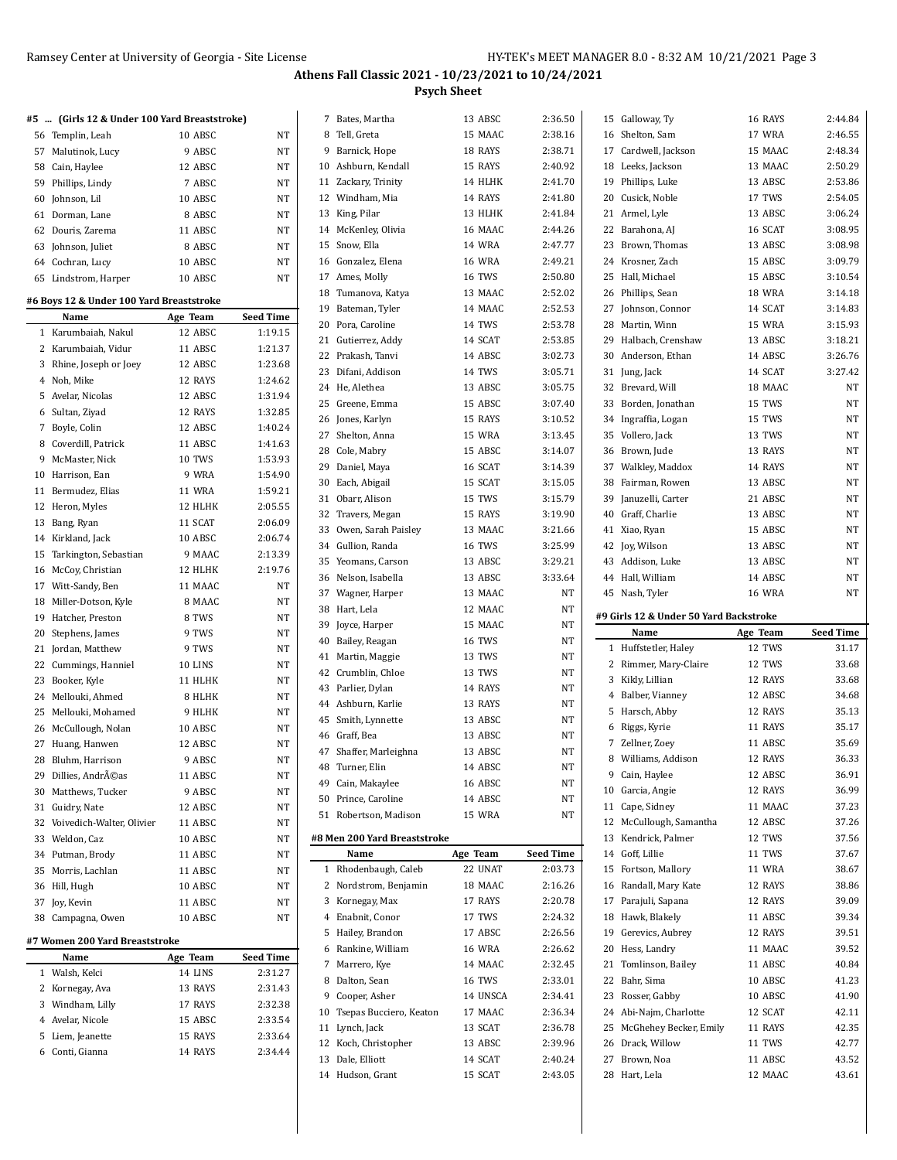|                             | #5  (Girls 12 & Under 100 Yard Breaststroke)                                                             |                                                                |                  |
|-----------------------------|----------------------------------------------------------------------------------------------------------|----------------------------------------------------------------|------------------|
|                             | 56 Templin, Leah                                                                                         | 10 ABSC                                                        | NΤ               |
|                             | 57 Malutinok, Lucy                                                                                       | 9 ABSC                                                         | NΤ               |
|                             | 58 Cain, Haylee                                                                                          | 12 ABSC                                                        | NΤ               |
|                             | 59 Phillips, Lindy                                                                                       | 7 ABSC                                                         | NT               |
| 60                          | Johnson, Lil                                                                                             | 10 ABSC                                                        | NT               |
| 61                          | Dorman, Lane                                                                                             | 8 ABSC                                                         | NΤ               |
| 62                          | Douris, Zarema                                                                                           | 11 ABSC                                                        | NT               |
|                             | 63 Johnson, Juliet                                                                                       | 8 ABSC                                                         | NΤ               |
|                             | 64 Cochran, Lucy                                                                                         | 10 ABSC                                                        | NT               |
|                             | 65 Lindstrom, Harper                                                                                     | 10 ABSC                                                        | NΤ               |
|                             |                                                                                                          |                                                                |                  |
|                             | #6 Boys 12 & Under 100 Yard Breaststroke                                                                 |                                                                |                  |
|                             | Name                                                                                                     | Age Team                                                       | <b>Seed Time</b> |
|                             | 1 Karumbaiah, Nakul                                                                                      | 12 ABSC                                                        | 1:19.15          |
| 2                           | Karumbaiah, Vidur                                                                                        | 11 ABSC                                                        | 1:21.37          |
|                             | 3 Rhine, Joseph or Joey                                                                                  | 12 ABSC                                                        | 1:23.68          |
|                             | 4 Noh, Mike                                                                                              | 12 RAYS                                                        | 1:24.62          |
| 5                           | Avelar, Nicolas                                                                                          | 12 ABSC                                                        | 1:31.94          |
| 6                           | Sultan, Ziyad                                                                                            | 12 RAYS                                                        | 1:32.85          |
| 7                           | Boyle, Colin                                                                                             | 12 ABSC                                                        | 1:40.24          |
|                             | 8 Coverdill, Patrick                                                                                     | 11 ABSC                                                        | 1:41.63          |
| 9                           | McMaster, Nick                                                                                           | 10 TWS                                                         | 1:53.93          |
| 10                          | Harrison, Ean                                                                                            | 9 WRA                                                          | 1:54.90          |
| 11                          | Bermudez, Elias                                                                                          | <b>11 WRA</b>                                                  | 1:59.21          |
| 12                          | Heron, Myles                                                                                             | 12 HLHK                                                        | 2:05.55          |
| 13                          | Bang, Ryan                                                                                               | 11 SCAT                                                        | 2:06.09          |
|                             | 14 Kirkland, Jack                                                                                        | 10 ABSC                                                        | 2:06.74          |
| 15                          | Tarkington, Sebastian                                                                                    | 9 MAAC                                                         | 2:13.39          |
| 16                          | McCoy, Christian                                                                                         | 12 HLHK                                                        | 2:19.76          |
|                             | 17 Witt-Sandy, Ben                                                                                       | 11 MAAC                                                        | NΤ               |
|                             | 18 Miller-Dotson, Kyle                                                                                   | 8 MAAC                                                         | NΤ               |
| 19                          | Hatcher, Preston                                                                                         | 8 TWS                                                          | NT               |
|                             | 20 Stephens, James                                                                                       | 9 TWS                                                          | NΤ               |
| 21                          | Jordan, Matthew                                                                                          | 9 TWS                                                          | NT               |
|                             | 22 Cummings, Hanniel                                                                                     | 10 LINS                                                        | NT               |
|                             | 23 Booker, Kyle                                                                                          | 11 HLHK                                                        | NΤ               |
|                             | 24 Mellouki, Ahmed                                                                                       | 8 HLHK                                                         | NT               |
| 25                          | Mellouki, Mohamed                                                                                        | 9 HLHK                                                         | NT               |
| 26                          | McCullough, Nolan                                                                                        | 10 ABSC                                                        | NT               |
| 27                          | Huang, Hanwen                                                                                            | 12 ABSC                                                        | NΤ               |
| 28                          |                                                                                                          |                                                                | NT               |
|                             | Bluhm, Harrison                                                                                          | 9 ABSC                                                         |                  |
| 29                          | Dillies, Andréas                                                                                         | 11 ABSC                                                        | NΤ               |
|                             | 30 Matthews, Tucker                                                                                      | 9 ABSC                                                         | NΤ               |
|                             | 31 Guidry, Nate                                                                                          | 12 ABSC                                                        | NΤ               |
| 32                          | Voivedich-Walter, Olivier                                                                                | 11 ABSC                                                        | NΤ               |
|                             | 33 Weldon, Caz                                                                                           | 10 ABSC                                                        | NΤ               |
|                             | 34 Putman, Brody                                                                                         | 11 ABSC                                                        | NΤ               |
| 35                          | Morris, Lachlan                                                                                          | 11 ABSC                                                        | NΤ               |
|                             | 36 Hill, Hugh                                                                                            | 10 ABSC                                                        | NΤ               |
|                             | 37 Joy, Kevin                                                                                            | 11 ABSC                                                        | NΤ               |
| 38                          | Campagna, Owen                                                                                           | 10 ABSC                                                        | NΤ               |
|                             | #7 Women 200 Yard Breaststroke                                                                           |                                                                |                  |
|                             | Name                                                                                                     | Age Team                                                       | Seed Time        |
|                             |                                                                                                          |                                                                | 2:31.27          |
|                             |                                                                                                          |                                                                | 2:31.43          |
|                             |                                                                                                          |                                                                | 2:32.38          |
|                             |                                                                                                          |                                                                | 2:33.54          |
|                             |                                                                                                          |                                                                | 2:33.64          |
|                             |                                                                                                          |                                                                |                  |
|                             |                                                                                                          |                                                                | 2:34.44          |
| $\mathbf{1}$<br>2<br>3<br>5 | Walsh, Kelci<br>Kornegay, Ava<br>Windham, Lilly<br>4 Avelar, Nicole<br>Liem, Jeanette<br>6 Conti, Gianna | 14 LINS<br>13 RAYS<br>17 RAYS<br>15 ABSC<br>15 RAYS<br>14 RAYS |                  |

| 7  | Bates, Martha                | 13 ABSC       | 2:36.50          |
|----|------------------------------|---------------|------------------|
|    | 8 Tell, Greta                | 15 MAAC       | 2:38.16          |
|    | 9 Barnick, Hope              | 18 RAYS       | 2:38.71          |
|    | 10 Ashburn, Kendall          | 15 RAYS       | 2:40.92          |
|    | 11 Zackary, Trinity          | 14 HLHK       | 2:41.70          |
|    | 12 Windham, Mia              | 14 RAYS       | 2:41.80          |
|    | 13 King, Pilar               | 13 HLHK       | 2:41.84          |
|    | 14 McKenley, Olivia          | 16 MAAC       | 2.44.26          |
| 15 | Snow, Ella                   | 14 WRA        | 2:47.77          |
|    | 16 Gonzalez, Elena           | <b>16 WRA</b> | 2:49.21          |
|    | 17 Ames, Molly               | <b>16 TWS</b> | 2:50.80          |
|    | 18 Tumanova, Katya           | 13 MAAC       | 2:52.02          |
|    | 19 Bateman, Tyler            | 14 MAAC       | 2:52.53          |
|    | 20 Pora, Caroline            | 14 TWS        | 2:53.78          |
|    |                              |               |                  |
| 21 | Gutierrez, Addy              | 14 SCAT       | 2:53.85          |
|    | 22 Prakash, Tanvi            | 14 ABSC       | 3:02.73          |
| 23 | Difani, Addison              | 14 TWS        | 3:05.71          |
|    | 24 He, Alethea               | 13 ABSC       | 3:05.75          |
| 25 | Greene, Emma                 | 15 ABSC       | 3:07.40          |
|    | 26 Jones, Karlyn             | 15 RAYS       | 3:10.52          |
|    | 27 Shelton, Anna             | <b>15 WRA</b> | 3:13.45          |
|    | 28 Cole, Mabry               | 15 ABSC       | 3:14.07          |
|    | 29 Daniel, Maya              | 16 SCAT       | 3:14.39          |
|    | 30 Each, Abigail             | 15 SCAT       | 3:15.05          |
| 31 | Obarr, Alison                | 15 TWS        | 3:15.79          |
| 32 | Travers, Megan               | 15 RAYS       | 3:19.90          |
| 33 | Owen, Sarah Paisley          | 13 MAAC       | 3:21.66          |
| 34 | Gullion, Randa               | <b>16 TWS</b> | 3:25.99          |
| 35 | Yeomans, Carson              | 13 ABSC       | 3:29.21          |
|    | 36 Nelson, Isabella          | 13 ABSC       | 3:33.64          |
|    | 37 Wagner, Harper            | 13 MAAC       | NT               |
| 38 | Hart, Lela                   | 12 MAAC       | NT               |
| 39 | Joyce, Harper                | 15 MAAC       | NT               |
|    | 40 Bailey, Reagan            | <b>16 TWS</b> | NT               |
| 41 | Martin, Maggie               | 13 TWS        | NT               |
| 42 | Crumblin, Chloe              | 13 TWS        | NT               |
| 43 | Parlier, Dylan               | 14 RAYS       | NT               |
|    |                              | 13 RAYS       | NT               |
|    | 44 Ashburn, Karlie           |               | NT               |
| 45 | Smith, Lynnette              | 13 ABSC       |                  |
|    | 46 Graff, Bea                | 13 ABSC       | NT               |
|    | 47 Shaffer, Marleighna       | 13 ABSC       | NT               |
| 48 | Turner, Elin                 | 14 ABSC       | NT               |
|    | 49 Cain, Makaylee            | 16 ABSC       | NT               |
|    | 50 Prince, Caroline          | 14 ABSC       | NT               |
| 51 | Robertson, Madison           | 15 WRA        | NT               |
|    | #8 Men 200 Yard Breaststroke |               |                  |
|    | Name                         | Age Team      | <b>Seed Time</b> |
| 1  | Rhodenbaugh, Caleb           | 22 UNAT       | 2:03.73          |
| 2  | Nordstrom, Benjamin          | 18 MAAC       | 2:16.26          |
| 3  | Kornegay, Max                | 17 RAYS       | 2:20.78          |
| 4  | Enabnit, Conor               | 17 TWS        | 2:24.32          |
| 5  | Hailey, Brandon              | 17 ABSC       | 2:26.56          |
| 6  | Rankine, William             | <b>16 WRA</b> | 2:26.62          |
| 7  | Marrero, Kye                 | 14 MAAC       | 2:32.45          |
| 8  | Dalton, Sean                 | <b>16 TWS</b> | 2:33.01          |
| 9  | Cooper, Asher                | 14 UNSCA      | 2:34.41          |
|    | 10 Tsepas Bucciero, Keaton   | 17 MAAC       | 2:36.34          |
|    |                              | 13 SCAT       | 2:36.78          |
| 11 | Lynch, Jack                  |               |                  |
| 12 | Koch, Christopher            | 13 ABSC       | 2:39.96          |
|    | 13 Dale, Elliott             | 14 SCAT       | 2:40.24          |
|    | 14 Hudson, Grant             | 15 SCAT       | 2:43.05          |
|    |                              |               |                  |

|    | 15 Galloway, Ty                        | 16 RAYS            | 2:44.84          |
|----|----------------------------------------|--------------------|------------------|
|    |                                        | 17 WRA             | 2:46.55          |
|    | 16 Shelton, Sam                        |                    |                  |
|    | 17 Cardwell, Jackson                   | 15 MAAC            | 2:48.34          |
|    | 18 Leeks, Jackson                      | 13 MAAC            | 2:50.29          |
|    | 19 Phillips, Luke                      | 13 ABSC            | 2:53.86          |
|    | 20 Cusick, Noble                       | 17 TWS             | 2:54.05          |
|    | 21 Armel, Lyle                         | 13 ABSC            | 3:06.24          |
|    | 22 Barahona, AJ                        | 16 SCAT            | 3:08.95          |
|    | 23 Brown, Thomas                       | 13 ABSC            | 3:08.98          |
|    | 24 Krosner, Zach                       | 15 ABSC            | 3:09.79          |
|    | 25 Hall, Michael                       | 15 ABSC            | 3:10.54          |
|    | 26 Phillips, Sean                      | 18 WRA             | 3:14.18          |
|    | 27 Johnson, Connor                     | 14 SCAT            | 3:14.83          |
|    |                                        |                    |                  |
|    | 28 Martin, Winn                        | 15 WRA             | 3:15.93          |
|    | 29 Halbach, Crenshaw                   | 13 ABSC            | 3:18.21          |
|    | 30 Anderson, Ethan                     | 14 ABSC            | 3:26.76          |
|    | 31 Jung, Jack                          | 14 SCAT            | 3:27.42          |
|    | 32 Brevard, Will                       | 18 MAAC            | NT               |
|    | 33 Borden, Jonathan                    | 15 TWS             | NΤ               |
|    | 34 Ingraffia, Logan                    | 15 TWS             | NΤ               |
|    | 35 Vollero, Jack                       | 13 TWS             | NΤ               |
|    | 36 Brown, Jude                         | 13 RAYS            | NT               |
|    | 37 Walkley, Maddox                     | 14 RAYS            | NT               |
|    | 38 Fairman, Rowen                      | 13 ABSC            | NΤ               |
|    | 39 Januzelli, Carter                   | 21 ABSC            | NT               |
|    | 40 Graff, Charlie                      | 13 ABSC            | NΤ               |
|    | 41 Xiao, Ryan                          | 15 ABSC            | NΤ               |
|    | 42 Joy, Wilson                         | 13 ABSC            | NT               |
|    | 43 Addison, Luke                       | 13 ABSC            | NΤ               |
|    |                                        |                    |                  |
|    | 44 Hall, William                       | 14 ABSC            | NΤ               |
|    | 45 Nash, Tyler                         | <b>16 WRA</b>      | NΤ               |
|    |                                        |                    |                  |
|    | #9 Girls 12 & Under 50 Yard Backstroke |                    |                  |
|    | Name                                   | Age Team           | <b>Seed Time</b> |
|    | 1 Huffstetler, Haley                   | 12 TWS             | 31.17            |
|    |                                        | 12 TWS             | 33.68            |
|    | 2 Rimmer, Mary-Claire                  | 12 RAYS            | 33.68            |
|    | 3 Kikly, Lillian                       |                    | 34.68            |
|    | 4 Balber, Vianney                      | 12 ABSC            |                  |
|    | 5 Harsch, Abby                         | 12 RAYS            | 35.13            |
|    | 6 Riggs, Kyrie                         | 11 RAYS            | 35.17            |
|    | 7 Zellner, Zoey                        | 11 ABSC            | 35.69            |
|    | 8 Williams, Addison                    | 12 RAYS            | 36.33            |
|    | 9 Cain, Haylee                         | 12 ABSC            | 36.91            |
|    | 10 Garcia, Angie                       | 12 RAYS            | 36.99            |
|    | 11 Cape, Sidney                        | 11 MAAC            | 37.23            |
|    | 12 McCullough, Samantha                | 12 ABSC            | 37.26            |
|    | 13 Kendrick, Palmer                    | 12 TWS             | 37.56            |
|    | 14 Goff, Lillie                        | 11 TWS             | 37.67            |
|    | 15 Fortson, Mallory                    | <b>11 WRA</b>      | 38.67            |
|    | 16 Randall, Mary Kate                  | 12 RAYS            | 38.86            |
|    | 17 Parajuli, Sapana                    | 12 RAYS            | 39.09            |
|    | 18 Hawk, Blakely                       | 11 ABSC            | 39.34            |
|    | 19 Gerevics, Aubrey                    | 12 RAYS            | 39.51            |
|    | 20 Hess, Landry                        | 11 MAAC            | 39.52            |
| 21 | Tomlinson, Bailey                      | 11 ABSC            | 40.84            |
|    | 22 Bahr, Sima                          | 10 ABSC            | 41.23            |
|    |                                        |                    |                  |
|    | 23 Rosser, Gabby                       | 10 ABSC            | 41.90            |
|    | 24 Abi-Najm, Charlotte                 | 12 SCAT            | 42.11            |
|    | 25 McGhehey Becker, Emily              | 11 RAYS            | 42.35            |
|    | 26 Drack, Willow                       | 11 TWS             | 42.77            |
| 27 | Brown, Noa<br>28 Hart, Lela            | 11 ABSC<br>12 MAAC | 43.52<br>43.61   |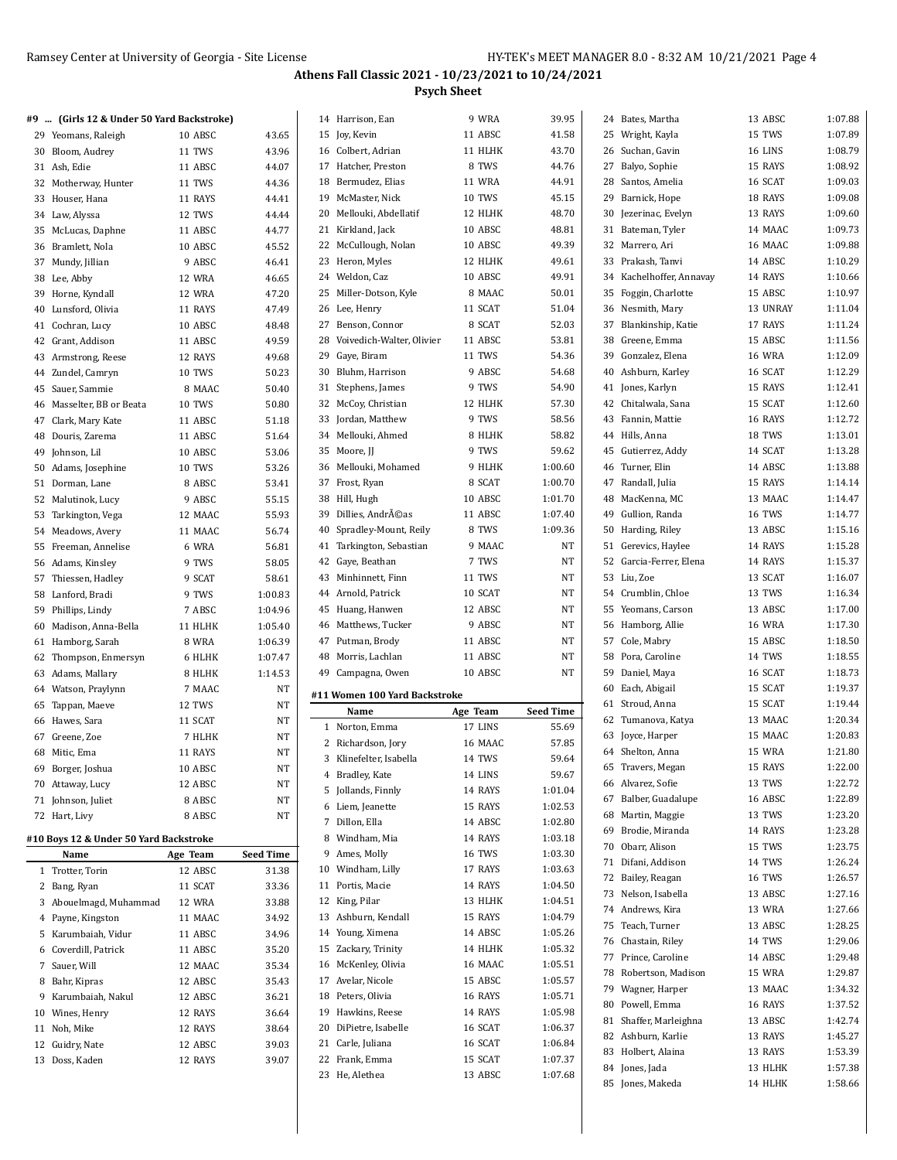Bates, Martha 13 ABSC 1:07.88 Wright, Kayla 15 TWS 1:07.89

#### **Athens Fall Classic 2021 - 10/23/2021 to 10/24/2021 Psych Sheet**

9 WRA 39.95 11 ABSC 41.58

11 HLHK 8 TWS 11 WRA 10 TWS 12 HLHK 10 ABSC 10 ABSC 12 HLHK 10 ABSC 8 MAAC 11 SCAT 8 SCAT

11 TWS 9 ABSC 9 TWS 12 HLHK 9 TWS 8 HLHK 9 TWS 9 HLHK 8 SCAT 10 ABSC 11 ABSC 8 TWS 9 MAAC 7 TWS 11 TWS 10 SCAT 12 ABSC 9 ABSC 11 ABSC 11 ABSC 10 ABSC

**Age Team** 17 LINS 16 MAAC 14 TWS 14 LINS 14 RAYS 15 RAYS 14 ABSC 14 RAYS 16 TWS 17 RAYS 14 RAYS 13 HLHK

13 Ashburn, Kendall 15 RAYS 14 Young, Ximena 14 ABSC 15 Zackary, Trinity 14 HLHK 16 McKenley, Olivia 16 MAAC 17 Avelar, Nicole 15 ABSC 18 Peters, Olivia 16 RAYS 19 Hawkins, Reese 14 RAYS 20 DiPietre, Isabelle 16 SCAT 21 Carle, Juliana 16 SCAT 22 Frank, Emma 15 SCAT 23 He, Alethea 13 ABSC

|    | Ramsey Center at University of Georgia - Site License |          |           |    |                                      | пr                 |
|----|-------------------------------------------------------|----------|-----------|----|--------------------------------------|--------------------|
|    |                                                       |          |           |    | Athens Fall Classic 2021 - 10/23/202 |                    |
|    |                                                       |          |           |    |                                      | <b>Psych Sheet</b> |
|    | #9  (Girls 12 & Under 50 Yard Backstroke)             |          |           |    | 14 Harrison, Ean                     | 9 WRA              |
|    | 29 Yeomans, Raleigh                                   | 10 ABSC  | 43.65     |    | 15 Joy, Kevin                        | 11 ABSC            |
|    | 30 Bloom, Audrey                                      | 11 TWS   | 43.96     |    | 16 Colbert, Adrian                   | 11 HLHK            |
|    | 31 Ash, Edie                                          | 11 ABSC  | 44.07     |    | 17 Hatcher, Preston                  | 8 TWS              |
|    | 32 Motherway, Hunter                                  | 11 TWS   | 44.36     |    | 18 Bermudez, Elias                   | 11 WRA             |
|    | 33 Houser, Hana                                       | 11 RAYS  | 44.41     |    | 19 McMaster, Nick                    | <b>10 TWS</b>      |
|    | 34 Law, Alyssa                                        | 12 TWS   | 44.44     |    | 20 Mellouki, Abdellatif              | 12 HLHK            |
|    | 35 McLucas, Daphne                                    | 11 ABSC  | 44.77     |    | 21 Kirkland, Jack                    | 10 ABSC            |
|    | 36 Bramlett, Nola                                     | 10 ABSC  | 45.52     |    | 22 McCullough, Nolan                 | 10 ABSC            |
| 37 | Mundy, Jillian                                        | 9 ABSC   | 46.41     |    | 23 Heron, Myles                      | 12 HLHK            |
|    | 38 Lee, Abby                                          | 12 WRA   | 46.65     |    | 24 Weldon, Caz                       | 10 ABSC            |
|    | 39 Horne, Kyndall                                     | 12 WRA   | 47.20     | 25 | Miller-Dotson, Kyle                  | 8 MAA0             |
|    | 40 Lunsford, Olivia                                   | 11 RAYS  | 47.49     |    | 26 Lee, Henry                        | 11 SCAT            |
|    | 41 Cochran, Lucy                                      | 10 ABSC  | 48.48     | 27 | Benson, Connor                       | 8 SCAT             |
|    | 42 Grant, Addison                                     | 11 ABSC  | 49.59     |    | 28 Voivedich-Walter, Olivier         | 11 ABSC            |
|    | 43 Armstrong, Reese                                   | 12 RAYS  | 49.68     | 29 | Gaye, Biram                          | 11 TWS             |
|    | 44 Zundel, Camryn                                     | 10 TWS   | 50.23     | 30 | Bluhm, Harrison                      | 9 ABSC             |
|    | 45 Sauer, Sammie                                      | 8 MAAC   | 50.40     | 31 | Stephens, James                      | 9 TWS              |
|    | 46 Masselter, BB or Beata                             | 10 TWS   | 50.80     | 32 | McCoy, Christian                     | 12 HLHK            |
| 47 | Clark, Mary Kate                                      | 11 ABSC  | 51.18     |    | 33 Jordan, Matthew                   | 9 TWS              |
|    | 48 Douris, Zarema                                     | 11 ABSC  | 51.64     |    | 34 Mellouki, Ahmed                   | 8 HLHK             |
|    | 49 Johnson, Lil                                       | 10 ABSC  | 53.06     |    | 35 Moore, II                         | 9 TWS              |
|    | 50 Adams, Josephine                                   | 10 TWS   | 53.26     |    | 36 Mellouki, Mohamed                 | 9 HLHK             |
|    | 51 Dorman, Lane                                       | 8 ABSC   | 53.41     | 37 | Frost, Ryan                          | 8 SCAT             |
|    | 52 Malutinok, Lucy                                    | 9 ABSC   | 55.15     |    | 38 Hill, Hugh                        | 10 ABSC            |
|    | 53 Tarkington, Vega                                   | 12 MAAC  | 55.93     | 39 | Dillies, Andréas                     | 11 ABSC            |
|    | 54 Meadows, Avery                                     | 11 MAAC  | 56.74     | 40 | Spradley-Mount, Reily                | 8 TWS              |
|    | 55 Freeman, Annelise                                  | 6 WRA    | 56.81     | 41 | Tarkington, Sebastian                | 9 MAA(             |
|    | 56 Adams, Kinsley                                     | 9 TWS    | 58.05     | 42 | Gaye, Beathan                        | 7 TWS              |
| 57 | Thiessen, Hadley                                      | 9 SCAT   | 58.61     |    | 43 Minhinnett, Finn                  | 11 TWS             |
|    | 58 Lanford, Bradi                                     | 9 TWS    | 1:00.83   |    | 44 Arnold, Patrick                   | 10 SCAT            |
|    | 59 Phillips, Lindy                                    | 7 ABSC   | 1:04.96   |    | 45 Huang, Hanwen                     | 12 ABSC            |
|    | 60 Madison, Anna-Bella                                | 11 HLHK  | 1:05.40   |    | 46 Matthews, Tucker                  | 9 ABSC             |
|    | 61 Hamborg, Sarah                                     | 8 WRA    | 1:06.39   |    | 47 Putman, Brody                     | 11 ABSC            |
| 62 | Thompson, Enmersyn                                    | 6 HLHK   | 1:07.47   |    | 48 Morris, Lachlan                   | 11 ABSC            |
|    | 63 Adams, Mallary                                     | 8 HLHK   | 1:14.53   | 49 | Campagna, Owen                       | 10 ABSC            |
|    | 64 Watson, Praylynn                                   | 7 MAAC   | NΤ        |    |                                      |                    |
|    | 65 Tappan, Maeve                                      | 12 TWS   | NT        |    | #11 Women 100 Yard Backstroke        |                    |
|    | 66 Hawes, Sara                                        | 11 SCAT  | NT        |    | Name                                 | Age Team           |
| 67 | Greene, Zoe                                           | 7 HLHK   | NΤ        |    | 1 Norton, Emma                       | 17 LINS            |
| 68 | Mitic, Ema                                            | 11 RAYS  | NT        |    | 2 Richardson, Jory                   | 16 MAA             |
| 69 | Borger, Joshua                                        | 10 ABSC  | NT        | 3  | Klinefelter, Isabella                | 14 TWS             |
|    | 70 Attaway, Lucy                                      | 12 ABSC  | NΤ        | 4  | Bradley, Kate                        | 14 LINS            |
|    | 71 Johnson, Juliet                                    | 8 ABSC   | NT        |    | 5 Jollands, Finnly                   | 14 RAYS            |
|    | 72 Hart, Livy                                         | 8 ABSC   | NΤ        |    | 6 Liem, Jeanette                     | 15 RAYS            |
|    |                                                       |          |           |    | 7 Dillon, Ella                       | 14 ABSC            |
|    | #10 Boys 12 & Under 50 Yard Backstroke                |          |           | 8  | Windham, Mia                         | 14 RAYS            |
|    | Name                                                  | Age Team | Seed Time | 9  | Ames, Molly                          | 16 TWS             |
|    | 1 Trotter, Torin                                      | 12 ABSC  | 31.38     |    | 10 Windham, Lilly                    | 17 RAYS            |
|    | 2 Bang, Ryan                                          | 11 SCAT  | 33.36     |    | 11 Portis, Macie                     | 14 RAYS            |
|    | 3 Abouelmagd, Muhammad                                | 12 WRA   | 33.88     |    | 12 King, Pilar                       | 13 HLHK            |

 Payne, Kingston 11 MAAC 34.92 Karumbaiah, Vidur 11 ABSC 34.96 Coverdill, Patrick 11 ABSC 35.20 Sauer, Will 12 MAAC 35.34 Bahr, Kipras 12 ABSC 35.43 9 Karumbaiah, Nakul 12 ABSC 36.21 Wines, Henry 12 RAYS 36.64 Noh, Mike 12 RAYS 38.64 Guidry, Nate 12 ABSC 39.03 Doss, Kaden 12 RAYS 39.07

| 43.70     |    | 26 Suchan, Gavin         | 16 LINS       | 1:08.79 |  |
|-----------|----|--------------------------|---------------|---------|--|
| 44.76     | 27 | Balyo, Sophie            | 15 RAYS       | 1:08.92 |  |
| 44.91     | 28 | Santos, Amelia           | 16 SCAT       | 1:09.03 |  |
| 45.15     |    | 29 Barnick, Hope         | 18 RAYS       | 1:09.08 |  |
| 48.70     | 30 | Jezerinac, Evelyn        | 13 RAYS       | 1:09.60 |  |
| 48.81     | 31 | Bateman, Tyler           | 14 MAAC       | 1:09.73 |  |
| 49.39     | 32 | Marrero, Ari             | 16 MAAC       | 1:09.88 |  |
| 49.61     | 33 | Prakash, Tanvi           | 14 ABSC       | 1:10.29 |  |
| 49.91     |    | 34 Kachelhoffer, Annavay | 14 RAYS       | 1:10.66 |  |
| 50.01     |    | 35 Foggin, Charlotte     | 15 ABSC       | 1:10.97 |  |
| 51.04     |    | 36 Nesmith, Mary         | 13 UNRAY      | 1:11.04 |  |
| 52.03     | 37 | Blankinship, Katie       | 17 RAYS       | 1:11.24 |  |
| 53.81     |    | 38 Greene, Emma          | 15 ABSC       | 1:11.56 |  |
| 54.36     |    | 39 Gonzalez, Elena       | <b>16 WRA</b> | 1:12.09 |  |
| 54.68     | 40 | Ashburn, Karley          | 16 SCAT       | 1:12.29 |  |
| 54.90     | 41 |                          | 15 RAYS       | 1:12.41 |  |
|           |    | Jones, Karlyn            |               |         |  |
| 57.30     | 42 | Chitalwala, Sana         | 15 SCAT       | 1:12.60 |  |
| 58.56     | 43 | Fannin, Mattie           | 16 RAYS       | 1:12.72 |  |
| 58.82     |    | 44 Hills, Anna           | 18 TWS        | 1:13.01 |  |
| 59.62     |    | 45 Gutierrez, Addy       | 14 SCAT       | 1:13.28 |  |
| 1:00.60   |    | 46 Turner, Elin          | 14 ABSC       | 1:13.88 |  |
| 1:00.70   | 47 | Randall, Julia           | 15 RAYS       | 1:14.14 |  |
| 1:01.70   | 48 | MacKenna, MC             | 13 MAAC       | 1:14.47 |  |
| 1:07.40   |    | 49 Gullion, Randa        | <b>16 TWS</b> | 1:14.77 |  |
| 1:09.36   |    | 50 Harding, Riley        | 13 ABSC       | 1:15.16 |  |
| NΤ        | 51 | Gerevics, Haylee         | 14 RAYS       | 1:15.28 |  |
| NΤ        |    | 52 Garcia-Ferrer, Elena  | 14 RAYS       | 1:15.37 |  |
| NT        | 53 | Liu, Zoe                 | 13 SCAT       | 1:16.07 |  |
| NT        |    | 54 Crumblin, Chloe       | 13 TWS        | 1:16.34 |  |
| NΤ        |    | 55 Yeomans, Carson       | 13 ABSC       | 1:17.00 |  |
| NΤ        |    | 56 Hamborg, Allie        | 16 WRA        | 1:17.30 |  |
| NΤ        |    | 57 Cole, Mabry           | 15 ABSC       | 1:18.50 |  |
| NΤ        |    | 58 Pora, Caroline        | 14 TWS        | 1:18.55 |  |
| NΤ        |    | 59 Daniel, Maya          | 16 SCAT       | 1:18.73 |  |
|           | 60 | Each, Abigail            | 15 SCAT       | 1:19.37 |  |
|           | 61 | Stroud, Anna             | 15 SCAT       | 1:19.44 |  |
| Seed Time | 62 | Tumanova, Katya          | 13 MAAC       | 1:20.34 |  |
| 55.69     | 63 | Joyce, Harper            | 15 MAAC       | 1:20.83 |  |
| 57.85     |    | 64 Shelton, Anna         | 15 WRA        | 1:21.80 |  |
| 59.64     | 65 | Travers, Megan           | 15 RAYS       | 1:22.00 |  |
| 59.67     |    | 66 Alvarez, Sofie        | 13 TWS        | 1:22.72 |  |
| 1:01.04   | 67 | Balber, Guadalupe        | 16 ABSC       | 1:22.89 |  |
| 1:02.53   |    | 68 Martin, Maggie        | 13 TWS        | 1:23.20 |  |
| 1:02.80   |    | 69 Brodie, Miranda       | 14 RAYS       | 1:23.28 |  |
| 1:03.18   |    | 70 Obarr, Alison         | 15 TWS        | 1:23.75 |  |
| 1:03.30   |    | 71 Difani, Addison       | 14 TWS        | 1:26.24 |  |
| 1:03.63   |    | 72 Bailey, Reagan        | 16 TWS        | 1:26.57 |  |
| 1:04.50   |    | 73 Nelson, Isabella      | 13 ABSC       | 1:27.16 |  |
| 1:04.51   |    | 74 Andrews, Kira         | 13 WRA        | 1:27.66 |  |
| 1:04.79   |    | 75 Teach, Turner         | 13 ABSC       | 1:28.25 |  |
| 1:05.26   |    | 76 Chastain, Riley       | 14 TWS        | 1:29.06 |  |
| 1:05.32   |    | 77 Prince, Caroline      | 14 ABSC       | 1:29.48 |  |
| 1:05.51   |    | 78 Robertson, Madison    | 15 WRA        | 1:29.87 |  |
| 1:05.57   |    |                          | 13 MAAC       |         |  |
| 1:05.71   |    | 79 Wagner, Harper        |               | 1:34.32 |  |
| 1:05.98   |    | 80 Powell, Emma          | 16 RAYS       | 1:37.52 |  |
| 1:06.37   |    | 81 Shaffer, Marleighna   | 13 ABSC       | 1:42.74 |  |
| 1:06.84   |    | 82 Ashburn, Karlie       | 13 RAYS       | 1:45.27 |  |
| 1:07.37   |    | 83 Holbert, Alaina       | 13 RAYS       | 1:53.39 |  |
| 1:07.68   |    | 84 Jones, Jada           | 13 HLHK       | 1:57.38 |  |
|           |    | 85 Jones, Makeda         | 14 HLHK       | 1:58.66 |  |
|           |    |                          |               |         |  |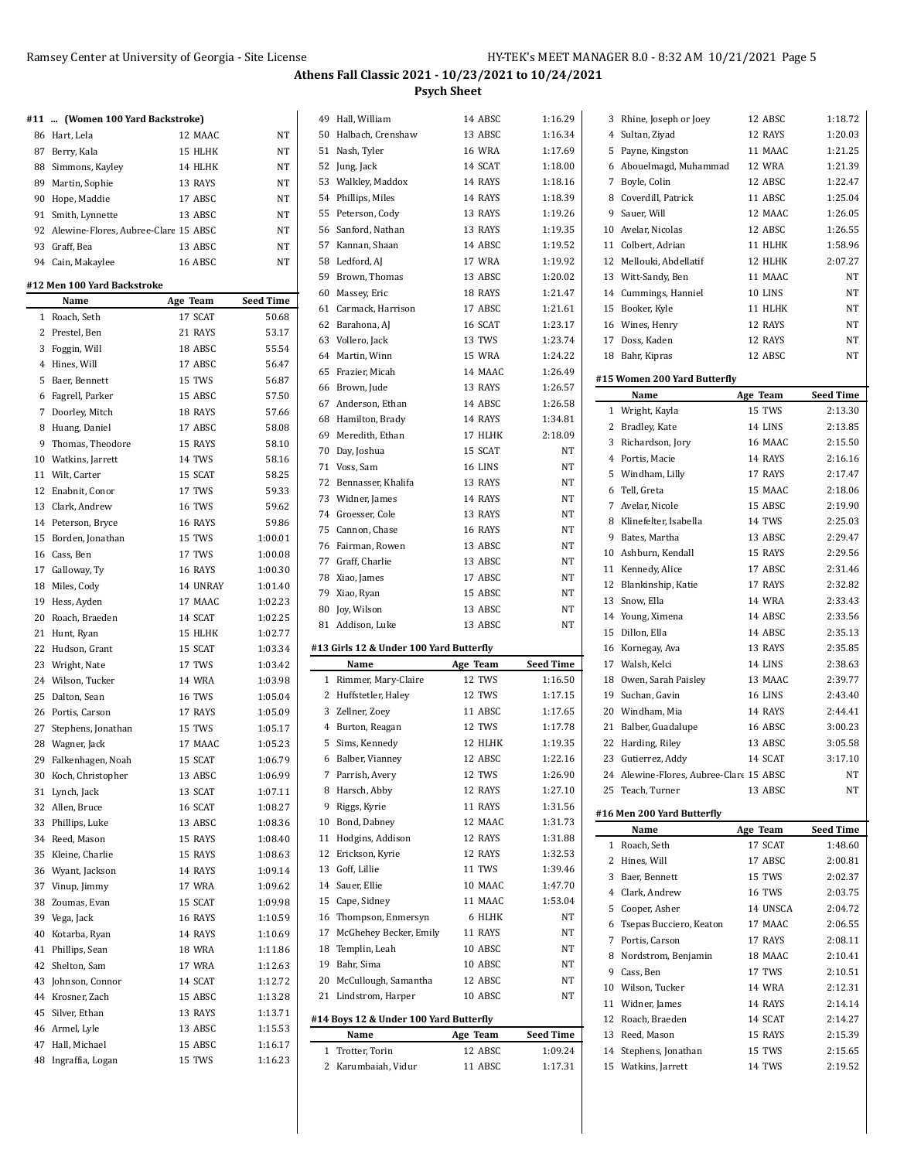|    | #11  (Women 100 Yard Backstroke)        |               |                    |
|----|-----------------------------------------|---------------|--------------------|
|    | 86 Hart, Lela                           | 12 MAAC       | NT                 |
|    | 87 Berry, Kala                          | 15 HLHK       | NT                 |
|    | 88 Simmons, Kayley                      | 14 HLHK       | NT                 |
|    | 89 Martin, Sophie                       | 13 RAYS       | NT                 |
|    | 90 Hope, Maddie                         | 17 ABSC       | NT                 |
|    | 91 Smith, Lynnette                      | 13 ABSC       | NT                 |
|    | 92 Alewine-Flores, Aubree-Clar( 15 ABSC |               | NT                 |
|    | 93 Graff, Bea                           | 13 ABSC       | <b>NT</b>          |
|    | 94 Cain, Makaylee                       | 16 ABSC       | NT                 |
|    | #12 Men 100 Yard Backstroke             |               |                    |
|    | Name                                    | Age Team      | <b>Seed Time</b>   |
|    | 1 Roach, Seth                           | 17 SCAT       | 50.68              |
|    | 2 Prestel, Ben                          | 21 RAYS       | 53.17              |
|    | 3 Foggin, Will                          | 18 ABSC       | 55.54              |
|    | 4 Hines, Will                           | 17 ABSC       | 56.47              |
|    | 5 Baer, Bennett                         | 15 TWS        | 56.87              |
|    | 6 Fagrell, Parker                       | 15 ABSC       | 57.50              |
|    | 7 Doorley, Mitch                        | 18 RAYS       | 57.66              |
|    | 8 Huang, Daniel                         | 17 ABSC       | 58.08              |
|    | 9 Thomas, Theodore                      | 15 RAYS       | 58.10              |
|    | 10 Watkins, Jarrett                     | 14 TWS        | 58.16              |
|    | 11 Wilt, Carter                         | 15 SCAT       | 58.25              |
|    | 12 Enabnit, Conor                       | 17 TWS        | 59.33              |
|    | 13 Clark, Andrew                        | 16 TWS        | 59.62              |
|    | 14 Peterson, Bryce                      | 16 RAYS       | 59.86              |
|    | 15 Borden, Jonathan                     | 15 TWS        | 1:00.01            |
|    | 16 Cass, Ben                            | 17 TWS        | 1:00.08            |
|    | 17 Galloway, Ty                         | 16 RAYS       | 1:00.30            |
|    | 18 Miles, Cody                          | 14 UNRAY      | 1:01.40            |
|    | 19 Hess, Ayden                          | 17 MAAC       | 1:02.23            |
|    | 20 Roach, Braeden                       | 14 SCAT       | 1:02.25            |
|    | 21 Hunt, Ryan                           | 15 HLHK       | 1:02.77            |
|    | 22 Hudson, Grant                        | 15 SCAT       | 1:03.34            |
|    | 23 Wright, Nate                         | 17 TWS        | 1:03.42            |
|    | 24 Wilson, Tucker                       | <b>14 WRA</b> | 1:03.98            |
| 25 | Dalton, Sean                            | <b>16 TWS</b> | 1:05.04            |
|    | 26 Portis, Carson                       | 17 RAYS       | 1:05.09            |
|    | 27 Stephens, Jonathan                   | 15 TWS        | 1:05.17            |
|    | 28 Wagner, Jack                         | 17 MAAC       | 1:05.23            |
| 29 | Falkenhagen, Noah                       | 15 SCAT       | 1:06.79            |
| 30 | Koch, Christopher                       | 13 ABSC       | 1:06.99            |
| 31 | Lynch, Jack                             | 13 SCAT       | 1:07.11            |
| 32 | Allen, Bruce                            | 16 SCAT       | 1:08.27            |
| 33 | Phillips, Luke                          | 13 ABSC       | 1:08.36            |
| 34 | Reed, Mason                             | 15 RAYS       | 1:08.40            |
| 35 | Kleine, Charlie                         | 15 RAYS       | 1:08.63            |
| 36 | Wyant, Jackson                          | 14 RAYS       | 1:09.14            |
| 37 | Vinup, Jimmy                            | 17 WRA        | 1:09.62            |
| 38 | Zoumas, Evan                            | 15 SCAT       | 1:09.98            |
|    |                                         | 16 RAYS       |                    |
|    | 39 Vega, Jack                           |               | 1:10.59<br>1:10.69 |
| 40 | Kotarba, Ryan                           | 14 RAYS       |                    |
| 41 | Phillips, Sean                          | <b>18 WRA</b> | 1:11.86            |
| 42 | Shelton, Sam                            | 17 WRA        | 1:12.63            |
| 43 | Johnson, Connor                         | 14 SCAT       | 1:12.72            |
| 44 | Krosner, Zach                           | 15 ABSC       | 1:13.28            |
| 45 | Silver, Ethan                           | 13 RAYS       | 1:13.71            |
|    | 46 Armel, Lyle                          | 13 ABSC       | 1:15.53            |
| 47 | Hall, Michael                           | 15 ABSC       | 1:16.17            |
| 48 | Ingraffia, Logan                        | 15 TWS        | 1:16.23            |

|        | 49 Hall, William                        | 14 ABSC            | 1:16.29            |
|--------|-----------------------------------------|--------------------|--------------------|
|        | 50 Halbach, Crenshaw                    | 13 ABSC            | 1:16.34            |
| 51     | Nash, Tyler                             | <b>16 WRA</b>      | 1:17.69            |
|        | 52 Jung, Jack                           | 14 SCAT            | 1:18.00            |
|        | 53 Walkley, Maddox                      | 14 RAYS            | 1:18.16            |
|        | 54 Phillips, Miles                      | 14 RAYS            | 1:18.39            |
| 55     | Peterson, Cody                          | 13 RAYS            | 1:19.26            |
| 56     | Sanford, Nathan                         | 13 RAYS            | 1:19.35            |
| 57     | Kannan, Shaan                           | 14 ABSC            | 1:19.52            |
| 58     | Ledford, AJ                             | 17 WRA             | 1:19.92            |
| 59     | Brown, Thomas                           | 13 ABSC            | 1:20.02            |
|        | 60 Massey, Eric                         | 18 RAYS            | 1:21.47            |
| 61     | Carmack, Harrison                       | 17 ABSC            | 1:21.61            |
| 62     | Barahona, AJ                            | 16 SCAT            | 1:23.17            |
| 63     | Vollero, Jack                           | 13 TWS             | 1:23.74            |
|        | 64 Martin, Winn                         | 15 WRA             | 1:24.22            |
| 65     | Frazier, Micah                          | 14 MAAC            | 1:26.49            |
| 66     | Brown, Jude                             | 13 RAYS            | 1:26.57            |
| 67     | Anderson, Ethan                         | 14 ABSC            | 1:26.58            |
| 68     | Hamilton, Brady                         | 14 RAYS            | 1:34.81            |
| 69     | Meredith, Ethan                         | 17 HLHK            | 2:18.09            |
|        | 70 Day, Joshua                          | 15 SCAT            | NT                 |
| 71     | Voss, Sam                               | 16 LINS            | NT                 |
| 72     | Bennasser, Khalifa                      | 13 RAYS            | NT                 |
|        | 73 Widner, James                        | 14 RAYS            | NΤ                 |
|        |                                         |                    |                    |
|        | 74 Groesser, Cole                       | 13 RAYS            | NT                 |
| 75     | Cannon, Chase                           | 16 RAYS            | NΤ                 |
|        | 76 Fairman, Rowen                       | 13 ABSC            | NT                 |
|        | 77 Graff, Charlie                       | 13 ABSC            | NT                 |
|        | 78 Xiao, James                          | 17 ABSC            | NΤ                 |
|        | 79 Xiao, Ryan                           | 15 ABSC            | NT                 |
|        |                                         |                    |                    |
|        | 80 Joy, Wilson                          | 13 ABSC            | NT                 |
|        | 81 Addison, Luke                        | 13 ABSC            | NT                 |
|        | #13 Girls 12 & Under 100 Yard Butterfly |                    |                    |
|        | Name                                    | Age Team           | Seed Time          |
| 1      | Rimmer, Mary-Claire                     | 12 TWS             | 1:16.50            |
| 2      | Huffstetler, Haley                      | 12 TWS             | 1:17.15            |
| 3      | Zellner, Zoev                           | 11 ABSC            | 1:17.65            |
|        | 4 Burton, Reagan                        | 12 TWS             | 1:17.78            |
| 5      | Sims, Kennedy                           | 12 HLHK            | 1:19.35            |
| 6      | Balber, Vianney                         | 12 ABSC            | 1:22.16            |
| 7      | Parrish, Avery                          | 12 TWS             | 1:26.90            |
| 8      | Harsch, Abby                            | 12 RAYS            | 1:27.10            |
| 9      | Riggs, Kyrie                            | 11 RAYS            | 1:31.56            |
| 10     | Bond, Dabney                            | 12 MAAC            | 1:31.73            |
| 11     | Hodgins, Addison                        | 12 RAYS            | 1:31.88            |
| 12     | Erickson, Kyrie                         | 12 RAYS            | 1:32.53            |
| 13     | Goff, Lillie                            | 11 TWS             | 1:39.46            |
| 14     | Sauer, Ellie                            | 10 MAAC            | 1:47.70            |
| 15     | Cape, Sidney                            | 11 MAAC            | 1:53.04            |
| 16     | Thompson, Enmersyn                      | 6 HLHK             | NT                 |
| 17     | McGhehey Becker, Emily                  | 11 RAYS            | NT                 |
| 18     | Templin, Leah                           | 10 ABSC            | NT                 |
| 19     | Bahr, Sima                              | 10 ABSC            | NT                 |
| 20     | McCullough, Samantha                    | 12 ABSC            | NT                 |
| 21     | Lindstrom, Harper                       | 10 ABSC            | NT                 |
|        |                                         |                    |                    |
|        | #14 Boys 12 & Under 100 Yard Butterfly  |                    |                    |
|        | Name                                    | Age Team           | Seed Time          |
| 1<br>2 | Trotter, Torin<br>Karumbaiah, Vidur     | 12 ABSC<br>11 ABSC | 1:09.24<br>1:17.31 |

|              | Rhine, Joseph or Joey                        | 12 ABSC                   | 1:18.72              |
|--------------|----------------------------------------------|---------------------------|----------------------|
|              | 4 Sultan, Ziyad                              | 12 RAYS                   | 1:20.03              |
|              | 5 Payne, Kingston                            | 11 MAAC                   | 1:21.25              |
|              | 6 Abouelmagd, Muhammad                       | 12 WRA                    | 1:21.39              |
| 7            | Boyle, Colin                                 | 12 ABSC                   | 1:22.47              |
|              | 8 Coverdill, Patrick                         | 11 ABSC                   | 1:25.04              |
|              | 9 Sauer, Will                                | 12 MAAC                   | 1:26.05              |
|              | 10 Avelar, Nicolas                           | 12 ABSC                   | 1:26.55              |
|              | 11 Colbert, Adrian                           | 11 HLHK                   | 1:58.96              |
|              | 12 Mellouki, Abdellatif                      | 12 HLHK                   | 2:07.27              |
|              | 13 Witt-Sandy, Ben                           | 11 MAAC                   | NT                   |
|              | 14 Cummings, Hanniel                         | 10 LINS                   | NT                   |
|              | 15 Booker, Kyle                              | 11 HLHK                   | NΤ                   |
|              | 16 Wines, Henry                              | 12 RAYS                   | NΤ                   |
|              | 17 Doss, Kaden                               | 12 RAYS                   | NΤ                   |
|              | 18 Bahr, Kipras                              | 12 ABSC                   | NΤ                   |
|              |                                              |                           |                      |
|              | #15 Women 200 Yard Butterfly                 |                           |                      |
|              | Name                                         | Age Team                  | Seed Time            |
|              | 1 Wright, Kayla                              | 15 TWS                    | 2:13.30              |
|              | 2 Bradley, Kate                              | 14 LINS                   | 2:13.85              |
| 3            | Richardson, Jory                             | 16 MAAC                   | 2:15.50              |
|              | 4 Portis, Macie                              | 14 RAYS                   | 2:16.16              |
|              | 5 Windham, Lilly                             | 17 RAYS                   | 2:17.47              |
|              | 6 Tell, Greta                                | 15 MAAC                   | 2:18.06              |
|              | 7 Avelar, Nicole                             | 15 ABSC                   | 2:19.90              |
|              | 8 Klinefelter, Isabella                      | 14 TWS                    | 2:25.03              |
|              | 9 Bates, Martha                              | 13 ABSC                   | 2:29.47              |
|              | 10 Ashburn, Kendall                          | 15 RAYS                   | 2:29.56              |
| 11           | Kennedy, Alice                               | 17 ABSC                   | 2:31.46              |
|              | 12 Blankinship, Katie                        | 17 RAYS                   | 2:32.82              |
|              | 13 Snow, Ella                                | 14 WRA                    | 2:33.43              |
|              | 14 Young, Ximena                             | 14 ABSC                   | 2:33.56              |
|              | 15 Dillon, Ella                              | 14 ABSC                   | 2:35.13              |
|              |                                              |                           |                      |
|              | 16 Kornegay, Ava                             | 13 RAYS                   | 2:35.85              |
|              | 17 Walsh, Kelci                              | 14 LINS                   | 2:38.63              |
|              | 18 Owen, Sarah Paisley                       | 13 MAAC                   | 2:39.77              |
|              | 19 Suchan, Gavin                             | 16 LINS                   | 2:43.40              |
|              | 20 Windham, Mia                              | 14 RAYS                   | 2:44.41              |
|              | 21 Balber, Guadalupe                         | 16 ABSC                   | 3:00.23              |
| 22           | Harding, Riley                               | 13 ABSC                   | 3:05.58              |
|              | 23 Gutierrez, Addy                           | 14 SCAT                   | 3:17.10              |
|              | 24 Alewine-Flores, Aubree-Clare 15 ABSC      |                           | NΤ                   |
|              | 25 Teach, Turner                             | 13 ABSC                   | NΤ                   |
|              |                                              |                           |                      |
|              | #16 Men 200 Yard Butterfly<br>Name           |                           |                      |
| $\mathbf{1}$ | Roach, Seth                                  | Age Team<br>17 SCAT       | Seed Time<br>1:48.60 |
| 2            |                                              | 17 ABSC                   | 2:00.81              |
|              | Hines, Will<br>3 Baer, Bennett               | 15 TWS                    | 2:02.37              |
|              |                                              |                           | 2:03.75              |
| 5            | 4 Clark, Andrew<br>Cooper, Asher             | <b>16 TWS</b><br>14 UNSCA | 2:04.72              |
|              | 6 Tsepas Bucciero, Keaton                    | 17 MAAC                   | 2:06.55              |
|              | 7 Portis, Carson                             | 17 RAYS                   | 2:08.11              |
|              | 8 Nordstrom, Benjamin                        | 18 MAAC                   | 2:10.41              |
|              |                                              | 17 TWS                    | 2:10.51              |
|              | 9 Cass, Ben                                  | 14 WRA                    | 2:12.31              |
|              | 10 Wilson, Tucker                            | 14 RAYS                   | 2:14.14              |
|              | 11 Widner, James                             | 14 SCAT                   |                      |
|              | 12 Roach, Braeden                            | 15 RAYS                   | 2:14.27<br>2:15.39   |
|              | 13 Reed, Mason                               | 15 TWS                    | 2:15.65              |
|              | 14 Stephens, Jonathan<br>15 Watkins, Jarrett | 14 TWS                    | 2:19.52              |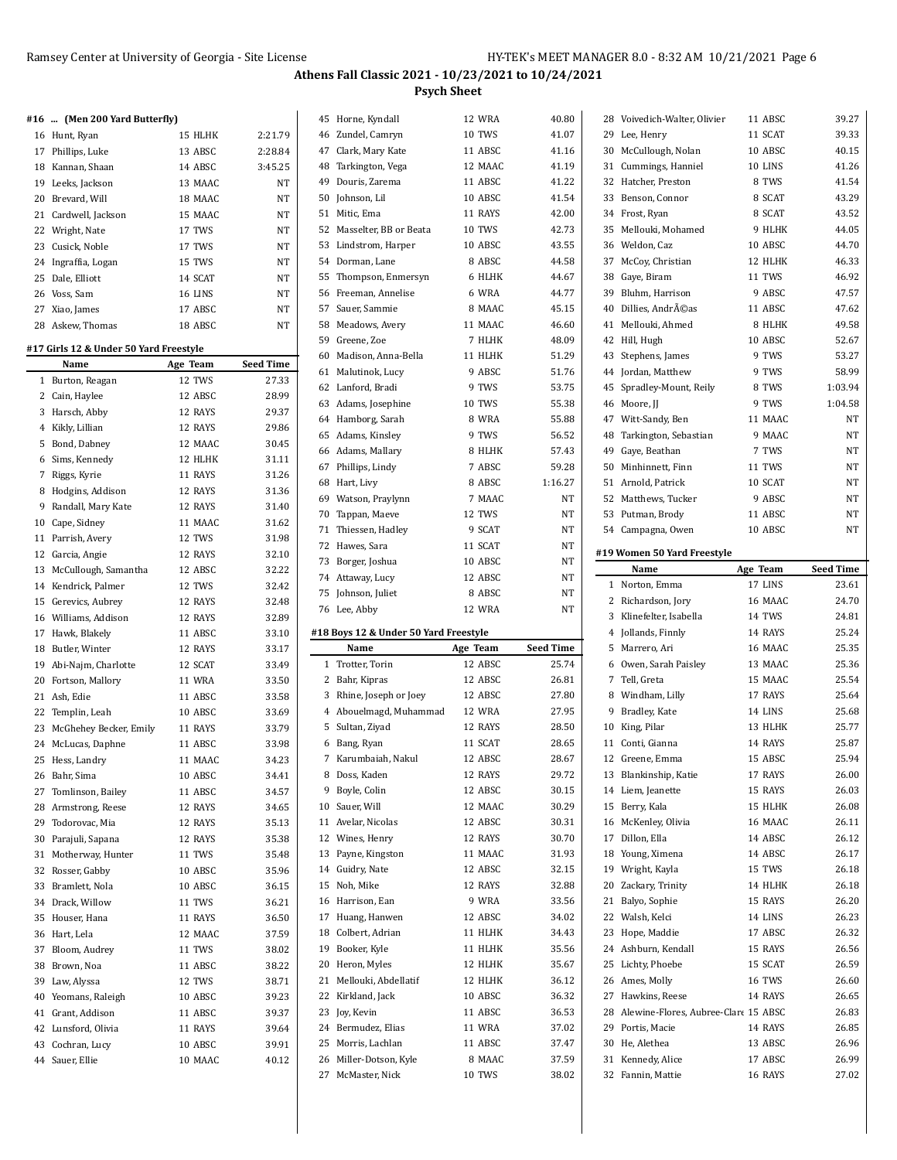# **#16 ... (Men 200 Yard Butterfly)**

| 16 Hunt, Ryan        | 15 HLHK | 2:21.79 |
|----------------------|---------|---------|
| 17 Phillips, Luke    | 13 ABSC | 2:28.84 |
| 18 Kannan, Shaan     | 14 ABSC | 3:45.25 |
| 19 Leeks, Jackson    | 13 MAAC | NT      |
| 20 Brevard, Will     | 18 MAAC | NT      |
| 21 Cardwell, Jackson | 15 MAAC | NT      |
| 22 Wright, Nate      | 17 TWS  | NT      |
| 23 Cusick, Noble     | 17 TWS  | NT      |
| 24 Ingraffia, Logan  | 15 TWS  | NT      |
| 25 Dale, Elliott     | 14 SCAT | NT      |
| 26 Voss, Sam         | 16 LINS | NT      |
| 27 Xiao, James       | 17 ABSC | NT      |
| 28 Askew. Thomas     | 18 ABSC | NT      |

#### **#17 Girls 12 & Under 50 Yard Freestyle**

|    | Name                      | Age Team      | <b>Seed Time</b> |
|----|---------------------------|---------------|------------------|
| 1  | Burton, Reagan            | 12 TWS        | 27.33            |
|    | 2 Cain, Haylee            | 12 ABSC       | 28.99            |
| 3  | Harsch, Abby              | 12 RAYS       | 29.37            |
|    | 4 Kikly, Lillian          | 12 RAYS       | 29.86            |
| 5  | Bond, Dabney              | 12 MAAC       | 30.45            |
| 6  | Sims, Kennedy             | 12 HLHK       | 31.11            |
| 7  | Riggs, Kyrie              | 11 RAYS       | 31.26            |
| 8  | Hodgins, Addison          | 12 RAYS       | 31.36            |
| 9  | Randall, Mary Kate        | 12 RAYS       | 31.40            |
|    | 10 Cape, Sidney           | 11 MAAC       | 31.62            |
| 11 | Parrish, Avery            | 12 TWS        | 31.98            |
| 12 | Garcia, Angie             | 12 RAYS       | 32.10            |
| 13 | McCullough, Samantha      | 12 ABSC       | 32.22            |
|    | 14 Kendrick, Palmer       | 12 TWS        | 32.42            |
| 15 | Gerevics, Aubrey          | 12 RAYS       | 32.48            |
|    | 16 Williams, Addison      | 12 RAYS       | 32.89            |
| 17 | Hawk, Blakely             | 11 ABSC       | 33.10            |
|    | 18 Butler, Winter         | 12 RAYS       | 33.17            |
|    | 19 Abi-Najm, Charlotte    | 12 SCAT       | 33.49            |
|    | 20 Fortson, Mallory       | <b>11 WRA</b> | 33.50            |
| 21 | Ash, Edie                 | 11 ABSC       | 33.58            |
| 22 | Templin, Leah             | 10 ABSC       | 33.69            |
|    | 23 McGhehey Becker, Emily | 11 RAYS       | 33.79            |
|    | 24 McLucas, Daphne        | 11 ABSC       | 33.98            |
| 25 | Hess, Landry              | 11 MAAC       | 34.23            |
|    | 26 Bahr, Sima             | 10 ABSC       | 34.41            |
| 27 | Tomlinson, Bailey         | 11 ABSC       | 34.57            |
|    | 28 Armstrong, Reese       | 12 RAYS       | 34.65            |
| 29 | Todorovac, Mia            | 12 RAYS       | 35.13            |
|    | 30 Parajuli, Sapana       | 12 RAYS       | 35.38            |
| 31 | Motherway, Hunter         | 11 TWS        | 35.48            |
|    | 32 Rosser, Gabby          | 10 ABSC       | 35.96            |
| 33 | Bramlett, Nola            | 10 ABSC       | 36.15            |
| 34 | Drack, Willow             | 11 TWS        | 36.21            |
| 35 | Houser, Hana              | 11 RAYS       | 36.50            |
| 36 | Hart, Lela                | 12 MAAC       | 37.59            |
| 37 | Bloom, Audrey             | 11 TWS        | 38.02            |
|    | 38 Brown, Noa             | 11 ABSC       | 38.22            |
|    | 39 Law, Alyssa            | 12 TWS        | 38.71            |
|    | 40 Yeomans, Raleigh       | 10 ABSC       | 39.23            |
| 41 | Grant, Addison            | 11 ABSC       | 39.37            |
| 42 | Lunsford, Olivia          | 11 RAYS       | 39.64            |
|    | 43 Cochran, Lucy          | 10 ABSC       | 39.91            |
| 44 | Sauer, Ellie              | 10 MAAC       | 40.12            |

| 45 | Horne, Kyndall                                | 12 WRA              | 40.80                     | 2                       |
|----|-----------------------------------------------|---------------------|---------------------------|-------------------------|
|    | 46 Zundel, Camryn                             | <b>10 TWS</b>       | 41.07                     | 2                       |
|    | 47 Clark, Mary Kate                           | 11 ABSC             | 41.16                     | 3                       |
| 48 | Tarkington, Vega                              | 12 MAAC             | 41.19                     | 3                       |
| 49 | Douris, Zarema                                | 11 ABSC             | 41.22                     | 3                       |
| 50 | Johnson, Lil                                  | 10 ABSC             | 41.54                     | 3                       |
| 51 | Mitic, Ema                                    | 11 RAYS             | 42.00                     | 3                       |
| 52 | Masselter, BB or Beata                        | <b>10 TWS</b>       | 42.73                     | 3                       |
| 53 | Lindstrom, Harper                             | 10 ABSC             | 43.55                     | 3                       |
| 54 | Dorman, Lane                                  | 8 ABSC              | 44.58                     | 3                       |
| 55 | Thompson, Enmersyn                            | 6 HLHK              | 44.67                     | 3                       |
| 56 | Freeman, Annelise                             | 6 WRA               | 44.77                     | 3                       |
|    | 57 Sauer, Sammie                              | 8 MAAC              | 45.15                     | $\overline{4}$          |
| 58 | Meadows, Avery                                | 11 MAAC             | 46.60                     | $\overline{4}$          |
|    | 59 Greene, Zoe                                | 7 HLHK              | 48.09                     | $\overline{4}$          |
| 60 | Madison, Anna-Bella                           | 11 HLHK             | 51.29                     | $\overline{4}$          |
| 61 | Malutinok, Lucy                               | 9 ABSC              | 51.76                     | $\overline{4}$          |
| 62 | Lanford, Bradi                                | 9 TWS               | 53.75                     | $\overline{4}$          |
| 63 | Adams, Josephine                              | 10 TWS              | 55.38                     | 4                       |
|    | 64 Hamborg, Sarah                             | 8 WRA               | 55.88                     | $\overline{4}$          |
| 65 | Adams, Kinsley                                | 9 TWS               | 56.52                     | $\overline{4}$          |
|    | 66 Adams, Mallary                             | 8 HLHK              | 57.43                     | $\overline{4}$          |
|    | 67 Phillips, Lindy                            | 7 ABSC              | 59.28                     | 5                       |
| 68 | Hart, Livy                                    | 8 ABSC              | 1:16.27                   | 5                       |
|    | 69 Watson, Praylynn                           | 7 MAAC              | NT                        | 5                       |
| 70 | Tappan, Maeve                                 | 12 TWS              | NT                        | 5                       |
| 71 | Thiessen, Hadley                              | 9 SCAT              | NΤ                        | 5                       |
|    | 72 Hawes, Sara                                | 11 SCAT             | NΤ                        |                         |
| 73 | Borger, Joshua                                | 10 ABSC             | NT                        | #1                      |
|    | 74 Attaway, Lucy                              | 12 ABSC             | NΤ                        |                         |
| 75 |                                               |                     |                           |                         |
|    | Johnson, Juliet                               | 8 ABSC              | NT                        |                         |
|    | 76 Lee, Abby                                  | 12 WRA              | NΤ                        |                         |
|    |                                               |                     |                           |                         |
|    | #18 Boys 12 & Under 50 Yard Freestyle<br>Name |                     |                           |                         |
| 1  | Trotter, Torin                                | Age Team<br>12 ABSC | <b>Seed Time</b><br>25.74 |                         |
| 2  | Bahr, Kipras                                  | 12 ABSC             | 26.81                     |                         |
| 3  | Rhine, Joseph or Joey                         | 12 ABSC             | 27.80                     |                         |
| 4  | Abouelmagd, Muhammad                          | 12 WRA              | 27.95                     |                         |
| 5  | Sultan, Ziyad                                 | 12 RAYS             | 28.50                     | 1                       |
| 6  | Bang, Ryan                                    | 11 SCAT             | 28.65                     | 1                       |
| 7  | Karumbaiah, Nakul                             | 12 ABSC             | 28.67                     | 1                       |
| 8  | Doss, Kaden                                   | 12 RAYS             | 29.72                     | 1                       |
| 9  | Boyle, Colin                                  | 12 ABSC             | 30.15                     | 1                       |
| 10 | Sauer, Will                                   | 12 MAAC             | 30.29                     | $\mathbf{1}$            |
| 11 | Avelar, Nicolas                               | 12 ABSC             | 30.31                     | 1                       |
| 12 | Wines, Henry                                  | 12 RAYS             | 30.70                     | 1                       |
| 13 | Payne, Kingston                               | 11 MAAC             | 31.93                     | 1                       |
| 14 | Guidry, Nate                                  | 12 ABSC             | 32.15                     | $\mathbf{1}$            |
| 15 | Noh, Mike                                     | 12 RAYS             | 32.88                     | 2                       |
| 16 | Harrison, Ean                                 | 9 WRA               | 33.56                     | 2                       |
| 17 | Huang, Hanwen                                 | 12 ABSC             | 34.02                     | 2                       |
| 18 | Colbert, Adrian                               | 11 HLHK             | 34.43                     | $\overline{\mathbf{c}}$ |
| 19 | Booker, Kyle                                  | 11 HLHK             | 35.56                     | 2                       |
| 20 | Heron, Myles                                  | 12 HLHK             | 35.67                     | 2                       |
| 21 | Mellouki, Abdellatif                          | 12 HLHK             | 36.12                     | 2                       |
| 22 | Kirkland, Jack                                | 10 ABSC             | 36.32                     | 2                       |
| 23 | Joy, Kevin                                    | 11 ABSC             | 36.53                     | 2                       |
| 24 | Bermudez, Elias                               | <b>11 WRA</b>       | 37.02                     | 2                       |
| 25 | Morris, Lachlan                               | 11 ABSC             | 37.47                     | 3                       |
| 26 | Miller-Dotson, Kyle                           | 8 MAAC              | 37.59                     | 3                       |

 $\overline{a}$ 

|              | 28 Voivedich-Walter, Olivier            | 11 ABSC  | 39.27            |
|--------------|-----------------------------------------|----------|------------------|
|              | 29 Lee, Henry                           | 11 SCAT  | 39.33            |
|              | 30 McCullough, Nolan                    | 10 ABSC  | 40.15            |
| 31           | Cummings, Hanniel                       | 10 LINS  | 41.26            |
| 32           | Hatcher, Preston                        | 8 TWS    | 41.54            |
|              | 33 Benson, Connor                       | 8 SCAT   | 43.29            |
|              | 34 Frost, Ryan                          | 8 SCAT   | 43.52            |
| 35           | Mellouki, Mohamed                       | 9 HLHK   | 44.05            |
|              | 36 Weldon, Caz                          | 10 ABSC  | 44.70            |
| 37           | McCoy, Christian                        | 12 HLHK  | 46.33            |
|              | 38 Gaye, Biram                          | 11 TWS   | 46.92            |
|              | 39 Bluhm, Harrison                      | 9 ABSC   | 47.57            |
|              | 40 Dillies, Andréas                     | 11 ABSC  | 47.62            |
|              | 41 Mellouki, Ahmed                      | 8 HLHK   | 49.58            |
|              | 42 Hill, Hugh                           | 10 ABSC  | 52.67            |
| 43           | Stephens, James                         | 9 TWS    | 53.27            |
|              | 44 Jordan, Matthew                      | 9 TWS    | 58.99            |
|              | 45 Spradley-Mount, Reily                | 8 TWS    | 1:03.94          |
|              | 46 Moore, JJ                            | 9 TWS    | 1:04.58          |
|              | 47 Witt-Sandy, Ben                      | 11 MAAC  | NΤ               |
|              | 48 Tarkington, Sebastian                | 9 MAAC   | NT               |
|              | 49 Gaye, Beathan                        | 7 TWS    | NΤ               |
|              |                                         | 11 TWS   | <b>NT</b>        |
|              | 50 Minhinnett, Finn                     |          |                  |
|              | 51 Arnold, Patrick                      | 10 SCAT  | NΤ               |
|              | 52 Matthews, Tucker                     | 9 ABSC   | <b>NT</b>        |
|              | 53 Putman, Brody                        | 11 ABSC  | NΤ               |
|              | 54 Campagna, Owen                       | 10 ABSC  | NΤ               |
|              | #19 Women 50 Yard Freestyle             |          |                  |
|              | Name                                    | Age Team | <b>Seed Time</b> |
| $\mathbf{1}$ | Norton, Emma                            | 17 LINS  | 23.61            |
|              |                                         |          |                  |
|              | 2 Richardson, Jory                      | 16 MAAC  | 24.70            |
|              | 3 Klinefelter, Isabella                 | 14 TWS   | 24.81            |
|              | 4 Jollands, Finnly                      | 14 RAYS  | 25.24            |
| 5            | Marrero, Ari                            | 16 MAAC  | 25.35            |
|              | 6 Owen, Sarah Paisley                   | 13 MAAC  | 25.36            |
|              | 7 Tell, Greta                           | 15 MAAC  | 25.54            |
|              | 8 Windham, Lilly                        | 17 RAYS  | 25.64            |
| 9            | Bradley, Kate                           | 14 LINS  | 25.68            |
|              | 10 King, Pilar                          | 13 HLHK  | 25.77            |
|              | 11 Conti, Gianna                        | 14 RAYS  | 25.87            |
| 12           | Greene. Emma                            | 15 ABSC  | 25.94            |
|              | 13 Blankinship, Katie                   | 17 RAYS  | 26.00            |
|              | 14 Liem, Jeanette                       | 15 RAYS  | 26.03            |
|              | 15 Berry, Kala                          | 15 HLHK  | 26.08            |
|              | 16 McKenley, Olivia                     | 16 MAAC  | 26.11            |
|              | 17 Dillon, Ella                         | 14 ABSC  | 26.12            |
|              | 18 Young, Ximena                        | 14 ABSC  | 26.17            |
|              | 19 Wright, Kayla                        | 15 TWS   | 26.18            |
|              | 20 Zackary, Trinity                     | 14 HLHK  | 26.18            |
|              | 21 Balyo, Sophie                        | 15 RAYS  | 26.20            |
|              | 22 Walsh, Kelci                         | 14 LINS  | 26.23            |
|              | 23 Hope, Maddie                         | 17 ABSC  | 26.32            |
|              | 24 Ashburn, Kendall                     | 15 RAYS  | 26.56            |
|              | 25 Lichty, Phoebe                       | 15 SCAT  | 26.59            |
|              | 26 Ames, Molly                          | 16 TWS   | 26.60            |
|              | 27 Hawkins, Reese                       | 14 RAYS  | 26.65            |
|              | 28 Alewine-Flores, Aubree-Clare 15 ABSC |          | 26.83            |
|              | 29 Portis, Macie                        | 14 RAYS  | 26.85            |
| 30           | He, Alethea                             | 13 ABSC  | 26.96            |
|              | 31 Kennedy, Alice                       | 17 ABSC  | 26.99            |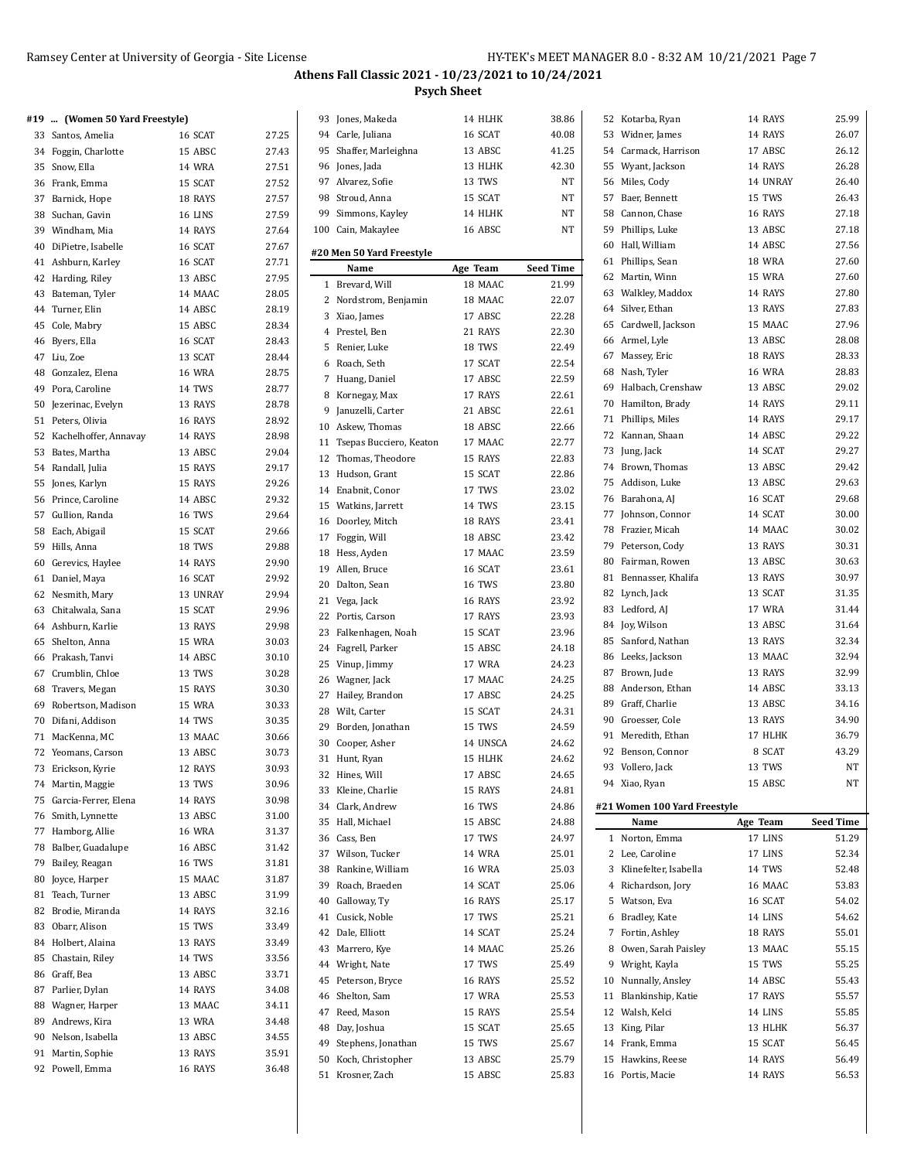28.77 28.78 28.92 28.98 29.04 29.17 29.26 29.32 29.64 8 29.66

29.90 29.92 29.94 29.96 29.98  $30.03$ 

30.66 30.73 30.93 30.96 30.98  $31.00$ 31.37 31.42  $31.81$ 31.87  $31.99$  $32.16$ 33.49 83.49 33.56 33.71 34.08

 $\ddot{\phantom{a}}$ 

### **Athens Fall Classic 2021 - 10/23/2021 to 10/24/2021 Psych Sheet**

#### **#19 ... (Women 50 Yard Freestyle)**

|          | +19  (women 50 raru rieestyle)   |               |       |
|----------|----------------------------------|---------------|-------|
|          | 33 Santos, Amelia                | 16 SCAT       | 27.25 |
|          | 34 Foggin, Charlotte             | 15 ABSC       | 27.43 |
|          | 35 Snow, Ella                    | <b>14 WRA</b> | 27.51 |
|          | 36 Frank, Emma                   | 15 SCAT       | 27.52 |
|          | 37 Barnick, Hope                 | 18 RAYS       | 27.57 |
|          | 38 Suchan, Gavin                 | 16 LINS       | 27.59 |
|          | 39 Windham, Mia                  | 14 RAYS       | 27.64 |
| 40       | DiPietre, Isabelle               | 16 SCAT       | 27.67 |
| 41       | Ashburn, Karley                  | 16 SCAT       | 27.71 |
| 42       | Harding, Riley                   | 13 ABSC       | 27.95 |
| 43       | Bateman, Tyler                   | 14 MAAC       | 28.05 |
|          |                                  | 14 ABSC       |       |
|          | 44 Turner, Elin                  |               | 28.19 |
| 45       | Cole, Mabry                      | 15 ABSC       | 28.34 |
|          | 46 Byers, Ella                   | 16 SCAT       | 28.43 |
|          | 47 Liu, Zoe                      | 13 SCAT       | 28.44 |
|          | 48 Gonzalez, Elena               | <b>16 WRA</b> | 28.75 |
|          | 49 Pora, Caroline                | 14 TWS        | 28.77 |
| 50       | Jezerinac, Evelyn                | 13 RAYS       | 28.78 |
| 51       | Peters, Olivia                   | 16 RAYS       | 28.92 |
| 52       | Kachelhoffer, Annavay            | 14 RAYS       | 28.98 |
|          | 53 Bates, Martha                 | 13 ABSC       | 29.04 |
|          | 54 Randall, Julia                | 15 RAYS       | 29.17 |
|          | 55 Jones, Karlyn                 | 15 RAYS       | 29.26 |
|          | 56 Prince, Caroline              | 14 ABSC       | 29.32 |
|          | 57 Gullion, Randa                | <b>16 TWS</b> | 29.64 |
|          | 58 Each, Abigail                 | 15 SCAT       | 29.66 |
| 59       | Hills, Anna                      | 18 TWS        | 29.88 |
| 60       | Gerevics, Haylee                 | 14 RAYS       | 29.90 |
| 61       | Daniel, Maya                     | 16 SCAT       | 29.92 |
|          | 62 Nesmith, Mary                 | 13 UNRAY      | 29.94 |
|          | 63 Chitalwala, Sana              | 15 SCAT       | 29.96 |
|          | 64 Ashburn, Karlie               | 13 RAYS       | 29.98 |
| 65       | Shelton, Anna                    | 15 WRA        | 30.03 |
|          | 66 Prakash, Tanvi                | 14 ABSC       | 30.10 |
|          | 67 Crumblin, Chloe               | 13 TWS        | 30.28 |
|          | 68 Travers, Megan                | 15 RAYS       | 30.30 |
| 69       | Robertson, Madison               | 15 WRA        | 30.33 |
| 70       | Difani, Addison                  | 14 TWS        | 30.35 |
| 71       | MacKenna, MC                     | 13 MAAC       | 30.66 |
|          | 72 Yeomans, Carson               | 13 ABSC       | 30.73 |
| 73       | Erickson, Kyrie                  | 12 RAYS       | 30.93 |
| 74       | Martin, Maggie                   | 13 TWS        | 30.96 |
| 75       | Garcia-Ferrer, Elena             | 14 RAYS       | 30.98 |
| 76       | Smith, Lynnette                  | 13 ABSC       | 31.00 |
| 77       | Hamborg, Allie                   | <b>16 WRA</b> | 31.37 |
| 78       | Balber, Guadalupe                | 16 ABSC       | 31.42 |
| 79       | Bailey, Reagan                   | 16 TWS        | 31.81 |
| 80       | Joyce, Harper                    | 15 MAAC       | 31.87 |
| 81       | Teach, Turner                    | 13 ABSC       | 31.99 |
|          |                                  | 14 RAYS       |       |
| 82<br>83 | Brodie, Miranda<br>Obarr, Alison | 15 TWS        | 32.16 |
|          |                                  |               | 33.49 |
| 84       | Holbert, Alaina                  | 13 RAYS       | 33.49 |
| 85       | Chastain, Riley                  | 14 TWS        | 33.56 |
| 86       | Graff, Bea                       | 13 ABSC       | 33.71 |
| 87       | Parlier, Dylan                   | 14 RAYS       | 34.08 |
| 88       | Wagner, Harper                   | 13 MAAC       | 34.11 |
| 89       | Andrews, Kira                    | 13 WRA        | 34.48 |
| 90       | Nelson, Isabella                 | 13 ABSC       | 34.55 |
| 91       | Martin, Sophie                   | 13 RAYS       | 35.91 |
|          | 92 Powell, Emma                  | 16 RAYS       | 36.48 |

|              | 93 Jones, Makeda          | 14 HLHK          | 38.86            |  |  |  |  |
|--------------|---------------------------|------------------|------------------|--|--|--|--|
|              | 94 Carle, Juliana         | 16 SCAT<br>40.08 |                  |  |  |  |  |
|              | 95 Shaffer, Marleighna    | 13 ABSC<br>41.25 |                  |  |  |  |  |
|              | 96 Jones, Jada            | 13 HLHK          | 42.30            |  |  |  |  |
|              | 97 Alvarez, Sofie         | 13 TWS           | NT               |  |  |  |  |
|              | 98 Stroud, Anna           | 15 SCAT          | NΤ               |  |  |  |  |
| 99           | Simmons, Kayley           | 14 HLHK          | NT               |  |  |  |  |
|              | 100 Cain, Makaylee        | 16 ABSC          | NT               |  |  |  |  |
|              |                           |                  |                  |  |  |  |  |
|              | #20 Men 50 Yard Freestyle |                  |                  |  |  |  |  |
|              | Name                      | Age Team         | <b>Seed Time</b> |  |  |  |  |
| $\mathbf{1}$ | Brevard, Will             | 18 MAAC          | 21.99            |  |  |  |  |
| 2            | Nordstrom, Benjamin       | 18 MAAC          | 22.07            |  |  |  |  |
|              | 3 Xiao, James             | 17 ABSC          | 22.28            |  |  |  |  |
|              | 4 Prestel, Ben            | 21 RAYS          | 22.30            |  |  |  |  |
| 5            | Renier, Luke              | 18 TWS           | 22.49            |  |  |  |  |
|              | 6 Roach, Seth             | 17 SCAT          | 22.54            |  |  |  |  |
| 7            | Huang, Daniel             | 17 ABSC          | 22.59            |  |  |  |  |
| 8            | Kornegay, Max             | 17 RAYS          | 22.61            |  |  |  |  |
| 9            | Januzelli, Carter         | 21 ABSC          | 22.61            |  |  |  |  |
|              | 10 Askew, Thomas          | 18 ABSC          | 22.66            |  |  |  |  |
| 11           | Tsepas Bucciero, Keaton   | 17 MAAC          | 22.77            |  |  |  |  |
| 12           | Thomas, Theodore          | 15 RAYS          | 22.83            |  |  |  |  |
| 13           | Hudson, Grant             | 15 SCAT          | 22.86            |  |  |  |  |
|              | 14 Enabnit, Conor         | 17 TWS           | 23.02            |  |  |  |  |
|              | 15 Watkins, Jarrett       | 14 TWS           | 23.15            |  |  |  |  |
|              | 16 Doorley, Mitch         | 18 RAYS          | 23.41            |  |  |  |  |
|              | 17 Foggin, Will           | 18 ABSC          | 23.42            |  |  |  |  |
|              | 18 Hess, Ayden            | 17 MAAC          | 23.59            |  |  |  |  |
|              | 19 Allen, Bruce           | 16 SCAT          | 23.61            |  |  |  |  |
|              | 20 Dalton, Sean           | <b>16 TWS</b>    | 23.80            |  |  |  |  |
| 21           | Vega, Jack                | 16 RAYS          | 23.92            |  |  |  |  |
|              | 22 Portis, Carson         | 17 RAYS          | 23.93            |  |  |  |  |
| 23           | Falkenhagen, Noah         | 15 SCAT          | 23.96            |  |  |  |  |
|              | 24 Fagrell, Parker        | 15 ABSC          | 24.18            |  |  |  |  |
|              | 25 Vinup, Jimmy           | 17 WRA           | 24.23            |  |  |  |  |
|              | 26 Wagner, Jack           | 17 MAAC          | 24.25            |  |  |  |  |
|              | 27 Hailey, Brandon        | 17 ABSC          | 24.25            |  |  |  |  |
|              | 28 Wilt, Carter           | 15 SCAT          | 24.31            |  |  |  |  |
|              | 29 Borden, Jonathan       | 15 TWS           | 24.59            |  |  |  |  |
|              | 30 Cooper, Asher          | 14 UNSCA         | 24.62            |  |  |  |  |
| 31           | Hunt, Ryan                | 15 HLHK          | 24.62            |  |  |  |  |
| 32           | Hines, Will               | 17 ABSC          | 24.65            |  |  |  |  |
| 33           | Kleine, Charlie           | 15 RAYS          | 24.81            |  |  |  |  |
|              | 34 Clark, Andrew          | 16 TWS           | 24.86            |  |  |  |  |
|              | 35 Hall, Michael          | 15 ABSC          | 24.88            |  |  |  |  |
|              | 36 Cass, Ben              | 17 TWS           | 24.97            |  |  |  |  |
|              | 37 Wilson, Tucker         | 14 WRA           | 25.01            |  |  |  |  |
|              | 38 Rankine, William       | <b>16 WRA</b>    | 25.03            |  |  |  |  |
|              | 39 Roach, Braeden         | 14 SCAT          | 25.06            |  |  |  |  |
|              | 40 Galloway, Ty           | 16 RAYS          | 25.17            |  |  |  |  |
| 41           | Cusick, Noble             | 17 TWS           | 25.21            |  |  |  |  |
| 42           | Dale, Elliott             | 14 SCAT          | 25.24            |  |  |  |  |
| 43           | Marrero, Kye              | 14 MAAC          | 25.26            |  |  |  |  |
|              | 44 Wright, Nate           | 17 TWS           | 25.49            |  |  |  |  |
|              |                           |                  |                  |  |  |  |  |
| 45           | Peterson, Bryce           | 16 RAYS          | 25.52            |  |  |  |  |
| 46           | Shelton, Sam              | 17 WRA           | 25.53            |  |  |  |  |
| 47           | Reed, Mason               | 15 RAYS          | 25.54            |  |  |  |  |
| 48           | Day, Joshua               | 15 SCAT          | 25.65            |  |  |  |  |
| 49           | Stephens, Jonathan        | 15 TWS           | 25.67            |  |  |  |  |
|              | 50 Koch, Christopher      | 13 ABSC          | 25.79            |  |  |  |  |
| 51           | Krosner, Zach             | 15 ABSC          | 25.83            |  |  |  |  |

| 92<br>93<br>10<br>11<br>15 | 91 Meredith, Ethan<br>Benson, Connor<br>Vollero, Jack<br>94 Xiao, Ryan<br>#21 Women 100 Yard Freestyle<br>Name<br>1 Norton, Emma<br>2 Lee, Caroline<br>3 Klinefelter, Isabella<br>4 Richardson, Jory<br>5 Watson, Eva<br>6 Bradley, Kate<br>7 Fortin, Ashley<br>8 Owen, Sarah Paisley<br>9 Wright, Kayla<br>Nunnally, Ansley<br>Blankinship, Katie<br>12 Walsh, Kelci<br>13 King, Pilar<br>14 Frank, Emma<br>Hawkins, Reese<br>16 Portis, Macie | 17 HLHK<br>8 SCAT<br>13 TWS<br>15 ABSC<br>Age Team<br>17 LINS<br>17 LINS<br>14 TWS<br>16 MAAC<br>16 SCAT<br>14 LINS<br>18 RAYS<br>13 MAAC<br>15 TWS<br>14 ABSC<br>17 RAYS<br>14 LINS<br>13 HLHK<br>15 SCAT<br>14 RAYS<br>14 RAYS | 34.90<br>36.79<br>43.29<br>NΤ<br>NΤ<br><b>Seed Time</b><br>51.29<br>52.34<br>52.48<br>53.83<br>54.02<br>54.62<br>55.01<br>55.15<br>55.25<br>55.43<br>55.57<br>55.85<br>56.37<br>56.45<br>56.49<br>56.53 |
|----------------------------|-------------------------------------------------------------------------------------------------------------------------------------------------------------------------------------------------------------------------------------------------------------------------------------------------------------------------------------------------------------------------------------------------------------------------------------------------|----------------------------------------------------------------------------------------------------------------------------------------------------------------------------------------------------------------------------------|---------------------------------------------------------------------------------------------------------------------------------------------------------------------------------------------------------|
|                            |                                                                                                                                                                                                                                                                                                                                                                                                                                                 |                                                                                                                                                                                                                                  |                                                                                                                                                                                                         |
|                            |                                                                                                                                                                                                                                                                                                                                                                                                                                                 |                                                                                                                                                                                                                                  |                                                                                                                                                                                                         |
|                            |                                                                                                                                                                                                                                                                                                                                                                                                                                                 |                                                                                                                                                                                                                                  |                                                                                                                                                                                                         |
|                            |                                                                                                                                                                                                                                                                                                                                                                                                                                                 |                                                                                                                                                                                                                                  |                                                                                                                                                                                                         |
|                            |                                                                                                                                                                                                                                                                                                                                                                                                                                                 |                                                                                                                                                                                                                                  |                                                                                                                                                                                                         |
|                            |                                                                                                                                                                                                                                                                                                                                                                                                                                                 |                                                                                                                                                                                                                                  |                                                                                                                                                                                                         |
|                            |                                                                                                                                                                                                                                                                                                                                                                                                                                                 |                                                                                                                                                                                                                                  |                                                                                                                                                                                                         |
|                            |                                                                                                                                                                                                                                                                                                                                                                                                                                                 |                                                                                                                                                                                                                                  |                                                                                                                                                                                                         |
|                            |                                                                                                                                                                                                                                                                                                                                                                                                                                                 |                                                                                                                                                                                                                                  |                                                                                                                                                                                                         |
|                            |                                                                                                                                                                                                                                                                                                                                                                                                                                                 |                                                                                                                                                                                                                                  |                                                                                                                                                                                                         |
|                            |                                                                                                                                                                                                                                                                                                                                                                                                                                                 |                                                                                                                                                                                                                                  |                                                                                                                                                                                                         |
|                            |                                                                                                                                                                                                                                                                                                                                                                                                                                                 |                                                                                                                                                                                                                                  |                                                                                                                                                                                                         |
|                            |                                                                                                                                                                                                                                                                                                                                                                                                                                                 |                                                                                                                                                                                                                                  |                                                                                                                                                                                                         |
|                            |                                                                                                                                                                                                                                                                                                                                                                                                                                                 |                                                                                                                                                                                                                                  |                                                                                                                                                                                                         |
|                            |                                                                                                                                                                                                                                                                                                                                                                                                                                                 |                                                                                                                                                                                                                                  |                                                                                                                                                                                                         |
|                            |                                                                                                                                                                                                                                                                                                                                                                                                                                                 |                                                                                                                                                                                                                                  |                                                                                                                                                                                                         |
|                            |                                                                                                                                                                                                                                                                                                                                                                                                                                                 |                                                                                                                                                                                                                                  |                                                                                                                                                                                                         |
|                            |                                                                                                                                                                                                                                                                                                                                                                                                                                                 |                                                                                                                                                                                                                                  |                                                                                                                                                                                                         |
|                            |                                                                                                                                                                                                                                                                                                                                                                                                                                                 |                                                                                                                                                                                                                                  |                                                                                                                                                                                                         |
|                            |                                                                                                                                                                                                                                                                                                                                                                                                                                                 |                                                                                                                                                                                                                                  |                                                                                                                                                                                                         |
|                            |                                                                                                                                                                                                                                                                                                                                                                                                                                                 |                                                                                                                                                                                                                                  |                                                                                                                                                                                                         |
|                            |                                                                                                                                                                                                                                                                                                                                                                                                                                                 |                                                                                                                                                                                                                                  |                                                                                                                                                                                                         |
|                            | 90 Groesser, Cole                                                                                                                                                                                                                                                                                                                                                                                                                               | 13 RAYS                                                                                                                                                                                                                          |                                                                                                                                                                                                         |
|                            | 89 Graff, Charlie                                                                                                                                                                                                                                                                                                                                                                                                                               | 13 ABSC                                                                                                                                                                                                                          | 34.16                                                                                                                                                                                                   |
|                            | 88 Anderson, Ethan                                                                                                                                                                                                                                                                                                                                                                                                                              | 14 ABSC                                                                                                                                                                                                                          | 33.13                                                                                                                                                                                                   |
| 87                         | Brown, Jude                                                                                                                                                                                                                                                                                                                                                                                                                                     | 13 RAYS                                                                                                                                                                                                                          | 32.99                                                                                                                                                                                                   |
|                            | 86 Leeks, Jackson                                                                                                                                                                                                                                                                                                                                                                                                                               | 13 MAAC                                                                                                                                                                                                                          | 32.94                                                                                                                                                                                                   |
| 85                         | Sanford, Nathan                                                                                                                                                                                                                                                                                                                                                                                                                                 | 13 RAYS                                                                                                                                                                                                                          | 32.34                                                                                                                                                                                                   |
| 84                         | Joy, Wilson                                                                                                                                                                                                                                                                                                                                                                                                                                     | 13 ABSC                                                                                                                                                                                                                          | 31.64                                                                                                                                                                                                   |
|                            | Ledford, AJ                                                                                                                                                                                                                                                                                                                                                                                                                                     | 17 WRA                                                                                                                                                                                                                           |                                                                                                                                                                                                         |
| 83                         | Lynch, Jack                                                                                                                                                                                                                                                                                                                                                                                                                                     |                                                                                                                                                                                                                                  | 31.44                                                                                                                                                                                                   |
| 82                         |                                                                                                                                                                                                                                                                                                                                                                                                                                                 | 13 SCAT                                                                                                                                                                                                                          | 31.35                                                                                                                                                                                                   |
| 81                         | Bennasser, Khalifa                                                                                                                                                                                                                                                                                                                                                                                                                              | 13 RAYS                                                                                                                                                                                                                          | 30.97                                                                                                                                                                                                   |
| 80                         | Fairman, Rowen                                                                                                                                                                                                                                                                                                                                                                                                                                  | 13 ABSC                                                                                                                                                                                                                          | 30.63                                                                                                                                                                                                   |
|                            | 79 Peterson, Cody                                                                                                                                                                                                                                                                                                                                                                                                                               | 13 RAYS                                                                                                                                                                                                                          | 30.31                                                                                                                                                                                                   |
|                            | 78 Frazier, Micah                                                                                                                                                                                                                                                                                                                                                                                                                               | 14 MAAC                                                                                                                                                                                                                          | 30.02                                                                                                                                                                                                   |
| 77                         | Johnson, Connor                                                                                                                                                                                                                                                                                                                                                                                                                                 | 14 SCAT                                                                                                                                                                                                                          | 30.00                                                                                                                                                                                                   |
| 76                         | Barahona, AJ                                                                                                                                                                                                                                                                                                                                                                                                                                    | 16 SCAT                                                                                                                                                                                                                          | 29.68                                                                                                                                                                                                   |
| 75                         | Addison, Luke                                                                                                                                                                                                                                                                                                                                                                                                                                   | 13 ABSC                                                                                                                                                                                                                          | 29.63                                                                                                                                                                                                   |
|                            | 74 Brown, Thomas                                                                                                                                                                                                                                                                                                                                                                                                                                | 13 ABSC                                                                                                                                                                                                                          | 29.42                                                                                                                                                                                                   |
| 73                         | Jung, Jack                                                                                                                                                                                                                                                                                                                                                                                                                                      | 14 SCAT                                                                                                                                                                                                                          | 29.27                                                                                                                                                                                                   |
| 72                         | Kannan, Shaan                                                                                                                                                                                                                                                                                                                                                                                                                                   | 14 ABSC                                                                                                                                                                                                                          | 29.22                                                                                                                                                                                                   |
|                            | 71 Phillips, Miles                                                                                                                                                                                                                                                                                                                                                                                                                              | 14 RAYS                                                                                                                                                                                                                          | 29.17                                                                                                                                                                                                   |
|                            | 70 Hamilton, Brady                                                                                                                                                                                                                                                                                                                                                                                                                              | 14 RAYS                                                                                                                                                                                                                          | 29.11                                                                                                                                                                                                   |
|                            | 69 Halbach, Crenshaw                                                                                                                                                                                                                                                                                                                                                                                                                            | 13 ABSC                                                                                                                                                                                                                          | 29.02                                                                                                                                                                                                   |
| 68                         | Nash, Tyler                                                                                                                                                                                                                                                                                                                                                                                                                                     | <b>16 WRA</b>                                                                                                                                                                                                                    | 28.83                                                                                                                                                                                                   |
| 67                         | Massey, Eric                                                                                                                                                                                                                                                                                                                                                                                                                                    | 18 RAYS                                                                                                                                                                                                                          | 28.33                                                                                                                                                                                                   |
|                            | 66 Armel, Lyle                                                                                                                                                                                                                                                                                                                                                                                                                                  | 13 ABSC                                                                                                                                                                                                                          | 28.08                                                                                                                                                                                                   |
| 65                         | Cardwell, Jackson                                                                                                                                                                                                                                                                                                                                                                                                                               | 15 MAAC                                                                                                                                                                                                                          | 27.96                                                                                                                                                                                                   |
|                            | 64 Silver, Ethan                                                                                                                                                                                                                                                                                                                                                                                                                                | 13 RAYS                                                                                                                                                                                                                          | 27.83                                                                                                                                                                                                   |
|                            | 63 Walkley, Maddox                                                                                                                                                                                                                                                                                                                                                                                                                              | 14 RAYS                                                                                                                                                                                                                          | 27.80                                                                                                                                                                                                   |
| 62                         | Martin, Winn                                                                                                                                                                                                                                                                                                                                                                                                                                    | 15 WRA                                                                                                                                                                                                                           | 27.60                                                                                                                                                                                                   |
|                            | 61 Phillips, Sean                                                                                                                                                                                                                                                                                                                                                                                                                               | 18 WRA                                                                                                                                                                                                                           | 27.60                                                                                                                                                                                                   |
|                            | 60 Hall, William                                                                                                                                                                                                                                                                                                                                                                                                                                | 14 ABSC                                                                                                                                                                                                                          | 27.56                                                                                                                                                                                                   |
|                            | 59 Phillips, Luke                                                                                                                                                                                                                                                                                                                                                                                                                               | 13 ABSC                                                                                                                                                                                                                          | 27.18                                                                                                                                                                                                   |
|                            | 58 Cannon, Chase                                                                                                                                                                                                                                                                                                                                                                                                                                | 16 RAYS                                                                                                                                                                                                                          | 27.18                                                                                                                                                                                                   |
| 57                         | Baer, Bennett                                                                                                                                                                                                                                                                                                                                                                                                                                   | 15 TWS                                                                                                                                                                                                                           | 26.43                                                                                                                                                                                                   |
|                            | 56 Miles, Cody                                                                                                                                                                                                                                                                                                                                                                                                                                  | 14 UNRAY                                                                                                                                                                                                                         | 26.40                                                                                                                                                                                                   |
|                            | 55 Wyant, Jackson                                                                                                                                                                                                                                                                                                                                                                                                                               | 14 RAYS                                                                                                                                                                                                                          | 26.28                                                                                                                                                                                                   |
|                            | 54 Carmack, Harrison                                                                                                                                                                                                                                                                                                                                                                                                                            | 17 ABSC                                                                                                                                                                                                                          | 26.12                                                                                                                                                                                                   |
|                            | 53 Widner, James                                                                                                                                                                                                                                                                                                                                                                                                                                | 14 RAYS                                                                                                                                                                                                                          | 26.07                                                                                                                                                                                                   |
|                            |                                                                                                                                                                                                                                                                                                                                                                                                                                                 | 14 RAYS                                                                                                                                                                                                                          |                                                                                                                                                                                                         |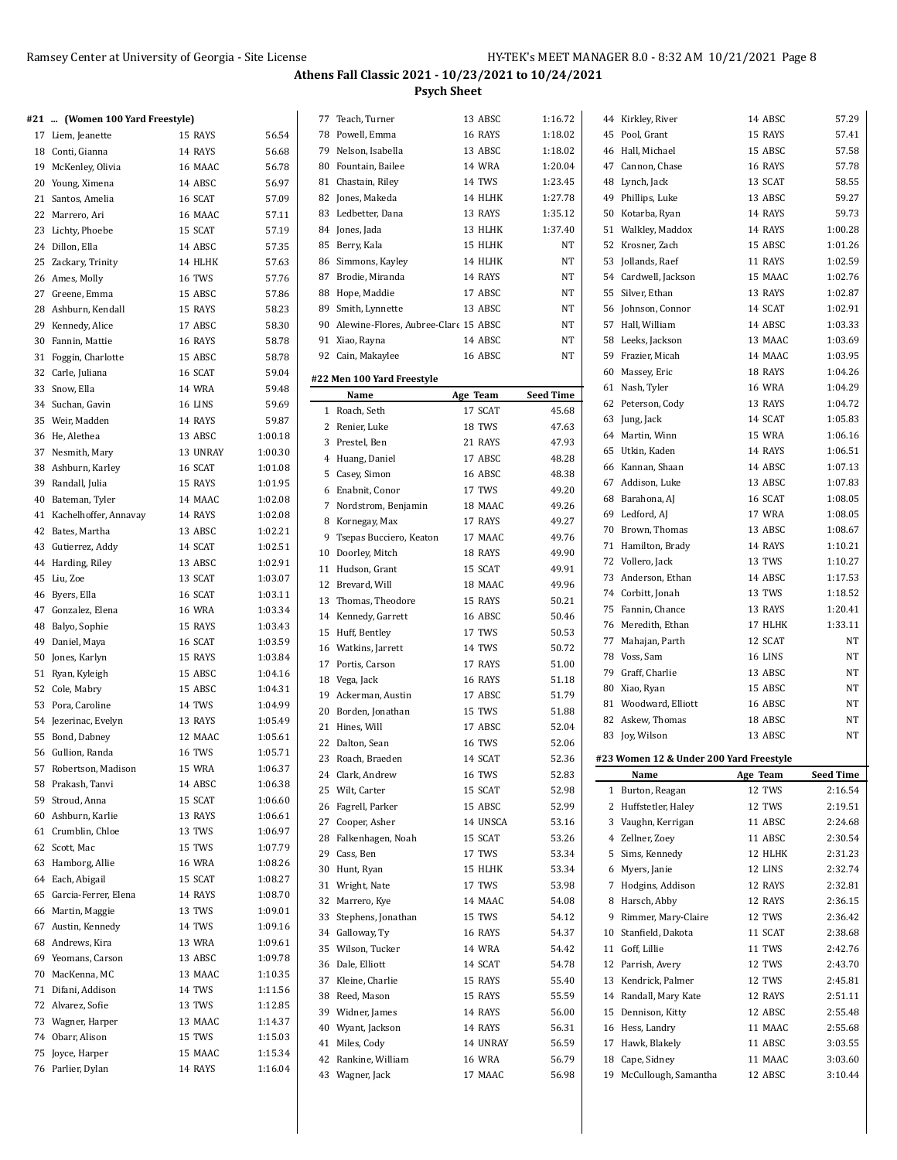|  | #21  (Women 100 Yard Freestyle) |  |  |  |
|--|---------------------------------|--|--|--|
|  |                                 |  |  |  |

|    | 17 Liem, Jeanette        | 15 RAYS       | 56.54   |
|----|--------------------------|---------------|---------|
|    | 18 Conti, Gianna         | 14 RAYS       | 56.68   |
|    | 19 McKenley, Olivia      | 16 MAAC       | 56.78   |
|    | 20 Young, Ximena         | 14 ABSC       | 56.97   |
| 21 | Santos, Amelia           | 16 SCAT       | 57.09   |
|    | 22 Marrero, Ari          | 16 MAAC       | 57.11   |
| 23 | Lichty, Phoebe           | 15 SCAT       | 57.19   |
|    | 24 Dillon, Ella          | 14 ABSC       | 57.35   |
| 25 | Zackary, Trinity         | 14 HLHK       | 57.63   |
|    | 26 Ames, Molly           | 16 TWS        | 57.76   |
|    | 27 Greene, Emma          | 15 ABSC       | 57.86   |
| 28 | Ashburn, Kendall         | 15 RAYS       | 58.23   |
| 29 |                          | 17 ABSC       | 58.30   |
|    | Kennedy, Alice           | 16 RAYS       |         |
| 30 | Fannin, Mattie           |               | 58.78   |
| 31 | Foggin, Charlotte        | 15 ABSC       | 58.78   |
| 32 | Carle, Juliana           | 16 SCAT       | 59.04   |
| 33 | Snow, Ella               | 14 WRA        | 59.48   |
| 34 | Suchan, Gavin            | 16 LINS       | 59.69   |
| 35 | Weir, Madden             | 14 RAYS       | 59.87   |
| 36 | He, Alethea              | 13 ABSC       | 1:00.18 |
|    | 37 Nesmith, Mary         | 13 UNRAY      | 1:00.30 |
| 38 | Ashburn, Karley          | 16 SCAT       | 1:01.08 |
|    | 39 Randall, Julia        | 15 RAYS       | 1:01.95 |
|    | 40 Bateman, Tyler        | 14 MAAC       | 1:02.08 |
|    | 41 Kachelhoffer, Annavay | 14 RAYS       | 1:02.08 |
| 42 | Bates, Martha            | 13 ABSC       | 1:02.21 |
| 43 | Gutierrez, Addy          | 14 SCAT       | 1:02.51 |
| 44 | Harding, Riley           | 13 ABSC       | 1:02.91 |
| 45 | Liu, Zoe                 | 13 SCAT       | 1:03.07 |
| 46 | Byers, Ella              | 16 SCAT       | 1:03.11 |
| 47 | Gonzalez, Elena          | 16 WRA        | 1:03.34 |
| 48 | Balyo, Sophie            | 15 RAYS       | 1:03.43 |
| 49 |                          | 16 SCAT       | 1:03.59 |
|    | Daniel, Maya             |               |         |
| 50 | Jones, Karlyn            | 15 RAYS       | 1:03.84 |
| 51 | Ryan, Kyleigh            | 15 ABSC       | 1:04.16 |
| 52 | Cole, Mabry              | 15 ABSC       | 1:04.31 |
|    | 53 Pora, Caroline        | 14 TWS        | 1:04.99 |
| 54 | Jezerinac, Evelyn        | 13 RAYS       | 1:05.49 |
|    | 55 Bond, Dabney          | 12 MAAC       | 1:05.61 |
| 56 | Gullion, Randa           | 16 TWS        | 1:05.71 |
|    | 57 Robertson, Madison    | 15 WRA        | 1:06.37 |
| 58 | Prakash, Tanvi           | 14 ABSC       | 1:06.38 |
| 59 | Stroud, Anna             | 15 SCAT       | 1:06.60 |
| 60 | Ashburn, Karlie          | 13 RAYS       | 1:06.61 |
| 61 | Crumblin, Chloe          | 13 TWS        | 1:06.97 |
| 62 | Scott, Mac               | 15 TWS        | 1:07.79 |
| 63 | Hamborg, Allie           | <b>16 WRA</b> | 1:08.26 |
| 64 | Each, Abigail            | 15 SCAT       | 1:08.27 |
| 65 | Garcia-Ferrer, Elena     | 14 RAYS       | 1:08.70 |
| 66 | Martin, Maggie           | 13 TWS        | 1:09.01 |
| 67 | Austin, Kennedy          | 14 TWS        | 1:09.16 |
| 68 | Andrews, Kira            | 13 WRA        | 1:09.61 |
|    |                          |               |         |
| 69 | Yeomans, Carson          | 13 ABSC       | 1:09.78 |
| 70 | MacKenna, MC             | 13 MAAC       | 1:10.35 |
| 71 | Difani, Addison          | 14 TWS        | 1:11.56 |
| 72 | Alvarez, Sofie           | 13 TWS        | 1:12.85 |
|    | 73 Wagner, Harper        | 13 MAAC       | 1:14.37 |
| 74 | Obarr, Alison            | 15 TWS        | 1:15.03 |
| 75 | Joyce, Harper            | 15 MAAC       | 1:15.34 |
| 76 | Parlier, Dylan           | 14 RAYS       | 1:16.04 |

| 77             | Teach, Turner                           | 13 ABSC             | 1:16.72                   |
|----------------|-----------------------------------------|---------------------|---------------------------|
|                | 78 Powell, Emma                         | 16 RAYS             | 1:18.02                   |
|                | 79 Nelson, Isabella                     | 13 ABSC             | 1:18.02                   |
|                | 80 Fountain, Bailee                     | <b>14 WRA</b>       | 1:20.04                   |
| 81             | Chastain, Riley                         | 14 TWS              | 1:23.45                   |
| 82             | Jones, Makeda                           | 14 HLHK             | 1:27.78                   |
| 83             | Ledbetter, Dana                         | 13 RAYS             | 1:35.12                   |
|                |                                         | 13 HLHK             |                           |
|                | 84 Jones, Jada                          |                     | 1:37.40                   |
| 85             | Berry, Kala                             | 15 HLHK             | NT                        |
| 86             | Simmons, Kayley                         | 14 HLHK             | NT                        |
| 87             | Brodie, Miranda                         | 14 RAYS             | NT                        |
|                | 88 Hope, Maddie                         | 17 ABSC             | NT                        |
|                | 89 Smith, Lynnette                      | 13 ABSC             | NT                        |
|                | 90 Alewine-Flores, Aubree-Clare 15 ABSC |                     | NT                        |
|                | 91 Xiao, Rayna                          | 14 ABSC             | NT                        |
|                | 92 Cain, Makaylee                       | 16 ABSC             | NT                        |
|                | #22 Men 100 Yard Freestyle              |                     |                           |
|                |                                         |                     |                           |
|                | Name                                    | Age Team<br>17 SCAT | <b>Seed Time</b><br>45.68 |
| $\mathbf{1}$   | Roach, Seth                             |                     |                           |
| $\overline{2}$ | Renier, Luke                            | 18 TWS              | 47.63                     |
| 3              | Prestel, Ben                            | 21 RAYS             | 47.93                     |
| 4              | Huang, Daniel                           | 17 ABSC             | 48.28                     |
| 5              | Casey, Simon                            | 16 ABSC             | 48.38                     |
| 6              | Enabnit, Conor                          | 17 TWS              | 49.20                     |
| $\overline{7}$ | Nordstrom, Benjamin                     | 18 MAAC             | 49.26                     |
| 8              | Kornegay, Max                           | 17 RAYS             | 49.27                     |
| 9              | Tsepas Bucciero, Keaton                 | 17 MAAC             | 49.76                     |
|                | 10 Doorley, Mitch                       | 18 RAYS             | 49.90                     |
| 11             | Hudson, Grant                           | 15 SCAT             | 49.91                     |
|                | 12 Brevard, Will                        | 18 MAAC             | 49.96                     |
| 13             | Thomas, Theodore                        | 15 RAYS             | 50.21                     |
| 14             | Kennedy, Garrett                        | 16 ABSC             | 50.46                     |
| 15             | Huff, Bentley                           | 17 TWS              | 50.53                     |
|                | 16 Watkins, Jarrett                     | 14 TWS              | 50.72                     |
| 17             | Portis, Carson                          | 17 RAYS             | 51.00                     |
|                |                                         | 16 RAYS             |                           |
|                | 18 Vega, Jack                           |                     | 51.18                     |
| 19             | Ackerman, Austin                        | 17 ABSC             | 51.79                     |
|                | 20 Borden, Jonathan                     | 15 TWS              | 51.88                     |
| 21             | Hines, Will                             | 17 ABSC             | 52.04                     |
| 22             | Dalton, Sean                            | 16 TWS              | 52.06                     |
| 23             | Roach, Braeden                          | 14 SCAT             | 52.36                     |
|                | 24 Clark, Andrew                        | 16 TWS              | 52.83                     |
|                | 25 Wilt, Carter                         | 15 SCAT             | 52.98                     |
|                | 26 Fagrell, Parker                      | 15 ABSC             | 52.99                     |
|                | 27 Cooper, Asher                        | 14 UNSCA            | 53.16                     |
|                | 28 Falkenhagen, Noah                    | 15 SCAT             | 53.26                     |
|                | 29 Cass, Ben                            | 17 TWS              | 53.34                     |
|                | 30 Hunt, Ryan                           | 15 HLHK             | 53.34                     |
| 31             | Wright, Nate                            | 17 TWS              | 53.98                     |
| 32             | Marrero, Kye                            | 14 MAAC             | 54.08                     |
| 33             | Stephens, Jonathan                      | 15 TWS              | 54.12                     |
|                | 34 Galloway, Ty                         | 16 RAYS             | 54.37                     |
|                | 35 Wilson, Tucker                       | <b>14 WRA</b>       | 54.42                     |
| 36             | Dale, Elliott                           | 14 SCAT             | 54.78                     |
|                |                                         | 15 RAYS             | 55.40                     |
|                | 37 Kleine, Charlie                      |                     |                           |
|                | 38 Reed, Mason                          | 15 RAYS             | 55.59                     |
|                | 39 Widner, James                        | 14 RAYS             | 56.00                     |
|                | 40 Wyant, Jackson                       | 14 RAYS             | 56.31                     |
| 41             | Miles, Cody                             | 14 UNRAY            | 56.59                     |
|                | 42 Rankine, William                     | <b>16 WRA</b>       | 56.79                     |
|                | 43 Wagner, Jack                         | 17 MAAC             | 56.98                     |
|                |                                         |                     |                           |

|    | 44 Kirkley, River                               | 14 ABSC            | 57.29              |
|----|-------------------------------------------------|--------------------|--------------------|
|    | 45 Pool, Grant                                  | 15 RAYS            | 57.41              |
|    | 46 Hall, Michael                                | 15 ABSC            | 57.58              |
|    | 47 Cannon, Chase                                | 16 RAYS            | 57.78              |
|    | 48 Lynch, Jack                                  | 13 SCAT            | 58.55              |
|    | 49 Phillips, Luke                               | 13 ABSC            | 59.27              |
|    | 50 Kotarba, Ryan                                | 14 RAYS            | 59.73              |
|    | 51 Walkley, Maddox                              | 14 RAYS            | 1:00.28            |
|    | 52 Krosner, Zach                                | 15 ABSC            | 1:01.26            |
|    | 53 Jollands, Raef                               | 11 RAYS            | 1:02.59            |
|    | 54 Cardwell, Jackson                            | 15 MAAC            | 1:02.76            |
|    | 55 Silver, Ethan                                | 13 RAYS            | 1:02.87            |
|    | 56 Johnson, Connor                              | 14 SCAT            | 1:02.91            |
|    | 57 Hall, William                                | 14 ABSC            | 1:03.33            |
|    | 58 Leeks, Jackson                               | 13 MAAC            | 1:03.69            |
|    | 59 Frazier, Micah                               | 14 MAAC            | 1:03.95            |
|    | 60 Massey, Eric                                 | 18 RAYS            | 1:04.26            |
|    | 61 Nash, Tyler                                  | 16 WRA             | 1:04.29            |
|    | 62 Peterson, Cody                               | 13 RAYS            | 1:04.72            |
|    | 63 Jung, Jack                                   | 14 SCAT            | 1:05.83            |
|    | 64 Martin, Winn                                 | 15 WRA             | 1:06.16            |
|    | 65 Utkin, Kaden                                 | 14 RAYS            | 1:06.51            |
|    | 66 Kannan, Shaan                                | 14 ABSC            | 1:07.13            |
|    | 67 Addison, Luke                                | 13 ABSC            | 1:07.83            |
|    | 68 Barahona, AJ                                 | 16 SCAT            | 1:08.05            |
|    | 69 Ledford, AJ                                  | 17 WRA             | 1:08.05            |
|    | 70 Brown, Thomas                                | 13 ABSC            | 1:08.67            |
|    | 71 Hamilton, Brady                              | 14 RAYS            | 1:10.21            |
|    | 72 Vollero, Jack                                | 13 TWS             | 1:10.27            |
|    | 73 Anderson, Ethan                              | 14 ABSC            | 1:17.53            |
|    | 74 Corbitt, Jonah                               | 13 TWS             | 1:18.52            |
|    |                                                 |                    |                    |
|    | 75 Fannin, Chance                               | 13 RAYS            | 1:20.41            |
|    | 76 Meredith, Ethan                              | 17 HLHK            | 1:33.11            |
|    | 77 Mahajan, Parth                               | 12 SCAT            | NΤ                 |
|    | 78 Voss, Sam                                    | 16 LINS            | NΤ                 |
|    | 79 Graff, Charlie                               | 13 ABSC            | NΤ                 |
|    | 80 Xiao, Ryan                                   | 15 ABSC            | NΤ                 |
|    | 81 Woodward, Elliott                            | 16 ABSC            | NT.                |
|    | 82 Askew, Thomas                                | 18 ABSC            | NΤ                 |
|    | 83 Joy, Wilson                                  | 13 ABSC            | NT.                |
|    |                                                 |                    |                    |
|    | #23 Women 12 & Under 200 Yard Freestyle<br>Name |                    | <b>Seed Time</b>   |
| 1  | Burton, Reagan                                  | Age Team<br>12 TWS | 2:16.54            |
| 2  | Huffstetler, Haley                              | 12 TWS             | 2:19.51            |
|    | 3 Vaughn, Kerrigan                              | 11 ABSC            | 2:24.68            |
|    | 4 Zellner, Zoey                                 | 11 ABSC            | 2:30.54            |
| 5  | Sims, Kennedy                                   | 12 HLHK            | 2:31.23            |
|    | 6 Myers, Janie                                  | 12 LINS            | 2:32.74            |
| 7  | Hodgins, Addison                                | 12 RAYS            | 2:32.81            |
|    | 8 Harsch, Abby                                  | 12 RAYS            | 2:36.15            |
| 9  | Rimmer, Mary-Claire                             | 12 TWS             | 2:36.42            |
| 10 | Stanfield, Dakota                               | 11 SCAT            | 2:38.68            |
|    | 11 Goff, Lillie                                 | 11 TWS             | 2:42.76            |
|    | 12 Parrish, Avery                               | 12 TWS             | 2:43.70            |
|    | 13 Kendrick, Palmer                             | 12 TWS             | 2:45.81            |
| 14 | Randall, Mary Kate                              | 12 RAYS            | 2:51.11            |
| 15 | Dennison, Kitty                                 | 12 ABSC            | 2:55.48            |
|    | 16 Hess, Landry                                 | 11 MAAC            | 2:55.68            |
|    | 17 Hawk, Blakely                                | 11 ABSC            | 3:03.55            |
| 19 | 18 Cape, Sidney<br>McCullough, Samantha         | 11 MAAC<br>12 ABSC | 3:03.60<br>3:10.44 |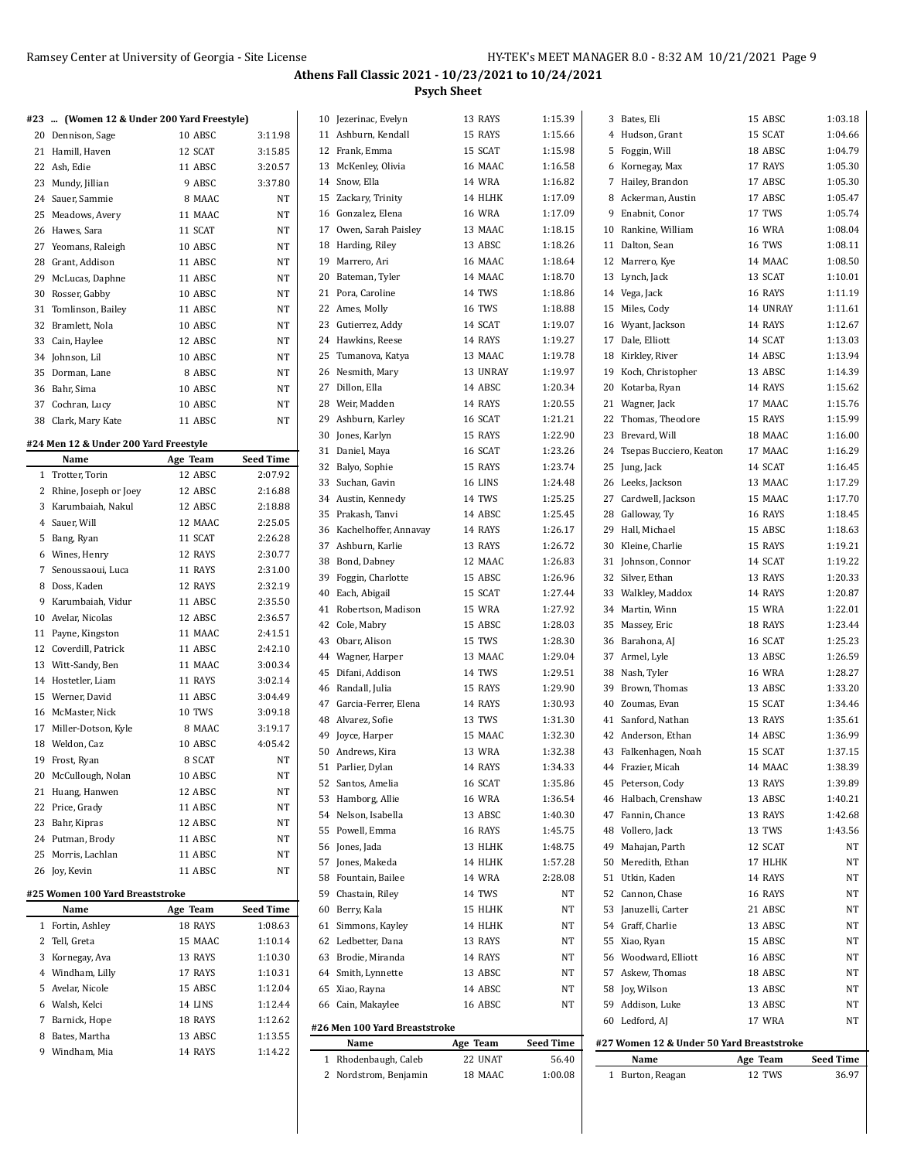|                                            |                   |                  | 1 Rhodenbaugh, Caleb          | 22 UNAT       | 56.40            | Name                                      | Age Team      | <b>Seed Time</b> |
|--------------------------------------------|-------------------|------------------|-------------------------------|---------------|------------------|-------------------------------------------|---------------|------------------|
| 9 Windham, Mia                             | 14 RAYS           | 1:14.22          | Name                          | Age Team      | <b>Seed Time</b> | #27 Women 12 & Under 50 Yard Breaststroke |               |                  |
| 8 Bates, Martha                            | 13 ABSC           | 1:13.55          | #26 Men 100 Yard Breaststroke |               |                  |                                           |               |                  |
| 7 Barnick, Hope                            | 18 RAYS           | 1:12.62          |                               |               |                  | 60 Ledford, AJ                            | 17 WRA        | NT               |
| 6 Walsh, Kelci                             | 14 LINS           | 1:12.44          | 66 Cain, Makaylee             | 16 ABSC       | NT               | 59 Addison, Luke                          | 13 ABSC       | NT               |
| 5 Avelar, Nicole                           | 15 ABSC           | 1:12.04          | 65 Xiao, Rayna                | 14 ABSC       | NT               | 58 Joy, Wilson                            | 13 ABSC       | NT               |
| 4 Windham, Lilly                           | 17 RAYS           | 1:10.31          | 64 Smith, Lynnette            | 13 ABSC       | NT               | 57 Askew, Thomas                          | 18 ABSC       | NT               |
| 3 Kornegay, Ava                            | 13 RAYS           | 1:10.30          | 63 Brodie, Miranda            | 14 RAYS       | NT               | 56 Woodward, Elliott                      | 16 ABSC       | NT               |
| 2 Tell, Greta                              | 15 MAAC           | 1:10.14          | 62 Ledbetter, Dana            | 13 RAYS       | NT               | 55 Xiao, Ryan                             | 15 ABSC       | NT               |
| 1 Fortin, Ashley                           | 18 RAYS           | 1:08.63          | 61 Simmons, Kayley            | 14 HLHK       | NT               | 54 Graff, Charlie                         | 13 ABSC       | NT               |
| Name                                       | Age Team          | <b>Seed Time</b> | 60 Berry, Kala                | 15 HLHK       | NT               | 53 Januzelli, Carter                      | 21 ABSC       | NT               |
| #25 Women 100 Yard Breaststroke            |                   |                  | 59 Chastain, Riley            | 14 TWS        | NT               | 52 Cannon, Chase                          | 16 RAYS       | NT               |
|                                            |                   |                  | 58 Fountain, Bailee           | 14 WRA        | 2:28.08          | 51 Utkin, Kaden                           | 14 RAYS       | NT               |
| 26 Joy, Kevin                              | 11 ABSC           | NT               | 57 Jones, Makeda              | 14 HLHK       | 1:57.28          | 50 Meredith, Ethan                        | 17 HLHK       | NT               |
| 25 Morris, Lachlan                         | 11 ABSC           | NT               | 56 Jones, Jada                | 13 HLHK       | 1:48.75          | 49 Mahajan, Parth                         | 12 SCAT       | NT               |
| 24 Putman, Brody                           | 11 ABSC           | NT               | 55 Powell, Emma               | 16 RAYS       | 1:45.75          | 48 Vollero, Jack                          | 13 TWS        | 1:43.56          |
| 23 Bahr, Kipras                            | 12 ABSC           | NT               | 54 Nelson, Isabella           | 13 ABSC       | 1:40.30          | 47 Fannin, Chance                         | 13 RAYS       | 1:42.68          |
| 22 Price, Grady                            | 11 ABSC           | $_{\rm NT}$      |                               | <b>16 WRA</b> | 1:36.54          | 46 Halbach, Crenshaw                      | 13 ABSC       | 1:40.21          |
| 21 Huang, Hanwen                           | 12 ABSC           | $_{\rm NT}$      | 53 Hamborg, Allie             |               |                  |                                           |               |                  |
| 20 McCullough, Nolan                       | 10 ABSC           | NT               | 52 Santos, Amelia             | 16 SCAT       | 1:35.86          | 45 Peterson, Cody                         | 13 RAYS       | 1:39.89          |
| 19 Frost, Ryan                             | 8 SCAT            | $_{\rm NT}$      | 51 Parlier, Dylan             | 14 RAYS       | 1:34.33          | 44 Frazier, Micah                         | 14 MAAC       | 1:38.39          |
| 18 Weldon, Caz                             | 10 ABSC           | 4:05.42          | 50 Andrews, Kira              | 13 WRA        | 1:32.38          | 43 Falkenhagen, Noah                      | 15 SCAT       | 1:37.15          |
| 17 Miller-Dotson, Kyle                     | 8 MAAC            | 3:19.17          | 49 Joyce, Harper              | 15 MAAC       | 1:32.30          | 42 Anderson, Ethan                        | 14 ABSC       | 1:36.99          |
| 16 McMaster, Nick                          | 10 TWS            | 3:09.18          | 48 Alvarez, Sofie             | 13 TWS        | 1:31.30          | 41 Sanford, Nathan                        | 13 RAYS       | 1:35.61          |
| 15 Werner, David                           | 11 ABSC           | 3:04.49          | 47 Garcia-Ferrer, Elena       | 14 RAYS       | 1:30.93          | 40 Zoumas, Evan                           | 15 SCAT       | 1:34.46          |
| 14 Hostetler, Liam                         | 11 RAYS           | 3:02.14          | 46 Randall, Julia             | 15 RAYS       | 1:29.90          | 39 Brown, Thomas                          | 13 ABSC       | 1:33.20          |
| 13 Witt-Sandy, Ben                         | 11 MAAC           |                  | 45 Difani, Addison            | 14 TWS        | 1:29.51          | 38 Nash, Tyler                            | <b>16 WRA</b> | 1:28.27          |
|                                            |                   | 3:00.34          | 44 Wagner, Harper             | 13 MAAC       | 1:29.04          | 37 Armel, Lyle                            | 13 ABSC       | 1:26.59          |
| 12 Coverdill, Patrick                      | 11 ABSC           | 2:42.10          | 43 Obarr, Alison              | 15 TWS        | 1:28.30          | 36 Barahona, AJ                           | 16 SCAT       | 1:25.23          |
| 11 Payne, Kingston                         | 11 MAAC           | 2:41.51          | 42 Cole, Mabry                | 15 ABSC       | 1:28.03          | 35 Massey, Eric                           | 18 RAYS       | 1:23.44          |
| 10 Avelar, Nicolas                         | 12 ABSC           | 2:36.57          | 41 Robertson, Madison         | 15 WRA        | 1:27.92          | 34 Martin, Winn                           | 15 WRA        | 1:22.01          |
| 9 Karumbaiah, Vidur                        | 11 ABSC           | 2:35.50          | 40 Each, Abigail              | 15 SCAT       | 1:27.44          | 33 Walkley, Maddox                        | 14 RAYS       | 1:20.87          |
| 8 Doss, Kaden                              | 12 RAYS           | 2:32.19          | 39 Foggin, Charlotte          | 15 ABSC       | 1:26.96          | 32 Silver, Ethan                          | 13 RAYS       | 1:20.33          |
| 7 Senoussaoui, Luca                        | 11 RAYS           | 2:31.00          | 38 Bond, Dabney               | 12 MAAC       | 1:26.83          | 31 Johnson, Connor                        | 14 SCAT       | 1:19.22          |
| 6 Wines, Henry                             | 12 RAYS           | 2:30.77          | 37 Ashburn, Karlie            | 13 RAYS       | 1:26.72          | 30 Kleine, Charlie                        | 15 RAYS       | 1:19.21          |
| 5 Bang, Ryan                               | 11 SCAT           | 2:26.28          | 36 Kachelhoffer, Annavay      | 14 RAYS       | 1:26.17          | 29 Hall, Michael                          | 15 ABSC       | 1:18.63          |
| 4 Sauer, Will                              | 12 MAAC           | 2:25.05          | 35 Prakash, Tanvi             | 14 ABSC       | 1:25.45          | 28 Galloway, Ty                           | 16 RAYS       | 1:18.45          |
| 3 Karumbaiah, Nakul                        | 12 ABSC           | 2:18.88          | 34 Austin, Kennedy            | 14 TWS        | 1:25.25          | 27 Cardwell, Jackson                      | 15 MAAC       | 1:17.70          |
| 2 Rhine, Joseph or Joey                    | 12 ABSC           | 2:16.88          | 33 Suchan, Gavin              | 16 LINS       | 1:24.48          | 26 Leeks, Jackson                         | 13 MAAC       | 1:17.29          |
| 1 Trotter, Torin                           | 12 ABSC           | 2:07.92          | 32 Balyo, Sophie              | 15 RAYS       | 1:23.74          | 25 Jung, Jack                             | 14 SCAT       | 1:16.45          |
| Name                                       | Age Team          | <b>Seed Time</b> | 31 Daniel, Maya               | 16 SCAT       | 1:23.26          | 24 Tsepas Bucciero, Keaton                | 17 MAAC       | 1:16.29          |
| #24 Men 12 & Under 200 Yard Freestyle      |                   |                  | 30 Jones, Karlyn              | 15 RAYS       | 1:22.90          | 23 Brevard, Will                          | 18 MAAC       | 1:16.00          |
| 38 Clark, Mary Kate                        | 11 ABSC           | NT               |                               | 16 SCAT       | 1:21.21          | 22 Thomas, Theodore                       | 15 RAYS       | 1:15.99          |
| 37 Cochran, Lucy                           | 10 ABSC           | NT               | 29 Ashburn, Karley            | 14 RAYS       |                  | 21 Wagner, Jack                           |               |                  |
| 36 Bahr, Sima                              | 10 ABSC           | NT               | 28 Weir, Madden               |               | 1:20.55          |                                           | 17 MAAC       | 1:15.76          |
| 35 Dorman, Lane                            |                   |                  | 27 Dillon, Ella               | 14 ABSC       | 1:20.34          | 20 Kotarba, Ryan                          | 14 RAYS       | 1:15.62          |
| 34 Johnson, Lil                            | 10 ABSC<br>8 ABSC | NT<br>NT         | 26 Nesmith, Mary              | 13 UNRAY      | 1:19.97          | 19 Koch, Christopher                      | 13 ABSC       | 1:14.39          |
| 33 Cain, Haylee                            | 12 ABSC           |                  | 25 Tumanova, Katya            | 13 MAAC       | 1:19.78          | 18 Kirkley, River                         | 14 ABSC       | 1:13.94          |
| 32 Bramlett, Nola                          | 10 ABSC           | NT               | 24 Hawkins, Reese             | 14 RAYS       | 1:19.27          | 17 Dale, Elliott                          | 14 SCAT       | 1:13.03          |
|                                            |                   | NT               | 23 Gutierrez, Addy            | 14 SCAT       | 1:19.07          | 16 Wyant, Jackson                         | 14 RAYS       | 1:12.67          |
| 31 Tomlinson, Bailey                       | 11 ABSC           | NT               | 22 Ames, Molly                | 16 TWS        | 1:18.88          | 15 Miles, Cody                            | 14 UNRAY      | 1:11.61          |
| 30 Rosser, Gabby                           | 10 ABSC           | NT               | 21 Pora, Caroline             | 14 TWS        | 1:18.86          | 14 Vega, Jack                             | 16 RAYS       | 1:11.19          |
| 29 McLucas, Daphne                         | 11 ABSC           | NT               | 20 Bateman, Tyler             | 14 MAAC       | 1:18.70          | 13 Lynch, Jack                            | 13 SCAT       | 1:10.01          |
| 28 Grant, Addison                          | 11 ABSC           | NT               | 19 Marrero, Ari               | 16 MAAC       | 1:18.64          | 12 Marrero, Kye                           | 14 MAAC       | 1:08.50          |
| 27 Yeomans, Raleigh                        | 10 ABSC           | NT               | 18 Harding, Riley             | 13 ABSC       | 1:18.26          | 11 Dalton, Sean                           | 16 TWS        | 1:08.11          |
| 26 Hawes, Sara                             | 11 SCAT           | NT               | 17 Owen, Sarah Paisley        | 13 MAAC       | 1:18.15          | 10 Rankine, William                       | <b>16 WRA</b> | 1:08.04          |
| 25 Meadows, Avery                          | 11 MAAC           | NT               | 16 Gonzalez, Elena            | <b>16 WRA</b> | 1:17.09          | 9 Enabnit, Conor                          | 17 TWS        | 1:05.74          |
| 24 Sauer, Sammie                           | 8 MAAC            | NT               | 15 Zackary, Trinity           | 14 HLHK       | 1:17.09          | 8 Ackerman, Austin                        | 17 ABSC       | 1:05.47          |
| 23 Mundy, Jillian                          | 9 ABSC            | 3:37.80          | 14 Snow, Ella                 | <b>14 WRA</b> | 1:16.82          | 7 Hailey, Brandon                         | 17 ABSC       | 1:05.30          |
| 22 Ash, Edie                               | 11 ABSC           | 3:20.57          | 13 McKenley, Olivia           | 16 MAAC       | 1:16.58          | 6 Kornegay, Max                           | 17 RAYS       | 1:05.30          |
| 21 Hamill, Haven                           | 12 SCAT           | 3:15.85          | 12 Frank, Emma                | 15 SCAT       | 1:15.98          | 5 Foggin, Will                            | 18 ABSC       | 1:04.79          |
| 20 Dennison, Sage                          | 10 ABSC           | 3:11.98          | 11 Ashburn, Kendall           | 15 RAYS       | 1:15.66          | 4 Hudson, Grant                           | 15 SCAT       | 1:04.66          |
| #23  (Women 12 & Under 200 Yard Freestyle) |                   |                  | 10 Jezerinac, Evelyn          | 13 RAYS       | 1:15.39          | 3 Bates, Eli                              | 15 ABSC       | 1:03.18          |
|                                            |                   |                  |                               |               |                  |                                           |               |                  |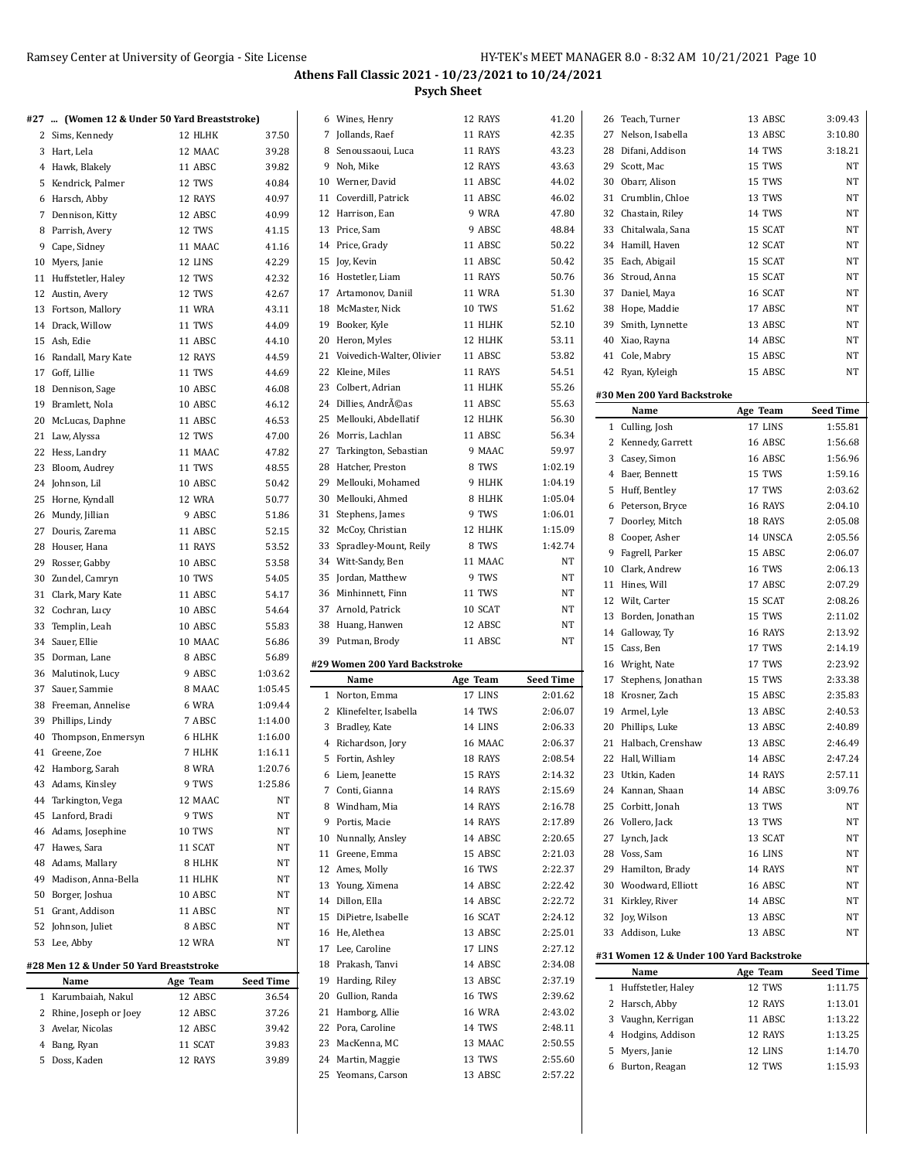| #27  (Women 12 & Under 50 Yard Breaststroke) |               |                  |   | 6 Wines, Henry                | 12 RAYS       | 41.20            | 26 Teach, Turner                         | 13 ABSC       | 3:09.43            |
|----------------------------------------------|---------------|------------------|---|-------------------------------|---------------|------------------|------------------------------------------|---------------|--------------------|
| 2 Sims, Kennedy                              | 12 HLHK       | 37.50            |   | 7 Jollands, Raef              | 11 RAYS       | 42.35            | 27 Nelson, Isabella                      | 13 ABSC       | 3:10.80            |
| 3 Hart, Lela                                 | 12 MAAC       | 39.28            |   | 8 Senoussaoui, Luca           | 11 RAYS       | 43.23            | 28 Difani, Addison                       | 14 TWS        | 3:18.21            |
| 4 Hawk, Blakely                              | 11 ABSC       | 39.82            |   | 9 Noh, Mike                   | 12 RAYS       | 43.63            | 29 Scott, Mac                            | 15 TWS        | <b>NT</b>          |
| 5 Kendrick, Palmer                           | 12 TWS        | 40.84            |   | 10 Werner, David              | 11 ABSC       | 44.02            | 30 Obarr, Alison                         | 15 TWS        | NT                 |
| 6 Harsch, Abby                               | 12 RAYS       | 40.97            |   | 11 Coverdill, Patrick         | 11 ABSC       | 46.02            | 31 Crumblin, Chloe                       | 13 TWS        | <b>NT</b>          |
| 7 Dennison, Kitty                            | 12 ABSC       | 40.99            |   | 12 Harrison, Ean              | 9 WRA         | 47.80            | 32 Chastain, Riley                       | 14 TWS        | <b>NT</b>          |
| 8 Parrish, Avery                             | 12 TWS        | 41.15            |   | 13 Price, Sam                 | 9 ABSC        | 48.84            | 33 Chitalwala, Sana                      | 15 SCAT       | <b>NT</b>          |
|                                              |               |                  |   | 14 Price, Grady               | 11 ABSC       | 50.22            | 34 Hamill, Haven                         | 12 SCAT       | <b>NT</b>          |
| 9 Cape, Sidney                               | 11 MAAC       | 41.16            |   |                               |               |                  |                                          |               |                    |
| 10 Myers, Janie                              | 12 LINS       | 42.29            |   | 15 Joy, Kevin                 | 11 ABSC       | 50.42            | 35 Each, Abigail                         | 15 SCAT       | <b>NT</b>          |
| 11 Huffstetler, Haley                        | 12 TWS        | 42.32            |   | 16 Hostetler, Liam            | 11 RAYS       | 50.76            | 36 Stroud, Anna                          | 15 SCAT       | NT                 |
| 12 Austin, Avery                             | 12 TWS        | 42.67            |   | 17 Artamonov, Daniil          | <b>11 WRA</b> | 51.30            | 37 Daniel, Maya                          | 16 SCAT       | <b>NT</b>          |
| 13 Fortson, Mallory                          | <b>11 WRA</b> | 43.11            |   | 18 McMaster, Nick             | 10 TWS        | 51.62            | 38 Hope, Maddie                          | 17 ABSC       | <b>NT</b>          |
| 14 Drack, Willow                             | 11 TWS        | 44.09            |   | 19 Booker, Kyle               | 11 HLHK       | 52.10            | 39 Smith, Lynnette                       | 13 ABSC       | NT                 |
| 15 Ash, Edie                                 | 11 ABSC       | 44.10            |   | 20 Heron, Myles               | 12 HLHK       | 53.11            | 40 Xiao, Rayna                           | 14 ABSC       | NT                 |
| 16 Randall, Mary Kate                        | 12 RAYS       | 44.59            |   | 21 Voivedich-Walter, Olivier  | 11 ABSC       | 53.82            | 41 Cole, Mabry                           | 15 ABSC       | NT                 |
| 17 Goff, Lillie                              | 11 TWS        | 44.69            |   | 22 Kleine, Miles              | 11 RAYS       | 54.51            | 42 Ryan, Kyleigh                         | 15 ABSC       | <b>NT</b>          |
| 18 Dennison, Sage                            | 10 ABSC       | 46.08            |   | 23 Colbert, Adrian            | 11 HLHK       | 55.26            |                                          |               |                    |
| 19 Bramlett, Nola                            | 10 ABSC       | 46.12            |   | 24 Dillies, Andréas           | 11 ABSC       | 55.63            | #30 Men 200 Yard Backstroke              |               |                    |
| 20 McLucas, Daphne                           | 11 ABSC       | 46.53            |   | 25 Mellouki, Abdellatif       | 12 HLHK       | 56.30            | Name                                     | Age Team      | <b>Seed Time</b>   |
| 21 Law, Alyssa                               | 12 TWS        | 47.00            |   | 26 Morris, Lachlan            | 11 ABSC       | 56.34            | 1 Culling, Josh                          | 17 LINS       | 1:55.81            |
| 22 Hess, Landry                              | 11 MAAC       | 47.82            |   | 27 Tarkington, Sebastian      | 9 MAAC        | 59.97            | 2 Kennedy, Garrett                       | 16 ABSC       | 1:56.68            |
| 23 Bloom, Audrey                             | 11 TWS        | 48.55            |   | 28 Hatcher, Preston           | 8 TWS         | 1:02.19          | 3 Casey, Simon                           | 16 ABSC       | 1:56.96            |
| 24 Johnson, Lil                              | 10 ABSC       | 50.42            |   | 29 Mellouki, Mohamed          | 9 HLHK        | 1:04.19          | 4 Baer, Bennett                          | 15 TWS        | 1:59.16            |
| 25 Horne, Kyndall                            |               | 50.77            |   | 30 Mellouki, Ahmed            | 8 HLHK        | 1:05.04          | 5 Huff, Bentley                          | 17 TWS        | 2:03.62            |
|                                              | 12 WRA        |                  |   |                               | 9 TWS         | 1:06.01          | 6 Peterson, Bryce                        | 16 RAYS       | 2:04.10            |
| 26 Mundy, Jillian                            | 9 ABSC        | 51.86            |   | 31 Stephens, James            |               |                  | 7 Doorley, Mitch                         | 18 RAYS       | 2:05.08            |
| 27 Douris, Zarema                            | 11 ABSC       | 52.15            |   | 32 McCoy, Christian           | 12 HLHK       | 1:15.09          | 8 Cooper, Asher                          | 14 UNSCA      | 2:05.56            |
| 28 Houser, Hana                              | 11 RAYS       | 53.52            |   | 33 Spradley-Mount, Reily      | 8 TWS         | 1:42.74          | 9 Fagrell, Parker                        | 15 ABSC       | 2:06.07            |
| 29 Rosser, Gabby                             | 10 ABSC       | 53.58            |   | 34 Witt-Sandy, Ben            | 11 MAAC       | <b>NT</b>        | 10 Clark, Andrew                         | <b>16 TWS</b> | 2:06.13            |
| 30 Zundel, Camryn                            | 10 TWS        | 54.05            |   | 35 Jordan, Matthew            | 9 TWS         | $\rm{NT}$        | 11 Hines, Will                           | 17 ABSC       | 2:07.29            |
| 31 Clark, Mary Kate                          | 11 ABSC       | 54.17            |   | 36 Minhinnett, Finn           | 11 TWS        | <b>NT</b>        | 12 Wilt, Carter                          | 15 SCAT       | 2:08.26            |
| 32 Cochran, Lucy                             | 10 ABSC       | 54.64            |   | 37 Arnold, Patrick            | 10 SCAT       | <b>NT</b>        | 13 Borden, Jonathan                      | 15 TWS        | 2:11.02            |
| 33 Templin, Leah                             | 10 ABSC       | 55.83            |   | 38 Huang, Hanwen              | 12 ABSC       | <b>NT</b>        | 14 Galloway, Ty                          | 16 RAYS       | 2:13.92            |
| 34 Sauer, Ellie                              | 10 MAAC       | 56.86            |   | 39 Putman, Brody              | 11 ABSC       | <b>NT</b>        | 15 Cass, Ben                             | 17 TWS        | 2:14.19            |
| 35 Dorman, Lane                              | 8 ABSC        | 56.89            |   | #29 Women 200 Yard Backstroke |               |                  | 16 Wright, Nate                          | 17 TWS        | 2:23.92            |
| 36 Malutinok, Lucy                           | 9 ABSC        | 1:03.62          |   | Name                          | Age Team      | <b>Seed Time</b> | 17 Stephens, Jonathan                    | 15 TWS        | 2:33.38            |
| 37 Sauer, Sammie                             | 8 MAAC        | 1:05.45          |   | 1 Norton, Emma                | 17 LINS       | 2:01.62          | 18 Krosner, Zach                         | 15 ABSC       | 2:35.83            |
| 38 Freeman, Annelise                         | 6 WRA         | 1:09.44          |   | 2 Klinefelter, Isabella       |               | 2:06.07          |                                          |               |                    |
| 39 Phillips, Lindy                           | 7 ABSC        | 1:14.00          |   | 3 Bradley, Kate               | 14 TWS        | 2:06.33          | 19 Armel, Lyle                           | 13 ABSC       | 2:40.53<br>2:40.89 |
| 40 Thompson, Enmersyn                        | 6 HLHK        | 1:16.00          |   |                               | 14 LINS       |                  | 20 Phillips, Luke                        | 13 ABSC       |                    |
| 41 Greene, Zoe                               | 7 HLHK        | 1:16.11          |   | 4 Richardson, Jory            | 16 MAAC       | 2:06.37          | 21 Halbach, Crenshaw                     | 13 ABSC       | 2:46.49            |
| 42 Hamborg, Sarah                            | 8 WRA         | 1:20.76          |   | 5 Fortin, Ashley              | 18 RAYS       | 2:08.54          | 22 Hall, William                         | 14 ABSC       | 2:47.24            |
| 43 Adams, Kinsley                            | 9 TWS         | 1:25.86          |   | 6 Liem, Jeanette              | 15 RAYS       | 2:14.32          | 23 Utkin, Kaden                          | 14 RAYS       | 2:57.11            |
| 44 Tarkington, Vega                          | 12 MAAC       | NT               |   | 7 Conti, Gianna               | 14 RAYS       | 2:15.69          | 24 Kannan, Shaan                         | 14 ABSC       | 3:09.76            |
| 45 Lanford, Bradi                            | 9 TWS         | NT               | 8 | Windham, Mia                  | 14 RAYS       | 2:16.78          | 25 Corbitt, Jonah                        | 13 TWS        | NT                 |
| 46 Adams, Josephine                          | 10 TWS        | NT               |   | 9 Portis, Macie               | 14 RAYS       | 2:17.89          | 26 Vollero, Jack                         | 13 TWS        | NT                 |
| 47 Hawes, Sara                               | 11 SCAT       | NT               |   | 10 Nunnally, Ansley           | 14 ABSC       | 2:20.65          | 27 Lynch, Jack                           | 13 SCAT       | NT                 |
| 48 Adams, Mallary                            | 8 HLHK        | NT               |   | 11 Greene, Emma               | 15 ABSC       | 2:21.03          | 28 Voss, Sam                             | 16 LINS       | NT                 |
|                                              |               |                  |   | 12 Ames, Molly                | 16 TWS        | 2:22.37          | 29 Hamilton, Brady                       | 14 RAYS       | NT                 |
| 49 Madison, Anna-Bella                       | 11 HLHK       | NT               |   | 13 Young, Ximena              | 14 ABSC       | 2:22.42          | 30 Woodward, Elliott                     | 16 ABSC       | NT                 |
| 50 Borger, Joshua                            | 10 ABSC       | NT               |   | 14 Dillon, Ella               | 14 ABSC       | 2:22.72          | 31 Kirkley, River                        | 14 ABSC       | NT                 |
| 51 Grant, Addison                            | 11 ABSC       | NT               |   | 15 DiPietre, Isabelle         | 16 SCAT       | 2:24.12          | 32 Joy, Wilson                           | 13 ABSC       | NT                 |
| 52 Johnson, Juliet                           | 8 ABSC        | NT               |   | 16 He, Alethea                | 13 ABSC       | 2:25.01          | 33 Addison, Luke                         | 13 ABSC       | NT                 |
| 53 Lee, Abby                                 | 12 WRA        | NT               |   | 17 Lee, Caroline              | 17 LINS       | 2:27.12          |                                          |               |                    |
| #28 Men 12 & Under 50 Yard Breaststroke      |               |                  |   | 18 Prakash, Tanvi             | 14 ABSC       | 2:34.08          | #31 Women 12 & Under 100 Yard Backstroke |               |                    |
| Name                                         | Age Team      | <b>Seed Time</b> |   | 19 Harding, Riley             | 13 ABSC       | 2:37.19          | Name                                     | Age Team      | <b>Seed Time</b>   |
| 1 Karumbaiah, Nakul                          | 12 ABSC       | 36.54            |   | 20 Gullion, Randa             | 16 TWS        | 2:39.62          | 1 Huffstetler, Haley                     | 12 TWS        | 1:11.75            |
| 2 Rhine, Joseph or Joey                      | 12 ABSC       | 37.26            |   | 21 Hamborg, Allie             | <b>16 WRA</b> | 2:43.02          | 2 Harsch, Abby                           | 12 RAYS       | 1:13.01            |
| 3 Avelar, Nicolas                            | 12 ABSC       | 39.42            |   | 22 Pora, Caroline             | 14 TWS        | 2:48.11          | 3 Vaughn, Kerrigan                       | 11 ABSC       | 1:13.22            |
| 4 Bang, Ryan                                 | 11 SCAT       | 39.83            |   | 23 MacKenna, MC               | 13 MAAC       | 2:50.55          | 4 Hodgins, Addison                       | 12 RAYS       | 1:13.25            |
| 5 Doss, Kaden                                | 12 RAYS       | 39.89            |   | 24 Martin, Maggie             | 13 TWS        | 2:55.60          | 5 Myers, Janie                           | 12 LINS       | 1:14.70            |
|                                              |               |                  |   | 25 Yeomans, Carson            | 13 ABSC       | 2:57.22          | 6 Burton, Reagan                         | 12 TWS        | 1:15.93            |
|                                              |               |                  |   |                               |               |                  |                                          |               |                    |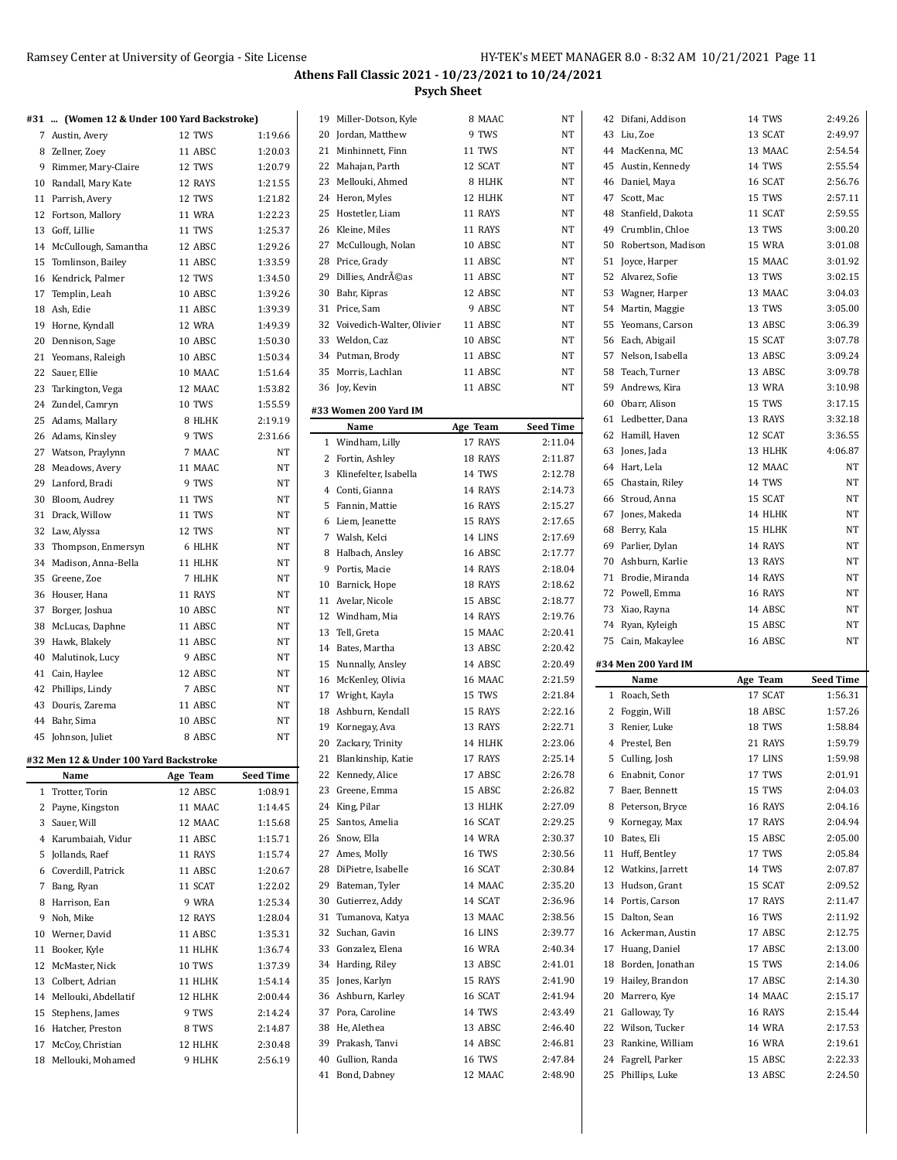|    | #31  (Women 12 & Under 100 Yard Backstroke) |               |                      |
|----|---------------------------------------------|---------------|----------------------|
|    | 7 Austin, Avery                             | 12 TWS        | 1:19.66              |
|    | 8 Zellner, Zoev                             | 11 ABSC       | 1:20.03              |
|    | 9 Rimmer, Mary-Claire                       | 12 TWS        | 1:20.79              |
|    | 10 Randall, Mary Kate                       | 12 RAYS       | 1:21.55              |
| 11 | Parrish, Avery                              | 12 TWS        | 1:21.82              |
| 12 | Fortson, Mallory                            | 11 WRA        | 1:22.23              |
| 13 | Goff, Lillie                                | 11 TWS        | 1:25.37              |
|    | 14 McCullough, Samantha                     | 12 ABSC       | 1:29.26              |
| 15 | Tomlinson, Bailey                           | 11 ABSC       | 1:33.59              |
| 16 | Kendrick. Palmer                            | 12 TWS        | 1:34.50              |
| 17 | Templin, Leah                               | 10 ABSC       | 1:39.26              |
|    | 18 Ash, Edie                                | 11 ABSC       | 1:39.39              |
| 19 | Horne, Kyndall                              | <b>12 WRA</b> | 1:49.39              |
| 20 | Dennison, Sage                              | 10 ABSC       | 1:50.30              |
| 21 | Yeomans, Raleigh                            | 10 ABSC       | 1:50.34              |
| 22 | Sauer, Ellie                                | 10 MAAC       | 1:51.64              |
| 23 | Tarkington, Vega                            | 12 MAAC       | 1:53.82              |
|    | 24 Zundel, Camryn                           | <b>10 TWS</b> | 1:55.59              |
| 25 | Adams, Mallary                              | 8 HLHK        | 2:19.19              |
| 26 | Adams, Kinsley                              | 9 TWS         | 2:31.66              |
| 27 | Watson, Praylynn                            | 7 MAAC        | NT                   |
| 28 | Meadows, Avery                              | 11 MAAC       | NΤ                   |
|    | 29 Lanford, Bradi                           | 9 TWS         | NT                   |
|    | 30 Bloom, Audrey                            | 11 TWS        | NT                   |
|    | 31 Drack, Willow                            | 11 TWS        | NT                   |
| 32 | Law, Alyssa                                 | 12 TWS        | NT                   |
| 33 | Thompson, Enmersyn                          | 6 HLHK        | NT                   |
| 34 | Madison, Anna-Bella                         | 11 HLHK       | NT                   |
| 35 | Greene, Zoe                                 | 7 HLHK        | NT                   |
| 36 | Houser, Hana                                | 11 RAYS       | NT                   |
| 37 | Borger, Joshua                              | 10 ABSC       | NT                   |
| 38 | McLucas, Daphne                             | 11 ABSC       | NΤ                   |
| 39 | Hawk, Blakely                               | 11 ABSC       | NΤ                   |
| 40 | Malutinok, Lucy                             | 9 ABSC        | NT                   |
| 41 | Cain, Haylee                                | 12 ABSC       | NT                   |
| 42 | Phillips, Lindy                             | 7 ABSC        | NT                   |
| 43 | Douris, Zarema                              | 11 ABSC       | NΤ                   |
| 44 | Bahr, Sima                                  | 10 ABSC       | NΤ                   |
| 45 | Johnson, Juliet                             | 8 ABSC        | NT                   |
|    |                                             |               |                      |
|    | #32 Men 12 & Under 100 Yard Backstroke      | Age Team      |                      |
| 1  | Name<br>Trotter, Torin                      | 12 ABSC       | Seed Time<br>1:08.91 |
| 2  | Payne, Kingston                             | 11 MAAC       | 1:14.45              |
| 3  | Sauer, Will                                 | 12 MAAC       | 1:15.68              |
| 4  | Karumbaiah, Vidur                           | 11 ABSC       | 1:15.71              |
| 5  | Jollands, Raef                              | 11 RAYS       | 1:15.74              |
| 6  | Coverdill, Patrick                          | 11 ABSC       | 1:20.67              |
| 7  | Bang, Ryan                                  | 11 SCAT       | 1:22.02              |
| 8  | Harrison, Ean                               | 9 WRA         | 1:25.34              |
| 9  | Noh, Mike                                   | 12 RAYS       | 1:28.04              |
|    |                                             |               |                      |
| 10 | Werner, David                               | 11 ABSC       | 1:35.31              |
| 11 | Booker, Kyle                                | 11 HLHK       | 1:36.74              |
| 12 | McMaster, Nick                              | 10 TWS        | 1:37.39              |
| 13 | Colbert, Adrian                             | 11 HLHK       | 1:54.14              |
| 14 | Mellouki, Abdellatif                        | 12 HLHK       | 2:00.44              |
| 15 | Stephens, James                             | 9 TWS         | 2:14.24              |
| 16 | Hatcher, Preston                            | 8 TWS         | 2:14.87              |
| 17 | McCoy, Christian                            | 12 HLHK       | 2:30.48              |
| 18 | Mellouki, Mohamed                           | 9 HLHK        | 2:56.19              |

| Miller-Dotson, Kyle<br>19                        | 8 MAAC                                                                                                                                                                                                                                                                                                                                                                                                                                                                                                                                                                                                                                                                                  | NT                                                                                                                                                                                                                                                                                                                                                                                            |
|--------------------------------------------------|-----------------------------------------------------------------------------------------------------------------------------------------------------------------------------------------------------------------------------------------------------------------------------------------------------------------------------------------------------------------------------------------------------------------------------------------------------------------------------------------------------------------------------------------------------------------------------------------------------------------------------------------------------------------------------------------|-----------------------------------------------------------------------------------------------------------------------------------------------------------------------------------------------------------------------------------------------------------------------------------------------------------------------------------------------------------------------------------------------|
| 20 Jordan, Matthew                               | 9 TWS                                                                                                                                                                                                                                                                                                                                                                                                                                                                                                                                                                                                                                                                                   | NT                                                                                                                                                                                                                                                                                                                                                                                            |
| 21 Minhinnett, Finn                              | 11 TWS                                                                                                                                                                                                                                                                                                                                                                                                                                                                                                                                                                                                                                                                                  | NT                                                                                                                                                                                                                                                                                                                                                                                            |
| 22 Mahajan, Parth                                | 12 SCAT                                                                                                                                                                                                                                                                                                                                                                                                                                                                                                                                                                                                                                                                                 | NT                                                                                                                                                                                                                                                                                                                                                                                            |
| 23 Mellouki, Ahmed                               | 8 HLHK                                                                                                                                                                                                                                                                                                                                                                                                                                                                                                                                                                                                                                                                                  | NT                                                                                                                                                                                                                                                                                                                                                                                            |
| 24                                               |                                                                                                                                                                                                                                                                                                                                                                                                                                                                                                                                                                                                                                                                                         | NT                                                                                                                                                                                                                                                                                                                                                                                            |
|                                                  |                                                                                                                                                                                                                                                                                                                                                                                                                                                                                                                                                                                                                                                                                         | NT                                                                                                                                                                                                                                                                                                                                                                                            |
|                                                  |                                                                                                                                                                                                                                                                                                                                                                                                                                                                                                                                                                                                                                                                                         | NT                                                                                                                                                                                                                                                                                                                                                                                            |
|                                                  |                                                                                                                                                                                                                                                                                                                                                                                                                                                                                                                                                                                                                                                                                         | NT                                                                                                                                                                                                                                                                                                                                                                                            |
|                                                  |                                                                                                                                                                                                                                                                                                                                                                                                                                                                                                                                                                                                                                                                                         |                                                                                                                                                                                                                                                                                                                                                                                               |
|                                                  |                                                                                                                                                                                                                                                                                                                                                                                                                                                                                                                                                                                                                                                                                         | NT                                                                                                                                                                                                                                                                                                                                                                                            |
|                                                  |                                                                                                                                                                                                                                                                                                                                                                                                                                                                                                                                                                                                                                                                                         | NT                                                                                                                                                                                                                                                                                                                                                                                            |
|                                                  |                                                                                                                                                                                                                                                                                                                                                                                                                                                                                                                                                                                                                                                                                         | NT                                                                                                                                                                                                                                                                                                                                                                                            |
|                                                  |                                                                                                                                                                                                                                                                                                                                                                                                                                                                                                                                                                                                                                                                                         | <b>NT</b>                                                                                                                                                                                                                                                                                                                                                                                     |
|                                                  |                                                                                                                                                                                                                                                                                                                                                                                                                                                                                                                                                                                                                                                                                         | NT                                                                                                                                                                                                                                                                                                                                                                                            |
|                                                  |                                                                                                                                                                                                                                                                                                                                                                                                                                                                                                                                                                                                                                                                                         | NT                                                                                                                                                                                                                                                                                                                                                                                            |
|                                                  |                                                                                                                                                                                                                                                                                                                                                                                                                                                                                                                                                                                                                                                                                         | NT                                                                                                                                                                                                                                                                                                                                                                                            |
|                                                  |                                                                                                                                                                                                                                                                                                                                                                                                                                                                                                                                                                                                                                                                                         | NT                                                                                                                                                                                                                                                                                                                                                                                            |
| 36 Joy, Kevin                                    | 11 ABSC                                                                                                                                                                                                                                                                                                                                                                                                                                                                                                                                                                                                                                                                                 | NT                                                                                                                                                                                                                                                                                                                                                                                            |
|                                                  |                                                                                                                                                                                                                                                                                                                                                                                                                                                                                                                                                                                                                                                                                         |                                                                                                                                                                                                                                                                                                                                                                                               |
|                                                  |                                                                                                                                                                                                                                                                                                                                                                                                                                                                                                                                                                                                                                                                                         | <b>Seed Time</b>                                                                                                                                                                                                                                                                                                                                                                              |
|                                                  |                                                                                                                                                                                                                                                                                                                                                                                                                                                                                                                                                                                                                                                                                         | 2:11.04                                                                                                                                                                                                                                                                                                                                                                                       |
|                                                  |                                                                                                                                                                                                                                                                                                                                                                                                                                                                                                                                                                                                                                                                                         | 2:11.87                                                                                                                                                                                                                                                                                                                                                                                       |
|                                                  |                                                                                                                                                                                                                                                                                                                                                                                                                                                                                                                                                                                                                                                                                         | 2:12.78                                                                                                                                                                                                                                                                                                                                                                                       |
|                                                  |                                                                                                                                                                                                                                                                                                                                                                                                                                                                                                                                                                                                                                                                                         | 2:14.73                                                                                                                                                                                                                                                                                                                                                                                       |
|                                                  |                                                                                                                                                                                                                                                                                                                                                                                                                                                                                                                                                                                                                                                                                         |                                                                                                                                                                                                                                                                                                                                                                                               |
|                                                  |                                                                                                                                                                                                                                                                                                                                                                                                                                                                                                                                                                                                                                                                                         | 2:15.27                                                                                                                                                                                                                                                                                                                                                                                       |
|                                                  |                                                                                                                                                                                                                                                                                                                                                                                                                                                                                                                                                                                                                                                                                         | 2:17.65                                                                                                                                                                                                                                                                                                                                                                                       |
|                                                  |                                                                                                                                                                                                                                                                                                                                                                                                                                                                                                                                                                                                                                                                                         | 2:17.69                                                                                                                                                                                                                                                                                                                                                                                       |
|                                                  |                                                                                                                                                                                                                                                                                                                                                                                                                                                                                                                                                                                                                                                                                         | 2:17.77                                                                                                                                                                                                                                                                                                                                                                                       |
|                                                  |                                                                                                                                                                                                                                                                                                                                                                                                                                                                                                                                                                                                                                                                                         | 2:18.04                                                                                                                                                                                                                                                                                                                                                                                       |
|                                                  |                                                                                                                                                                                                                                                                                                                                                                                                                                                                                                                                                                                                                                                                                         | 2:18.62                                                                                                                                                                                                                                                                                                                                                                                       |
|                                                  |                                                                                                                                                                                                                                                                                                                                                                                                                                                                                                                                                                                                                                                                                         | 2:18.77                                                                                                                                                                                                                                                                                                                                                                                       |
|                                                  |                                                                                                                                                                                                                                                                                                                                                                                                                                                                                                                                                                                                                                                                                         | 2:19.76                                                                                                                                                                                                                                                                                                                                                                                       |
| 13<br>Tell, Greta                                |                                                                                                                                                                                                                                                                                                                                                                                                                                                                                                                                                                                                                                                                                         | 2:20.41                                                                                                                                                                                                                                                                                                                                                                                       |
| 14 Bates, Martha                                 | 13 ABSC                                                                                                                                                                                                                                                                                                                                                                                                                                                                                                                                                                                                                                                                                 | 2:20.42                                                                                                                                                                                                                                                                                                                                                                                       |
| 15 Nunnally, Ansley                              | 14 ABSC                                                                                                                                                                                                                                                                                                                                                                                                                                                                                                                                                                                                                                                                                 | 2:20.49                                                                                                                                                                                                                                                                                                                                                                                       |
| 16 McKenley, Olivia                              | 16 MAAC                                                                                                                                                                                                                                                                                                                                                                                                                                                                                                                                                                                                                                                                                 | 2:21.59                                                                                                                                                                                                                                                                                                                                                                                       |
| 17 Wright, Kayla                                 | 15 TWS                                                                                                                                                                                                                                                                                                                                                                                                                                                                                                                                                                                                                                                                                  | 2:21.84                                                                                                                                                                                                                                                                                                                                                                                       |
| Ashburn, Kendall<br>18                           | 15 RAYS                                                                                                                                                                                                                                                                                                                                                                                                                                                                                                                                                                                                                                                                                 | 2:22.16                                                                                                                                                                                                                                                                                                                                                                                       |
| 19 Kornegay, Ava                                 | 13 RAYS                                                                                                                                                                                                                                                                                                                                                                                                                                                                                                                                                                                                                                                                                 | 2:22.71                                                                                                                                                                                                                                                                                                                                                                                       |
| 20 Zackary, Trinity                              | 14 HLHK                                                                                                                                                                                                                                                                                                                                                                                                                                                                                                                                                                                                                                                                                 | 2:23.06                                                                                                                                                                                                                                                                                                                                                                                       |
| 21<br>Blankinship, Katie                         | 17 RAYS                                                                                                                                                                                                                                                                                                                                                                                                                                                                                                                                                                                                                                                                                 | 2:25.14                                                                                                                                                                                                                                                                                                                                                                                       |
| Kennedy, Alice                                   | 17 ABSC                                                                                                                                                                                                                                                                                                                                                                                                                                                                                                                                                                                                                                                                                 | 2:26.78                                                                                                                                                                                                                                                                                                                                                                                       |
| Greene, Emma                                     | 15 ABSC                                                                                                                                                                                                                                                                                                                                                                                                                                                                                                                                                                                                                                                                                 | 2:26.82                                                                                                                                                                                                                                                                                                                                                                                       |
| 24<br>King, Pilar                                | 13 HLHK                                                                                                                                                                                                                                                                                                                                                                                                                                                                                                                                                                                                                                                                                 | 2:27.09                                                                                                                                                                                                                                                                                                                                                                                       |
| 25<br>Santos, Amelia                             | 16 SCAT                                                                                                                                                                                                                                                                                                                                                                                                                                                                                                                                                                                                                                                                                 | 2:29.25                                                                                                                                                                                                                                                                                                                                                                                       |
| 26                                               | 14 WRA                                                                                                                                                                                                                                                                                                                                                                                                                                                                                                                                                                                                                                                                                  | 2:30.37                                                                                                                                                                                                                                                                                                                                                                                       |
| 27                                               |                                                                                                                                                                                                                                                                                                                                                                                                                                                                                                                                                                                                                                                                                         | 2:30.56                                                                                                                                                                                                                                                                                                                                                                                       |
|                                                  |                                                                                                                                                                                                                                                                                                                                                                                                                                                                                                                                                                                                                                                                                         | 2:30.84                                                                                                                                                                                                                                                                                                                                                                                       |
|                                                  |                                                                                                                                                                                                                                                                                                                                                                                                                                                                                                                                                                                                                                                                                         | 2:35.20                                                                                                                                                                                                                                                                                                                                                                                       |
|                                                  |                                                                                                                                                                                                                                                                                                                                                                                                                                                                                                                                                                                                                                                                                         | 2:36.96                                                                                                                                                                                                                                                                                                                                                                                       |
|                                                  |                                                                                                                                                                                                                                                                                                                                                                                                                                                                                                                                                                                                                                                                                         | 2:38.56                                                                                                                                                                                                                                                                                                                                                                                       |
|                                                  |                                                                                                                                                                                                                                                                                                                                                                                                                                                                                                                                                                                                                                                                                         | 2:39.77                                                                                                                                                                                                                                                                                                                                                                                       |
|                                                  |                                                                                                                                                                                                                                                                                                                                                                                                                                                                                                                                                                                                                                                                                         | 2:40.34                                                                                                                                                                                                                                                                                                                                                                                       |
|                                                  |                                                                                                                                                                                                                                                                                                                                                                                                                                                                                                                                                                                                                                                                                         |                                                                                                                                                                                                                                                                                                                                                                                               |
|                                                  |                                                                                                                                                                                                                                                                                                                                                                                                                                                                                                                                                                                                                                                                                         | 2:41.01                                                                                                                                                                                                                                                                                                                                                                                       |
|                                                  |                                                                                                                                                                                                                                                                                                                                                                                                                                                                                                                                                                                                                                                                                         |                                                                                                                                                                                                                                                                                                                                                                                               |
| Jones, Karlyn                                    | 15 RAYS                                                                                                                                                                                                                                                                                                                                                                                                                                                                                                                                                                                                                                                                                 | 2:41.90                                                                                                                                                                                                                                                                                                                                                                                       |
| Ashburn, Karley<br>36                            | 16 SCAT                                                                                                                                                                                                                                                                                                                                                                                                                                                                                                                                                                                                                                                                                 | 2:41.94                                                                                                                                                                                                                                                                                                                                                                                       |
| Pora, Caroline<br>37                             | 14 TWS                                                                                                                                                                                                                                                                                                                                                                                                                                                                                                                                                                                                                                                                                  | 2:43.49                                                                                                                                                                                                                                                                                                                                                                                       |
| He, Alethea                                      | 13 ABSC                                                                                                                                                                                                                                                                                                                                                                                                                                                                                                                                                                                                                                                                                 | 2:46.40                                                                                                                                                                                                                                                                                                                                                                                       |
| 39<br>Prakash, Tanvi                             | 14 ABSC                                                                                                                                                                                                                                                                                                                                                                                                                                                                                                                                                                                                                                                                                 | 2:46.81                                                                                                                                                                                                                                                                                                                                                                                       |
| Gullion, Randa<br>Bond, Dabney<br>41             | 16 TWS<br>12 MAAC                                                                                                                                                                                                                                                                                                                                                                                                                                                                                                                                                                                                                                                                       | 2:47.84<br>2:48.90                                                                                                                                                                                                                                                                                                                                                                            |
| 25<br>26<br>29<br>30<br>35<br>2<br>9<br>29<br>34 | Heron, Myles<br>Hostetler, Liam<br>Kleine, Miles<br>27 McCullough, Nolan<br>28 Price, Grady<br>Dillies, Andréas<br>Bahr, Kipras<br>31 Price, Sam<br>32 Voivedich-Walter, Olivier<br>33 Weldon, Caz<br>34 Putman, Brody<br>Morris, Lachlan<br>#33 Women 200 Yard IM<br>Name<br>1 Windham, Lilly<br>Fortin, Ashley<br>Klinefelter, Isabella<br>4 Conti, Gianna<br>5 Fannin, Mattie<br>6 Liem, Jeanette<br>7 Walsh, Kelci<br>Halbach, Ansley<br>Portis, Macie<br>10 Barnick, Hope<br>11 Avelar, Nicole<br>12 Windham, Mia<br>Snow, Ella<br>Ames, Molly<br>DiPietre, Isabelle<br>Bateman, Tyler<br>Gutierrez, Addy<br>Tumanova, Katya<br>Suchan, Gavin<br>Gonzalez, Elena<br>Harding, Riley | 12 HLHK<br>11 RAYS<br>11 RAYS<br>10 ABSC<br>11 ABSC<br>11 ABSC<br>12 ABSC<br>9 ABSC<br>11 ABSC<br>10 ABSC<br>11 ABSC<br>11 ABSC<br>Age Team<br>17 RAYS<br>18 RAYS<br>14 TWS<br>14 RAYS<br>16 RAYS<br>15 RAYS<br>14 LINS<br>16 ABSC<br>14 RAYS<br>18 RAYS<br>15 ABSC<br>14 RAYS<br>15 MAAC<br><b>16 TWS</b><br>16 SCAT<br>14 MAAC<br>14 SCAT<br>13 MAAC<br>16 LINS<br><b>16 WRA</b><br>13 ABSC |

|    | 42 Difani, Addison                 | 14 TWS        | 2:49.26          |
|----|------------------------------------|---------------|------------------|
|    | 43 Liu, Zoe                        | 13 SCAT       | 2:49.97          |
|    | 44 MacKenna, MC                    | 13 MAAC       | 2:54.54          |
|    | 45 Austin, Kennedy                 | 14 TWS        | 2:55.54          |
|    | 46 Daniel, Maya                    | 16 SCAT       | 2:56.76          |
|    | 47 Scott, Mac                      | 15 TWS        | 2:57.11          |
|    | 48 Stanfield, Dakota               | 11 SCAT       | 2:59.55          |
|    | 49 Crumblin, Chloe                 | 13 TWS        | 3:00.20          |
|    | 50 Robertson, Madison              | 15 WRA        | 3:01.08          |
|    | 51 Joyce, Harper                   | 15 MAAC       | 3:01.92          |
|    | 52 Alvarez, Sofie                  | 13 TWS        | 3:02.15          |
|    | 53 Wagner, Harper                  | 13 MAAC       | 3:04.03          |
|    | 54 Martin, Maggie                  | 13 TWS        | 3:05.00          |
| 55 | Yeomans, Carson                    | 13 ABSC       | 3:06.39          |
|    | 56 Each, Abigail                   | 15 SCAT       | 3:07.78          |
|    |                                    | 13 ABSC       | 3:09.24          |
|    | 57 Nelson, Isabella                |               |                  |
|    | 58 Teach, Turner                   | 13 ABSC       | 3:09.78          |
|    | 59 Andrews, Kira                   | 13 WRA        | 3:10.98          |
|    | 60 Obarr, Alison                   | 15 TWS        | 3:17.15          |
|    | 61 Ledbetter, Dana                 | 13 RAYS       | 3:32.18          |
|    | 62 Hamill, Haven                   | 12 SCAT       | 3:36.55          |
|    | 63 Jones, Jada                     | 13 HLHK       | 4:06.87          |
|    | 64 Hart, Lela                      | 12 MAAC       | NT               |
|    | 65 Chastain, Riley                 | 14 TWS        | NT               |
|    | 66 Stroud, Anna                    | 15 SCAT       | NT               |
|    | 67 Jones, Makeda                   | 14 HLHK       | NΤ               |
|    | 68 Berry, Kala                     | 15 HLHK       | NΤ               |
|    | 69 Parlier, Dylan                  | 14 RAYS       | NΤ               |
|    | 70 Ashburn, Karlie                 | 13 RAYS       | NT               |
|    | 71 Brodie, Miranda                 | 14 RAYS       | NT               |
|    | 72 Powell, Emma                    | 16 RAYS       | NΤ               |
|    |                                    |               |                  |
|    |                                    | 14 ABSC       | NΤ               |
|    | 73 Xiao, Rayna<br>74 Ryan, Kyleigh | 15 ABSC       | NΤ               |
|    | 75 Cain, Makaylee                  | 16 ABSC       | NΤ               |
|    |                                    |               |                  |
|    | #34 Men 200 Yard IM                |               |                  |
|    | Name                               | Age Team      | <b>Seed Time</b> |
|    | 1 Roach, Seth                      | 17 SCAT       | 1:56.31          |
|    | 2 Foggin, Will                     | 18 ABSC       | 1:57.26          |
|    | 3 Renier, Luke                     | 18 TWS        | 1:58.84          |
|    | 4 Prestel, Ben                     | 21 RAYS       | 1:59.79          |
| 5  | Culling, Josh                      | 17 LINS       | 1:59.98          |
|    | 6 Enabnit, Conor                   | 17 TWS        | 2:01.91          |
|    | 7 Baer, Bennett                    | 15 TWS        | 2:04.03          |
|    | 8 Peterson, Bryce                  | 16 RAYS       | 2:04.16          |
| 9  | Kornegay, Max                      | 17 RAYS       | 2:04.94          |
|    | 10 Bates, Eli                      | 15 ABSC       | 2:05.00          |
|    | 11 Huff, Bentley                   | 17 TWS        | 2:05.84          |
|    | 12 Watkins, Jarrett                | 14 TWS        | 2:07.87          |
|    | 13 Hudson, Grant                   | 15 SCAT       | 2:09.52          |
|    | 14 Portis, Carson                  | 17 RAYS       | 2:11.47          |
|    | 15 Dalton, Sean                    | <b>16 TWS</b> | 2:11.92          |
|    | 16 Ackerman, Austin                | 17 ABSC       | 2:12.75          |
|    | 17 Huang, Daniel                   | 17 ABSC       | 2:13.00          |
|    | 18 Borden, Jonathan                | 15 TWS        | 2:14.06          |
| 19 | Hailey, Brandon                    | 17 ABSC       | 2:14.30          |
|    | 20 Marrero, Kye                    | 14 MAAC       | 2:15.17          |
|    | 21 Galloway, Ty                    | 16 RAYS       | 2:15.44          |
|    | 22 Wilson, Tucker                  | 14 WRA        | 2:17.53          |
|    | 23 Rankine, William                | <b>16 WRA</b> | 2:19.61          |
|    | 24 Fagrell, Parker                 | 15 ABSC       | 2:22.33          |
| 25 | Phillips, Luke                     | 13 ABSC       | 2:24.50          |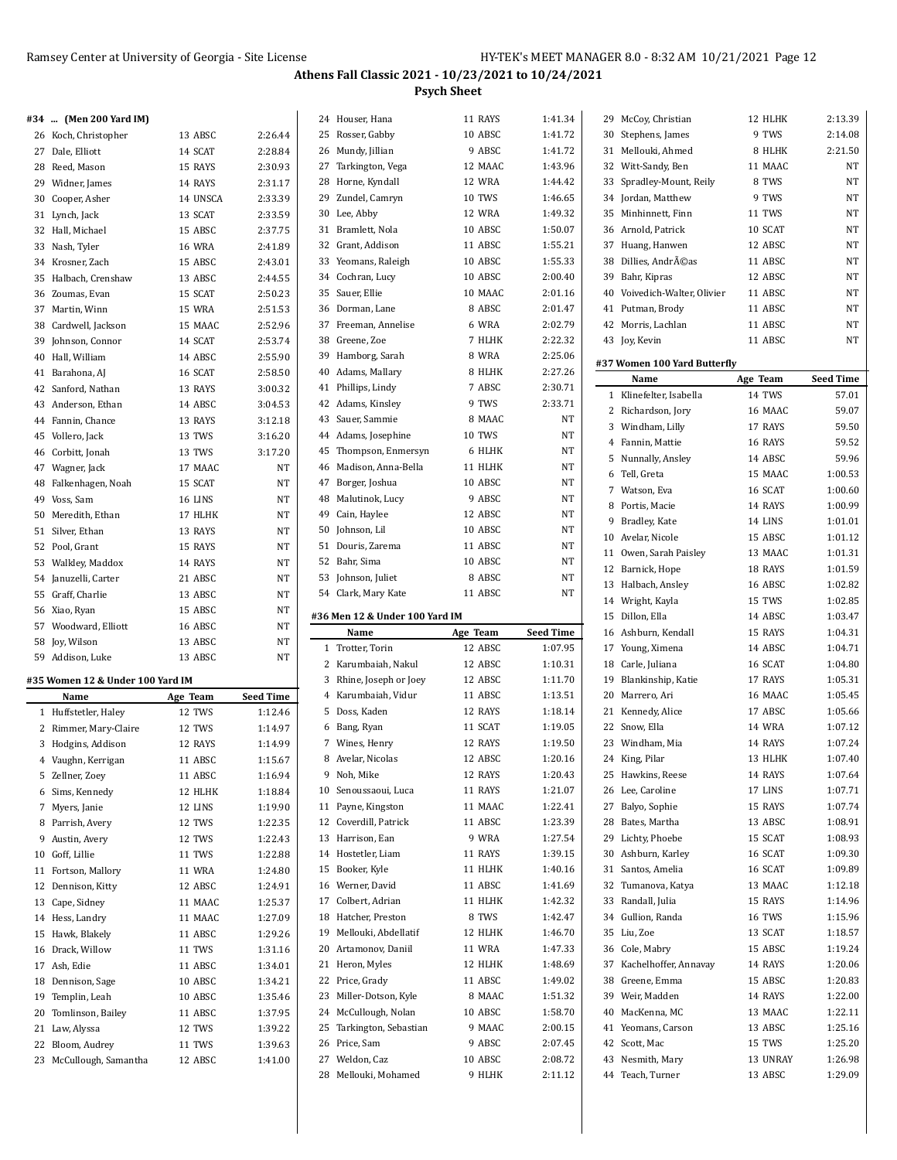|                                  |               |                  |    |                                |               | 1:41.34          |                              |               |                  |
|----------------------------------|---------------|------------------|----|--------------------------------|---------------|------------------|------------------------------|---------------|------------------|
| #34  (Men 200 Yard IM)           |               |                  |    | 24 Houser, Hana                | 11 RAYS       |                  | 29 McCoy, Christian          | 12 HLHK       | 2:13.39          |
| 26 Koch, Christopher             | 13 ABSC       | 2:26.44          |    | 25 Rosser, Gabby               | 10 ABSC       | 1:41.72          | 30 Stephens, James           | 9 TWS         | 2:14.08          |
| 27 Dale, Elliott                 | 14 SCAT       | 2:28.84          |    | 26 Mundy, Jillian              | 9 ABSC        | 1:41.72          | 31 Mellouki, Ahmed           | 8 HLHK        | 2:21.50          |
| 28 Reed, Mason                   | 15 RAYS       | 2:30.93          |    | 27 Tarkington, Vega            | 12 MAAC       | 1:43.96          | 32 Witt-Sandy, Ben           | 11 MAAC       | NT               |
| 29 Widner, James                 | 14 RAYS       | 2:31.17          |    | 28 Horne, Kyndall              | 12 WRA        | 1:44.42          | 33 Spradley-Mount, Reily     | 8 TWS         | NT               |
| 30 Cooper, Asher                 | 14 UNSCA      | 2:33.39          |    | 29 Zundel, Camryn              | 10 TWS        | 1:46.65          | 34 Jordan, Matthew           | 9 TWS         | $\rm{NT}$        |
| 31 Lynch, Jack                   | 13 SCAT       | 2:33.59          |    | 30 Lee, Abby                   | 12 WRA        | 1:49.32          | 35 Minhinnett, Finn          | 11 TWS        | NT               |
| 32 Hall, Michael                 | 15 ABSC       | 2:37.75          |    | 31 Bramlett, Nola              | 10 ABSC       | 1:50.07          | 36 Arnold, Patrick           | 10 SCAT       | NT               |
| 33 Nash, Tyler                   | <b>16 WRA</b> | 2:41.89          |    | 32 Grant, Addison              | 11 ABSC       | 1:55.21          | 37 Huang, Hanwen             | 12 ABSC       | NT               |
| 34 Krosner, Zach                 | 15 ABSC       | 2:43.01          |    | 33 Yeomans, Raleigh            | 10 ABSC       | 1:55.33          | 38 Dillies, Andréas          | 11 ABSC       | NT               |
| 35 Halbach, Crenshaw             | 13 ABSC       | 2:44.55          |    | 34 Cochran, Lucy               | 10 ABSC       | 2:00.40          | 39 Bahr, Kipras              | 12 ABSC       | NT               |
| 36 Zoumas, Evan                  | 15 SCAT       | 2:50.23          |    | 35 Sauer, Ellie                | 10 MAAC       | 2:01.16          | 40 Voivedich-Walter, Olivier | 11 ABSC       | NT               |
|                                  |               |                  |    | 36 Dorman, Lane                | 8 ABSC        | 2:01.47          | 41 Putman, Brody             | 11 ABSC       | NT               |
| 37 Martin, Winn                  | 15 WRA        | 2:51.53          |    |                                |               |                  |                              |               |                  |
| 38 Cardwell, Jackson             | 15 MAAC       | 2:52.96          |    | 37 Freeman, Annelise           | 6 WRA         | 2:02.79          | 42 Morris, Lachlan           | 11 ABSC       | NT               |
| 39 Johnson, Connor               | 14 SCAT       | 2:53.74          |    | 38 Greene, Zoe                 | 7 HLHK        | 2:22.32          | 43 Joy, Kevin                | 11 ABSC       | $\rm{NT}$        |
| 40 Hall, William                 | 14 ABSC       | 2:55.90          |    | 39 Hamborg, Sarah              | 8 WRA         | 2:25.06          | #37 Women 100 Yard Butterfly |               |                  |
| 41 Barahona, AJ                  | 16 SCAT       | 2:58.50          | 40 | Adams, Mallary                 | 8 HLHK        | 2:27.26          | Name                         | Age Team      | <b>Seed Time</b> |
| 42 Sanford, Nathan               | 13 RAYS       | 3:00.32          |    | 41 Phillips, Lindy             | 7 ABSC        | 2:30.71          | 1 Klinefelter, Isabella      | 14 TWS        | 57.01            |
| 43 Anderson, Ethan               | 14 ABSC       | 3:04.53          |    | 42 Adams, Kinsley              | 9 TWS         | 2:33.71          | 2 Richardson, Jory           | 16 MAAC       | 59.07            |
| 44 Fannin, Chance                | 13 RAYS       | 3:12.18          |    | 43 Sauer, Sammie               | 8 MAAC        | NT               |                              |               |                  |
| 45 Vollero, Jack                 | 13 TWS        | 3:16.20          |    | 44 Adams, Josephine            | <b>10 TWS</b> | NT               | 3 Windham, Lilly             | 17 RAYS       | 59.50            |
| 46 Corbitt, Jonah                | 13 TWS        | 3:17.20          | 45 | Thompson, Enmersyn             | 6 HLHK        | $\rm{NT}$        | 4 Fannin, Mattie             | 16 RAYS       | 59.52            |
| 47 Wagner, Jack                  | 17 MAAC       | NT               |    | 46 Madison, Anna-Bella         | 11 HLHK       | NT               | 5 Nunnally, Ansley           | 14 ABSC       | 59.96            |
|                                  | 15 SCAT       | NT               |    | 47 Borger, Joshua              | 10 ABSC       | NT               | 6 Tell, Greta                | 15 MAAC       | 1:00.53          |
| 48 Falkenhagen, Noah             |               |                  |    |                                |               |                  | 7 Watson, Eva                | 16 SCAT       | 1:00.60          |
| 49 Voss, Sam                     | 16 LINS       | NT               |    | 48 Malutinok, Lucy             | 9 ABSC        | NT               | 8 Portis, Macie              | 14 RAYS       | 1:00.99          |
| 50 Meredith, Ethan               | 17 HLHK       | NT               |    | 49 Cain, Haylee                | 12 ABSC       | NT               | 9 Bradley, Kate              | 14 LINS       | 1:01.01          |
| 51 Silver, Ethan                 | 13 RAYS       | NT               | 50 | Johnson, Lil                   | 10 ABSC       | $\rm{NT}$        | 10 Avelar, Nicole            | 15 ABSC       | 1:01.12          |
| 52 Pool, Grant                   | 15 RAYS       | NT               |    | 51 Douris, Zarema              | 11 ABSC       | NT               | 11 Owen, Sarah Paisley       | 13 MAAC       | 1:01.31          |
| 53 Walkley, Maddox               | 14 RAYS       | NT               |    | 52 Bahr, Sima                  | 10 ABSC       | NT               | 12 Barnick, Hope             | 18 RAYS       | 1:01.59          |
| 54 Januzelli, Carter             | 21 ABSC       | NT               |    | 53 Johnson, Juliet             | 8 ABSC        | NT               | 13 Halbach, Ansley           | 16 ABSC       | 1:02.82          |
| 55 Graff, Charlie                | 13 ABSC       | NT               |    | 54 Clark, Mary Kate            | 11 ABSC       | NT               |                              | 15 TWS        | 1:02.85          |
| 56 Xiao, Ryan                    | 15 ABSC       | NT               |    |                                |               |                  | 14 Wright, Kayla             |               |                  |
| 57 Woodward, Elliott             | 16 ABSC       | NT               |    | #36 Men 12 & Under 100 Yard IM |               |                  | 15 Dillon, Ella              | 14 ABSC       | 1:03.47          |
| 58 Joy, Wilson                   | 13 ABSC       | NT               |    | Name                           | Age Team      | <b>Seed Time</b> | 16 Ashburn, Kendall          | 15 RAYS       | 1:04.31          |
| 59 Addison, Luke                 | 13 ABSC       | NT               |    | 1 Trotter, Torin               | 12 ABSC       | 1:07.95          | 17 Young, Ximena             | 14 ABSC       | 1:04.71          |
|                                  |               |                  |    | 2 Karumbaiah, Nakul            | 12 ABSC       | 1:10.31          | 18 Carle, Juliana            | 16 SCAT       | 1:04.80          |
| #35 Women 12 & Under 100 Yard IM |               |                  |    | 3 Rhine, Joseph or Joey        | 12 ABSC       | 1:11.70          | 19 Blankinship, Katie        | 17 RAYS       | 1:05.31          |
| Name                             | Age Team      | <b>Seed Time</b> |    | 4 Karumbaiah, Vidur            | 11 ABSC       | 1:13.51          | 20 Marrero, Ari              | 16 MAAC       | 1:05.45          |
| 1 Huffstetler, Haley             | 12 TWS        | 1:12.46          |    | 5 Doss, Kaden                  | 12 RAYS       | 1:18.14          | 21 Kennedy, Alice            | 17 ABSC       | 1:05.66          |
| 2 Rimmer, Mary-Claire            | 12 TWS        | 1:14.97          |    | 6 Bang, Ryan                   | 11 SCAT       | 1:19.05          | 22 Snow, Ella                | 14 WRA        | 1:07.12          |
| 3 Hodgins, Addison               | 12 RAYS       | 1:14.99          |    | 7 Wines, Henry                 | 12 RAYS       | 1:19.50          | 23 Windham, Mia              | 14 RAYS       | 1:07.24          |
| 4 Vaughn, Kerrigan               | 11 ABSC       | 1:15.67          |    | 8 Avelar, Nicolas              | 12 ABSC       | 1:20.16          | 24 King, Pilar               | 13 HLHK       | 1:07.40          |
| 5 Zellner, Zoey                  | 11 ABSC       | 1:16.94          |    | 9 Noh, Mike                    | 12 RAYS       | 1:20.43          | 25 Hawkins, Reese            | 14 RAYS       | 1:07.64          |
| 6 Sims, Kennedy                  | 12 HLHK       | 1:18.84          |    | 10 Senoussaoui, Luca           | 11 RAYS       | 1:21.07          | 26 Lee, Caroline             | 17 LINS       | 1:07.71          |
|                                  |               |                  |    | 11 Payne, Kingston             | 11 MAAC       | 1:22.41          | 27 Balyo, Sophie             | 15 RAYS       | 1:07.74          |
| 7 Myers, Janie                   | 12 LINS       | 1:19.90          |    |                                |               |                  |                              |               |                  |
| 8 Parrish, Avery                 | 12 TWS        | 1:22.35          |    | 12 Coverdill, Patrick          | 11 ABSC       | 1:23.39          | 28 Bates, Martha             | 13 ABSC       | 1:08.91          |
| 9 Austin, Avery                  | 12 TWS        | 1:22.43          |    | 13 Harrison, Ean               | 9 WRA         | 1:27.54          | 29 Lichty, Phoebe            | 15 SCAT       | 1:08.93          |
| 10 Goff, Lillie                  | 11 TWS        | 1:22.88          |    | 14 Hostetler, Liam             | 11 RAYS       | 1:39.15          | 30 Ashburn, Karley           | 16 SCAT       | 1:09.30          |
| 11 Fortson, Mallory              | 11 WRA        | 1:24.80          |    | 15 Booker, Kyle                | 11 HLHK       | 1:40.16          | 31 Santos, Amelia            | 16 SCAT       | 1:09.89          |
| 12 Dennison, Kitty               | 12 ABSC       | 1:24.91          |    | 16 Werner, David               | 11 ABSC       | 1:41.69          | 32 Tumanova, Katya           | 13 MAAC       | 1:12.18          |
| 13 Cape, Sidney                  | 11 MAAC       | 1:25.37          |    | 17 Colbert, Adrian             | 11 HLHK       | 1:42.32          | 33 Randall, Julia            | 15 RAYS       | 1:14.96          |
| 14 Hess, Landry                  | 11 MAAC       | 1:27.09          |    | 18 Hatcher, Preston            | 8 TWS         | 1:42.47          | 34 Gullion, Randa            | <b>16 TWS</b> | 1:15.96          |
| 15 Hawk, Blakely                 | 11 ABSC       | 1:29.26          |    | 19 Mellouki, Abdellatif        | 12 HLHK       | 1:46.70          | 35 Liu, Zoe                  | 13 SCAT       | 1:18.57          |
| 16 Drack, Willow                 | 11 TWS        | 1:31.16          |    | 20 Artamonov, Daniil           | 11 WRA        | 1:47.33          | 36 Cole, Mabry               | 15 ABSC       | 1:19.24          |
| 17 Ash, Edie                     | 11 ABSC       | 1:34.01          |    | 21 Heron, Myles                | 12 HLHK       | 1:48.69          | 37 Kachelhoffer, Annavay     | 14 RAYS       | 1:20.06          |
|                                  |               |                  |    |                                |               |                  |                              |               |                  |
| 18 Dennison, Sage                | 10 ABSC       | 1:34.21          |    | 22 Price, Grady                | 11 ABSC       | 1:49.02          | 38 Greene, Emma              | 15 ABSC       | 1:20.83          |
| 19 Templin, Leah                 | 10 ABSC       | 1:35.46          |    | 23 Miller-Dotson, Kyle         | 8 MAAC        | 1:51.32          | 39 Weir, Madden              | 14 RAYS       | 1:22.00          |
| 20 Tomlinson, Bailey             | 11 ABSC       | 1:37.95          |    | 24 McCullough, Nolan           | 10 ABSC       | 1:58.70          | 40 MacKenna, MC              | 13 MAAC       | 1:22.11          |
| 21 Law, Alyssa                   | 12 TWS        | 1:39.22          |    | 25 Tarkington, Sebastian       | 9 MAAC        | 2:00.15          | 41 Yeomans, Carson           | 13 ABSC       | 1:25.16          |
| 22 Bloom, Audrey                 | 11 TWS        | 1:39.63          |    | 26 Price, Sam                  | 9 ABSC        | 2:07.45          | 42 Scott, Mac                | 15 TWS        | 1:25.20          |
| 23 McCullough, Samantha          | 12 ABSC       | 1:41.00          |    | 27 Weldon, Caz                 | 10 ABSC       | 2:08.72          | 43 Nesmith, Mary             | 13 UNRAY      | 1:26.98          |
|                                  |               |                  |    | 28 Mellouki, Mohamed           | 9 HLHK        | 2:11.12          | 44 Teach, Turner             | 13 ABSC       | 1:29.09          |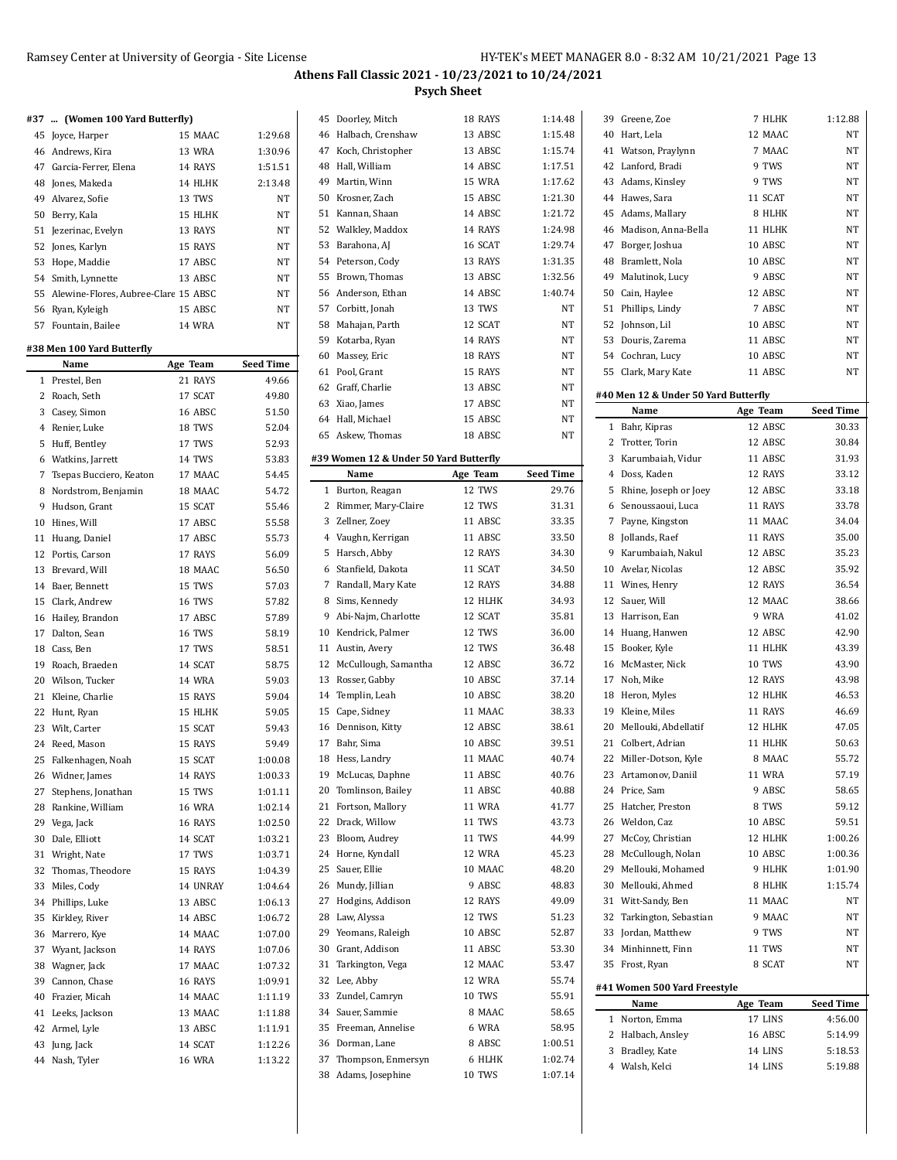|  |  | #37  (Women 100 Yard Butterfly) |  |
|--|--|---------------------------------|--|

**#38 Men 100 Yard Butterfly**

| 45 Joyce, Harper                        | 15 MAAC       | 1:29.68   |
|-----------------------------------------|---------------|-----------|
| 46 Andrews, Kira                        | 13 WRA        | 1:30.96   |
| 47 Garcia-Ferrer, Elena                 | 14 RAYS       | 1:51.51   |
| 48 Jones, Makeda                        | 14 HLHK       | 2:13.48   |
| 49 Alvarez, Sofie                       | 13 TWS        | <b>NT</b> |
| 50 Berry, Kala                          | 15 HLHK       | <b>NT</b> |
| 51 Jezerinac, Evelyn                    | 13 RAYS       | <b>NT</b> |
| 52 Jones, Karlyn                        | 15 RAYS       | <b>NT</b> |
| 53 Hope, Maddie                         | 17 ABSC       | <b>NT</b> |
| 54 Smith, Lynnette                      | 13 ABSC       | <b>NT</b> |
| 55 Alewine-Flores, Aubree-Clare 15 ABSC |               | <b>NT</b> |
| 56 Ryan, Kyleigh                        | 15 ABSC       | <b>NT</b> |
| 57 Fountain, Bailee                     | <b>14 WRA</b> | NT        |
|                                         |               |           |

|    | Name                    | Age Team      | Seed Time |
|----|-------------------------|---------------|-----------|
| 1  | Prestel, Ben            | 21 RAYS       | 49.66     |
| 2  | Roach, Seth             | 17 SCAT       | 49.80     |
| 3  | Casey, Simon            | 16 ABSC       | 51.50     |
| 4  | Renier, Luke            | 18 TWS        | 52.04     |
| 5  | Huff, Bentley           | 17 TWS        | 52.93     |
| 6  | Watkins, Jarrett        | 14 TWS        | 53.83     |
| 7  | Tsepas Bucciero, Keaton | 17 MAAC       | 54.45     |
| 8  | Nordstrom, Benjamin     | 18 MAAC       | 54.72     |
| 9  | Hudson, Grant           | 15 SCAT       | 55.46     |
| 10 | Hines, Will             | 17 ABSC       | 55.58     |
| 11 | Huang, Daniel           | 17 ABSC       | 55.73     |
| 12 | Portis, Carson          | 17 RAYS       | 56.09     |
| 13 | Brevard, Will           | 18 MAAC       | 56.50     |
| 14 | Baer, Bennett           | 15 TWS        | 57.03     |
| 15 | Clark, Andrew           | 16 TWS        | 57.82     |
| 16 | Hailey, Brandon         | 17 ABSC       | 57.89     |
| 17 | Dalton, Sean            | 16 TWS        | 58.19     |
| 18 | Cass, Ben               | 17 TWS        | 58.51     |
| 19 | Roach, Braeden          | 14 SCAT       | 58.75     |
|    | 20 Wilson, Tucker       | <b>14 WRA</b> | 59.03     |
| 21 | Kleine, Charlie         | 15 RAYS       | 59.04     |
| 22 | Hunt, Ryan              | 15 HLHK       | 59.05     |
| 23 | Wilt, Carter            | 15 SCAT       | 59.43     |
| 24 | Reed, Mason             | 15 RAYS       | 59.49     |
| 25 | Falkenhagen, Noah       | 15 SCAT       | 1:00.08   |
| 26 | Widner, James           | 14 RAYS       | 1:00.33   |
| 27 | Stephens, Jonathan      | 15 TWS        | 1:01.11   |
| 28 | Rankine, William        | <b>16 WRA</b> | 1:02.14   |
| 29 | Vega, Jack              | 16 RAYS       | 1:02.50   |
| 30 | Dale, Elliott           | 14 SCAT       | 1:03.21   |
| 31 | Wright, Nate            | 17 TWS        | 1:03.71   |
| 32 | Thomas, Theodore        | 15 RAYS       | 1:04.39   |
| 33 | Miles, Cody             | 14 UNRAY      | 1:04.64   |
| 34 | Phillips, Luke          | 13 ABSC       | 1:06.13   |
| 35 | Kirkley, River          | 14 ABSC       | 1:06.72   |
| 36 | Marrero, Kye            | 14 MAAC       | 1:07.00   |
| 37 | Wyant, Jackson          | 14 RAYS       | 1:07.06   |
| 38 | Wagner, Jack            | 17 MAAC       | 1:07.32   |
| 39 | Cannon, Chase           | 16 RAYS       | 1:09.91   |
| 40 | Frazier, Micah          | 14 MAAC       | 1:11.19   |
|    | 41 Leeks, Jackson       | 13 MAAC       | 1:11.88   |
| 42 | Armel, Lyle             | 13 ABSC       | 1:11.91   |
| 43 | Jung, Jack              | 14 SCAT       | 1:12.26   |
| 44 | Nash, Tyler             | <b>16 WRA</b> | 1:13.22   |

| 45 | Doorley, Mitch                         | 18 RAYS          | 1:14.48            |
|----|----------------------------------------|------------------|--------------------|
| 46 | Halbach, Crenshaw                      | 13 ABSC          | 1:15.48            |
|    | 47 Koch, Christopher                   | 13 ABSC          | 1:15.74            |
| 48 | Hall, William                          | 14 ABSC          | 1:17.51            |
| 49 | Martin, Winn                           | 15 WRA           | 1:17.62            |
| 50 | Krosner, Zach                          | 15 ABSC          | 1:21.30            |
| 51 | Kannan, Shaan                          | 14 ABSC          | 1:21.72            |
|    | 52 Walkley, Maddox                     | 14 RAYS          | 1:24.98            |
| 53 | Barahona, AJ                           | 16 SCAT          | 1:29.74            |
|    | 54 Peterson, Cody                      | 13 RAYS          | 1:31.35            |
| 55 | Brown, Thomas                          | 13 ABSC          | 1:32.56            |
|    | 56 Anderson, Ethan                     | 14 ABSC          | 1:40.74            |
|    | 57 Corbitt, Jonah                      | 13 TWS           | <b>NT</b>          |
|    | 58 Mahajan, Parth                      | 12 SCAT          | NT                 |
| 59 | Kotarba, Ryan                          | 14 RAYS          | NT                 |
| 60 | Massey, Eric                           | 18 RAYS          | NT                 |
|    | 61 Pool, Grant                         | 15 RAYS          | NT                 |
|    | 62 Graff, Charlie                      | 13 ABSC          | NT                 |
|    | 63 Xiao, James                         | 17 ABSC          | NT                 |
|    | 64 Hall, Michael                       | 15 ABSC          | NT                 |
|    | 65 Askew, Thomas                       | 18 ABSC          | NT                 |
|    |                                        |                  |                    |
|    | #39 Women 12 & Under 50 Yard Butterfly |                  |                    |
|    | Name                                   | Age Team         | <b>Seed Time</b>   |
| 1  | Burton, Reagan                         | 12 TWS           | 29.76              |
| 2  | Rimmer, Mary-Claire                    | 12 TWS           | 31.31              |
|    | 3 Zellner, Zoey                        | 11 ABSC          | 33.35              |
|    | 4 Vaughn, Kerrigan                     | 11 ABSC          | 33.50              |
| 5  | Harsch, Abby                           | 12 RAYS          | 34.30              |
| 6  | Stanfield, Dakota                      | 11 SCAT          | 34.50              |
| 7  | Randall, Mary Kate                     | 12 RAYS          | 34.88              |
|    | 8 Sims, Kennedy                        | 12 HLHK          | 34.93              |
|    | 9 Abi-Najm, Charlotte                  | 12 SCAT          | 35.81              |
|    | 10 Kendrick, Palmer                    | 12 TWS           | 36.00              |
|    | 11 Austin, Avery                       | 12 TWS           | 36.48              |
| 12 | McCullough, Samantha                   | 12 ABSC          | 36.72              |
| 13 | Rosser, Gabby                          | 10 ABSC          | 37.14              |
|    | 14 Templin, Leah                       | 10 ABSC          | 38.20              |
| 15 | Cape, Sidney                           |                  |                    |
|    |                                        | 11 MAAC          | 38.33              |
| 16 |                                        | 12 ABSC          | 38.61              |
| 17 | Dennison, Kitty                        | 10 ABSC          | 39.51              |
|    | Bahr, Sima<br>18 Hess, Landry          | 11 MAAC          | 40.74              |
|    |                                        |                  |                    |
| 19 | McLucas, Daphne                        | 11 ABSC          | 40.76              |
| 20 | Tomlinson, Bailey                      | 11 ABSC          | 40.88              |
| 21 | Fortson, Mallory                       | 11 WRA           | 41.77              |
| 22 | Drack, Willow                          | 11 TWS           | 43.73              |
| 23 | Bloom, Audrey                          | 11 TWS           | 44.99              |
| 24 | Horne, Kyndall                         | 12 WRA           | 45.23              |
| 25 | Sauer, Ellie                           | 10 MAAC          | 48.20              |
| 26 | Mundy, Jillian                         | 9 ABSC           | 48.83              |
| 27 | Hodgins, Addison                       | 12 RAYS          | 49.09              |
| 28 | Law, Alyssa                            | 12 TWS           | 51.23              |
| 29 | Yeomans, Raleigh                       | 10 ABSC          | 52.87              |
| 30 | Grant, Addison                         | 11 ABSC          | 53.30              |
| 31 | Tarkington, Vega                       | 12 MAAC          | 53.47              |
| 32 | Lee, Abby                              | 12 WRA           | 55.74              |
| 33 | Zundel, Camryn                         | <b>10 TWS</b>    | 55.91              |
| 34 | Sauer, Sammie                          | 8 MAAC           | 58.65              |
| 35 | Freeman, Annelise                      | 6 WRA            | 58.95              |
| 36 | Dorman, Lane                           | 8 ABSC           | 1:00.51            |
| 37 | Thompson, Enmersyn<br>Adams, Josephine | 6 HLHK<br>10 TWS | 1:02.74<br>1:07.14 |

|    | 39 Greene, Zoe                       | 7 HLHK        | 1:12.88          |
|----|--------------------------------------|---------------|------------------|
|    | 40 Hart, Lela                        | 12 MAAC       | NT               |
| 41 | Watson, Praylynn                     | 7 MAAC        | NT               |
|    | 42 Lanford, Bradi                    | 9 TWS         | NΤ               |
|    | 43 Adams, Kinsley                    | 9 TWS         | NT               |
|    | 44 Hawes, Sara                       | 11 SCAT       | NT               |
|    | 45 Adams, Mallary                    | 8 HLHK        | NT               |
| 46 | Madison, Anna-Bella                  | 11 HLHK       | NT               |
| 47 | Borger, Joshua                       | 10 ABSC       | NT               |
| 48 | Bramlett, Nola                       | 10 ABSC       | NT               |
|    | 49 Malutinok, Lucy                   | 9 ABSC        | NT               |
|    | 50 Cain, Haylee                      | 12 ABSC       | NT               |
|    | 51 Phillips, Lindy                   | 7 ABSC        | NT               |
|    | 52 Johnson, Lil                      | 10 ABSC       | NT               |
|    | 53 Douris, Zarema                    | 11 ABSC       | NT               |
|    | 54 Cochran, Lucy                     | 10 ABSC       | NT               |
|    | 55 Clark, Mary Kate                  | 11 ABSC       | NT               |
|    |                                      |               |                  |
|    | #40 Men 12 & Under 50 Yard Butterfly |               |                  |
|    | Name                                 | Age Team      | <b>Seed Time</b> |
|    | 1 Bahr, Kipras                       | 12 ABSC       | 30.33            |
|    | 2 Trotter, Torin                     | 12 ABSC       | 30.84            |
| 3  | Karumbaiah, Vidur                    | 11 ABSC       | 31.93            |
|    | 4 Doss, Kaden                        | 12 RAYS       | 33.12            |
| 5  | Rhine, Joseph or Joey                | 12 ABSC       | 33.18            |
|    | 6 Senoussaoui, Luca                  | 11 RAYS       | 33.78            |
|    | 7 Payne, Kingston                    | 11 MAAC       | 34.04            |
| 8  | Jollands, Raef                       | 11 RAYS       | 35.00            |
|    | 9 Karumbaiah, Nakul                  | 12 ABSC       | 35.23            |
|    | 10 Avelar, Nicolas                   | 12 ABSC       | 35.92            |
|    | 11 Wines, Henry                      | 12 RAYS       | 36.54            |
|    | 12 Sauer, Will                       | 12 MAAC       | 38.66            |
|    | 13 Harrison, Ean                     | 9 WRA         | 41.02            |
| 14 | Huang, Hanwen                        | 12 ABSC       | 42.90            |
| 15 | Booker, Kyle                         | 11 HLHK       | 43.39            |
|    | 16 McMaster, Nick                    | <b>10 TWS</b> | 43.90            |
|    | 17 Noh, Mike                         | 12 RAYS       | 43.98            |
| 18 | Heron, Myles                         | 12 HLHK       | 46.53            |
| 19 | Kleine, Miles                        | 11 RAYS       | 46.69            |
| 20 | Mellouki, Abdellatif                 | 12 HLHK       | 47.05            |
| 21 | Colbert, Adrian                      | 11 HLHK       | 50.63            |
| 22 | Miller-Dotson, Kyle                  | 8 MAAC        | 55.72            |
|    | 23 Artamonov, Daniil                 | 11 WRA        | 57.19            |
| 24 | Price, Sam                           | 9 ABSC        | 58.65            |
| 25 | Hatcher, Preston                     | 8 TWS         | 59.12            |
|    | 26 Weldon, Caz                       | 10 ABSC       | 59.51            |
| 27 | McCoy, Christian                     | 12 HLHK       | 1:00.26          |
| 28 | McCullough, Nolan                    | 10 ABSC       | 1:00.36          |
| 29 | Mellouki, Mohamed                    | 9 HLHK        | 1:01.90          |
| 30 | Mellouki, Ahmed                      | 8 HLHK        | 1:15.74          |
|    | 31 Witt-Sandy, Ben                   | 11 MAAC       | NΤ               |
|    | 32 Tarkington, Sebastian             | 9 MAAC        | NΤ               |
|    | 33 Jordan, Matthew                   | 9 TWS         | <b>NT</b>        |
| 34 | Minhinnett, Finn                     | 11 TWS        | NΤ               |
| 35 | Frost, Ryan                          | 8 SCAT        | NΤ               |
|    | #41 Women 500 Yard Freestyle         |               |                  |
|    | Name                                 | Age Team      | <b>Seed Time</b> |
| 1  | Norton, Emma                         | 17 LINS       | 4:56.00          |
| 2  | Halbach, Ansley                      | 16 ABSC       | 5:14.99          |
|    | 3 Bradley, Kate                      | 14 LINS       | 5:18.53          |
|    | 4 Walsh, Kelci                       | 14 LINS       | 5:19.88          |
|    |                                      |               |                  |